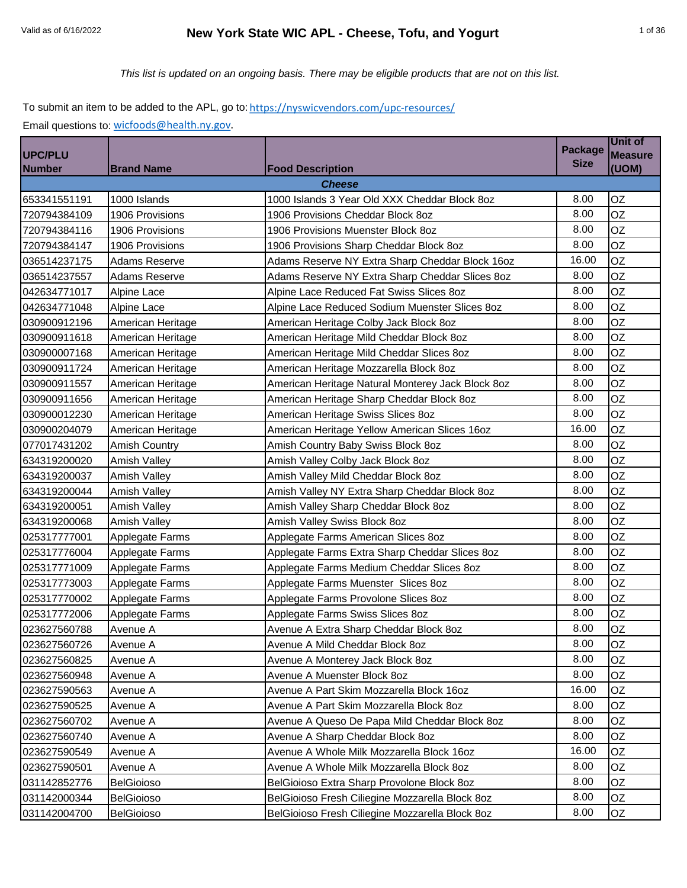# Valid as of 6/16/2022 **New York State WIC APL - Cheese, Tofu, and Yogurt** 1 of 36

*This list is updated on an ongoing basis. There may be eligible products that are not on this list.*

To submit an item to be added to the APL, go to: https://nyswicvendors.com/upc-resources/ Email questions to: [wicfoods@health.ny.gov.](mailto:wicfoods@health.ny.gov)

| <b>UPC/PLU</b> |                      |                                                   | <b>Package</b> | Unit of<br><b>Measure</b> |
|----------------|----------------------|---------------------------------------------------|----------------|---------------------------|
| <b>Number</b>  | <b>Brand Name</b>    | <b>Food Description</b>                           | <b>Size</b>    | (UOM)                     |
|                |                      | Cheese                                            |                |                           |
| 653341551191   | 1000 Islands         | 1000 Islands 3 Year Old XXX Cheddar Block 8oz     | 8.00           | OZ                        |
| 720794384109   | 1906 Provisions      | 1906 Provisions Cheddar Block 8oz                 | 8.00           | OZ                        |
| 720794384116   | 1906 Provisions      | 1906 Provisions Muenster Block 8oz                | 8.00           | OZ                        |
| 720794384147   | 1906 Provisions      | 1906 Provisions Sharp Cheddar Block 8oz           | 8.00           | OZ                        |
| 036514237175   | <b>Adams Reserve</b> | Adams Reserve NY Extra Sharp Cheddar Block 16oz   | 16.00          | OZ                        |
| 036514237557   | <b>Adams Reserve</b> | Adams Reserve NY Extra Sharp Cheddar Slices 8oz   | 8.00           | <b>OZ</b>                 |
| 042634771017   | Alpine Lace          | Alpine Lace Reduced Fat Swiss Slices 8oz          | 8.00           | <b>OZ</b>                 |
| 042634771048   | Alpine Lace          | Alpine Lace Reduced Sodium Muenster Slices 8oz    | 8.00           | OZ                        |
| 030900912196   | American Heritage    | American Heritage Colby Jack Block 8oz            | 8.00           | OZ                        |
| 030900911618   | American Heritage    | American Heritage Mild Cheddar Block 8oz          | 8.00           | OZ                        |
| 030900007168   | American Heritage    | American Heritage Mild Cheddar Slices 8oz         | 8.00           | OZ                        |
| 030900911724   | American Heritage    | American Heritage Mozzarella Block 8oz            | 8.00           | OZ                        |
| 030900911557   | American Heritage    | American Heritage Natural Monterey Jack Block 8oz | 8.00           | <b>OZ</b>                 |
| 030900911656   | American Heritage    | American Heritage Sharp Cheddar Block 8oz         | 8.00           | <b>OZ</b>                 |
| 030900012230   | American Heritage    | American Heritage Swiss Slices 8oz                | 8.00           | OZ                        |
| 030900204079   | American Heritage    | American Heritage Yellow American Slices 16oz     | 16.00          | OZ                        |
| 077017431202   | <b>Amish Country</b> | Amish Country Baby Swiss Block 8oz                | 8.00           | OZ                        |
| 634319200020   | Amish Valley         | Amish Valley Colby Jack Block 8oz                 | 8.00           | OZ                        |
| 634319200037   | <b>Amish Valley</b>  | Amish Valley Mild Cheddar Block 8oz               | 8.00           | OZ                        |
| 634319200044   | <b>Amish Valley</b>  | Amish Valley NY Extra Sharp Cheddar Block 8oz     | 8.00           | <b>OZ</b>                 |
| 634319200051   | Amish Valley         | Amish Valley Sharp Cheddar Block 8oz              | 8.00           | OZ                        |
| 634319200068   | Amish Valley         | Amish Valley Swiss Block 8oz                      | 8.00           | <b>OZ</b>                 |
| 025317777001   | Applegate Farms      | Applegate Farms American Slices 8oz               | 8.00           | OZ                        |
| 025317776004   | Applegate Farms      | Applegate Farms Extra Sharp Cheddar Slices 8oz    | 8.00           | OZ                        |
| 025317771009   | Applegate Farms      | Applegate Farms Medium Cheddar Slices 8oz         | 8.00           | OZ                        |
| 025317773003   | Applegate Farms      | Applegate Farms Muenster Slices 8oz               | 8.00           | OZ                        |
| 025317770002   | Applegate Farms      | Applegate Farms Provolone Slices 8oz              | 8.00           | <b>OZ</b>                 |
| 025317772006   | Applegate Farms      | Applegate Farms Swiss Slices 8oz                  | 8.00           | <b>OZ</b>                 |
| 023627560788   | Avenue A             | Avenue A Extra Sharp Cheddar Block 8oz            | 8.00           | OZ                        |
| 023627560726   | Avenue A             | Avenue A Mild Cheddar Block 8oz                   | 8.00           | OZ                        |
| 023627560825   | Avenue A             | Avenue A Monterey Jack Block 8oz                  | 8.00           | OZ                        |
| 023627560948   | Avenue A             | Avenue A Muenster Block 8oz                       | 8.00           | OZ                        |
| 023627590563   | Avenue A             | Avenue A Part Skim Mozzarella Block 16oz          | 16.00          | OZ                        |
| 023627590525   | Avenue A             | Avenue A Part Skim Mozzarella Block 8oz           | 8.00           | OZ                        |
| 023627560702   | Avenue A             | Avenue A Queso De Papa Mild Cheddar Block 8oz     | 8.00           | OZ                        |
| 023627560740   | Avenue A             | Avenue A Sharp Cheddar Block 8oz                  | 8.00           | OZ                        |
| 023627590549   | Avenue A             | Avenue A Whole Milk Mozzarella Block 16oz         | 16.00          | OZ.                       |
| 023627590501   | Avenue A             | Avenue A Whole Milk Mozzarella Block 8oz          | 8.00           | OZ                        |
| 031142852776   | <b>BelGioioso</b>    | BelGioioso Extra Sharp Provolone Block 8oz        | 8.00           | OZ                        |
| 031142000344   | <b>BelGioioso</b>    | BelGioioso Fresh Ciliegine Mozzarella Block 8oz   | 8.00           | OZ                        |
| 031142004700   | BelGioioso           | BelGioioso Fresh Ciliegine Mozzarella Block 8oz   | 8.00           | OZ                        |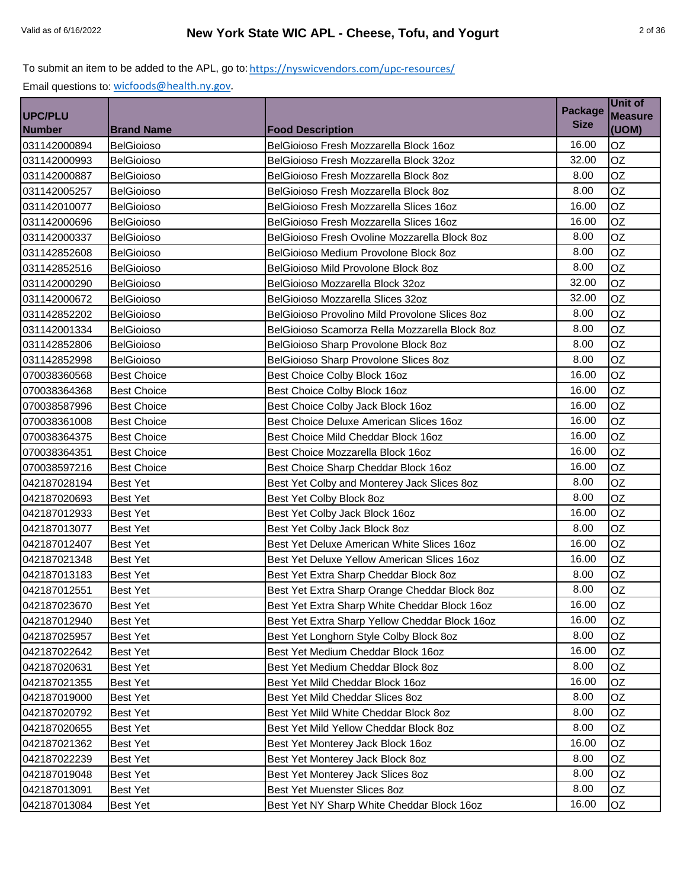| <b>UPC/PLU</b> |                    |                                                | <b>Package</b> | <b>Unit of</b><br><b>Measure</b> |
|----------------|--------------------|------------------------------------------------|----------------|----------------------------------|
| <b>Number</b>  | <b>Brand Name</b>  | <b>Food Description</b>                        | <b>Size</b>    | (UOM)                            |
| 031142000894   | BelGioioso         | BelGioioso Fresh Mozzarella Block 16oz         | 16.00          | OZ                               |
| 031142000993   | <b>BelGioioso</b>  | BelGioioso Fresh Mozzarella Block 32oz         | 32.00          | <b>OZ</b>                        |
| 031142000887   | <b>BelGioioso</b>  | BelGioioso Fresh Mozzarella Block 8oz          | 8.00           | OZ                               |
| 031142005257   | <b>BelGioioso</b>  | BelGioioso Fresh Mozzarella Block 8oz          | 8.00           | <b>OZ</b>                        |
| 031142010077   | <b>BelGioioso</b>  | BelGioioso Fresh Mozzarella Slices 16oz        | 16.00          | <b>OZ</b>                        |
| 031142000696   | <b>BelGioioso</b>  | BelGioioso Fresh Mozzarella Slices 16oz        | 16.00          | <b>OZ</b>                        |
| 031142000337   | <b>BelGioioso</b>  | BelGioioso Fresh Ovoline Mozzarella Block 8oz  | 8.00           | <b>OZ</b>                        |
| 031142852608   | <b>BelGioioso</b>  | BelGioioso Medium Provolone Block 8oz          | 8.00           | <b>OZ</b>                        |
| 031142852516   | <b>BelGioioso</b>  | BelGioioso Mild Provolone Block 8oz            | 8.00           | <b>OZ</b>                        |
| 031142000290   | <b>BelGioioso</b>  | BelGioioso Mozzarella Block 32oz               | 32.00          | OZ                               |
| 031142000672   | <b>BelGioioso</b>  | BelGioioso Mozzarella Slices 32oz              | 32.00          | <b>OZ</b>                        |
| 031142852202   | <b>BelGioioso</b>  | BelGioioso Provolino Mild Provolone Slices 8oz | 8.00           | OZ                               |
| 031142001334   | BelGioioso         | BelGioioso Scamorza Rella Mozzarella Block 8oz | 8.00           | <b>OZ</b>                        |
| 031142852806   | BelGioioso         | BelGioioso Sharp Provolone Block 8oz           | 8.00           | <b>OZ</b>                        |
| 031142852998   | <b>BelGioioso</b>  | BelGioioso Sharp Provolone Slices 8oz          | 8.00           | <b>OZ</b>                        |
| 070038360568   | <b>Best Choice</b> | Best Choice Colby Block 16oz                   | 16.00          | <b>OZ</b>                        |
| 070038364368   | <b>Best Choice</b> | Best Choice Colby Block 16oz                   | 16.00          | <b>OZ</b>                        |
| 070038587996   | <b>Best Choice</b> | Best Choice Colby Jack Block 16oz              | 16.00          | <b>OZ</b>                        |
| 070038361008   | <b>Best Choice</b> | Best Choice Deluxe American Slices 16oz        | 16.00          | OZ                               |
| 070038364375   | <b>Best Choice</b> | Best Choice Mild Cheddar Block 16oz            | 16.00          | <b>OZ</b>                        |
| 070038364351   | <b>Best Choice</b> | Best Choice Mozzarella Block 16oz              | 16.00          | <b>OZ</b>                        |
| 070038597216   | <b>Best Choice</b> | Best Choice Sharp Cheddar Block 16oz           | 16.00          | <b>OZ</b>                        |
| 042187028194   | <b>Best Yet</b>    | Best Yet Colby and Monterey Jack Slices 8oz    | 8.00           | <b>OZ</b>                        |
| 042187020693   | <b>Best Yet</b>    | Best Yet Colby Block 8oz                       | 8.00           | <b>OZ</b>                        |
| 042187012933   | <b>Best Yet</b>    | Best Yet Colby Jack Block 16oz                 | 16.00          | <b>OZ</b>                        |
| 042187013077   | <b>Best Yet</b>    | Best Yet Colby Jack Block 8oz                  | 8.00           | OZ                               |
| 042187012407   | <b>Best Yet</b>    | Best Yet Deluxe American White Slices 16oz     | 16.00          | <b>OZ</b>                        |
| 042187021348   | <b>Best Yet</b>    | Best Yet Deluxe Yellow American Slices 16oz    | 16.00          | OZ                               |
| 042187013183   | <b>Best Yet</b>    | Best Yet Extra Sharp Cheddar Block 8oz         | 8.00           | <b>OZ</b>                        |
| 042187012551   | <b>Best Yet</b>    | Best Yet Extra Sharp Orange Cheddar Block 8oz  | 8.00           | <b>OZ</b>                        |
| 042187023670   | <b>Best Yet</b>    | Best Yet Extra Sharp White Cheddar Block 16oz  | 16.00          | OZ                               |
| 042187012940   | <b>Best Yet</b>    | Best Yet Extra Sharp Yellow Cheddar Block 16oz | 16.00          | OZ                               |
| 042187025957   | <b>Best Yet</b>    | Best Yet Longhorn Style Colby Block 8oz        | 8.00           | OZ                               |
| 042187022642   | Best Yet           | Best Yet Medium Cheddar Block 16oz             | 16.00          | OZ                               |
| 042187020631   | <b>Best Yet</b>    | Best Yet Medium Cheddar Block 8oz              | 8.00           | OZ                               |
| 042187021355   | <b>Best Yet</b>    | Best Yet Mild Cheddar Block 16oz               | 16.00          | OZ                               |
| 042187019000   | <b>Best Yet</b>    | Best Yet Mild Cheddar Slices 8oz               | 8.00           | OZ                               |
| 042187020792   | <b>Best Yet</b>    | Best Yet Mild White Cheddar Block 8oz          | 8.00           | OZ                               |
| 042187020655   | <b>Best Yet</b>    | Best Yet Mild Yellow Cheddar Block 8oz         | 8.00           | OZ                               |
| 042187021362   | <b>Best Yet</b>    | Best Yet Monterey Jack Block 16oz              | 16.00          | OZ                               |
| 042187022239   | <b>Best Yet</b>    | Best Yet Monterey Jack Block 8oz               | 8.00           | OZ                               |
| 042187019048   | Best Yet           | Best Yet Monterey Jack Slices 8oz              | 8.00           | OZ                               |
| 042187013091   | <b>Best Yet</b>    | Best Yet Muenster Slices 8oz                   | 8.00           | OZ                               |
| 042187013084   | Best Yet           | Best Yet NY Sharp White Cheddar Block 16oz     | 16.00          | OZ                               |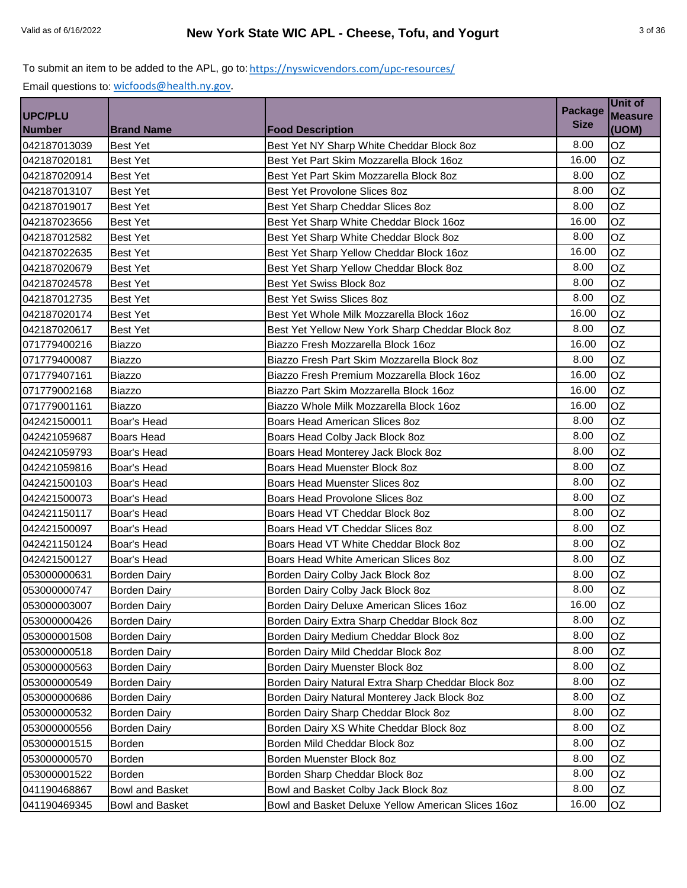|                                 |                     |                                                    | <b>Package</b> | <b>Unit of</b>          |
|---------------------------------|---------------------|----------------------------------------------------|----------------|-------------------------|
| <b>UPC/PLU</b><br><b>Number</b> | <b>Brand Name</b>   | <b>Food Description</b>                            | <b>Size</b>    | <b>Measure</b><br>(UOM) |
| 042187013039                    | <b>Best Yet</b>     | Best Yet NY Sharp White Cheddar Block 8oz          | 8.00           | OZ                      |
| 042187020181                    | <b>Best Yet</b>     | Best Yet Part Skim Mozzarella Block 16oz           | 16.00          | OZ                      |
| 042187020914                    | <b>Best Yet</b>     | Best Yet Part Skim Mozzarella Block 8oz            | 8.00           | OZ                      |
| 042187013107                    | <b>Best Yet</b>     | Best Yet Provolone Slices 8oz                      | 8.00           | <b>OZ</b>               |
| 042187019017                    | <b>Best Yet</b>     | Best Yet Sharp Cheddar Slices 8oz                  | 8.00           | <b>OZ</b>               |
| 042187023656                    | <b>Best Yet</b>     | Best Yet Sharp White Cheddar Block 16oz            | 16.00          | OZ                      |
| 042187012582                    | <b>Best Yet</b>     | Best Yet Sharp White Cheddar Block 8oz             | 8.00           | OZ                      |
| 042187022635                    | <b>Best Yet</b>     | Best Yet Sharp Yellow Cheddar Block 16oz           | 16.00          | <b>OZ</b>               |
| 042187020679                    | <b>Best Yet</b>     | Best Yet Sharp Yellow Cheddar Block 8oz            | 8.00           | <b>OZ</b>               |
| 042187024578                    | <b>Best Yet</b>     | Best Yet Swiss Block 8oz                           | 8.00           | OZ                      |
| 042187012735                    | <b>Best Yet</b>     | Best Yet Swiss Slices 8oz                          | 8.00           | <b>OZ</b>               |
| 042187020174                    | <b>Best Yet</b>     | Best Yet Whole Milk Mozzarella Block 16oz          | 16.00          | OZ                      |
| 042187020617                    | <b>Best Yet</b>     | Best Yet Yellow New York Sharp Cheddar Block 8oz   | 8.00           | <b>OZ</b>               |
| 071779400216                    | <b>Biazzo</b>       | Biazzo Fresh Mozzarella Block 16oz                 | 16.00          | OZ                      |
| 071779400087                    | Biazzo              | Biazzo Fresh Part Skim Mozzarella Block 8oz        | 8.00           | <b>OZ</b>               |
| 071779407161                    | <b>Biazzo</b>       | Biazzo Fresh Premium Mozzarella Block 16oz         | 16.00          | OZ                      |
| 071779002168                    | Biazzo              | Biazzo Part Skim Mozzarella Block 16oz             | 16.00          | OZ                      |
| 071779001161                    | Biazzo              | Biazzo Whole Milk Mozzarella Block 16oz            | 16.00          | OZ                      |
| 042421500011                    | Boar's Head         | Boars Head American Slices 8oz                     | 8.00           | OZ                      |
| 042421059687                    | <b>Boars Head</b>   | Boars Head Colby Jack Block 8oz                    | 8.00           | OZ                      |
| 042421059793                    | Boar's Head         | Boars Head Monterey Jack Block 8oz                 | 8.00           | <b>OZ</b>               |
| 042421059816                    | Boar's Head         | Boars Head Muenster Block 8oz                      | 8.00           | <b>OZ</b>               |
| 042421500103                    | Boar's Head         | Boars Head Muenster Slices 8oz                     | 8.00           | <b>OZ</b>               |
| 042421500073                    | Boar's Head         | Boars Head Provolone Slices 8oz                    | 8.00           | OZ                      |
| 042421150117                    | Boar's Head         | Boars Head VT Cheddar Block 8oz                    | 8.00           | <b>OZ</b>               |
| 042421500097                    | Boar's Head         | Boars Head VT Cheddar Slices 8oz                   | 8.00           | OZ                      |
| 042421150124                    | Boar's Head         | Boars Head VT White Cheddar Block 8oz              | 8.00           | OZ                      |
| 042421500127                    | Boar's Head         | Boars Head White American Slices 8oz               | 8.00           | OZ                      |
| 053000000631                    | <b>Borden Dairy</b> | Borden Dairy Colby Jack Block 8oz                  | 8.00           | OZ                      |
| 053000000747                    | <b>Borden Dairy</b> | Borden Dairy Colby Jack Block 8oz                  | 8.00           | OZ                      |
| 053000003007                    | <b>Borden Dairy</b> | Borden Dairy Deluxe American Slices 16oz           | 16.00          | ΟZ                      |
| 053000000426                    | <b>Borden Dairy</b> | Borden Dairy Extra Sharp Cheddar Block 8oz         | 8.00           | OZ                      |
| 053000001508                    | <b>Borden Dairy</b> | Borden Dairy Medium Cheddar Block 8oz              | 8.00           | OZ                      |
| 053000000518                    | <b>Borden Dairy</b> | Borden Dairy Mild Cheddar Block 8oz                | 8.00           | OZ                      |
| 053000000563                    | <b>Borden Dairy</b> | Borden Dairy Muenster Block 8oz                    | 8.00           | OZ                      |
| 053000000549                    | <b>Borden Dairy</b> | Borden Dairy Natural Extra Sharp Cheddar Block 8oz | 8.00           | OZ                      |
| 053000000686                    | <b>Borden Dairy</b> | Borden Dairy Natural Monterey Jack Block 8oz       | 8.00           | OZ                      |
| 053000000532                    | <b>Borden Dairy</b> | Borden Dairy Sharp Cheddar Block 8oz               | 8.00           | OZ                      |
| 053000000556                    | <b>Borden Dairy</b> | Borden Dairy XS White Cheddar Block 8oz            | 8.00           | OZ                      |
|                                 |                     | Borden Mild Cheddar Block 8oz                      | 8.00           | OZ                      |
| 053000001515<br>053000000570    | Borden<br>Borden    | Borden Muenster Block 8oz                          | 8.00           | OZ                      |
|                                 |                     |                                                    | 8.00           | OZ                      |
| 053000001522                    | Borden              | Borden Sharp Cheddar Block 8oz                     | 8.00           | OZ                      |
| 041190468867                    | Bowl and Basket     | Bowl and Basket Colby Jack Block 8oz               |                |                         |
| 041190469345                    | Bowl and Basket     | Bowl and Basket Deluxe Yellow American Slices 16oz | 16.00          | OZ                      |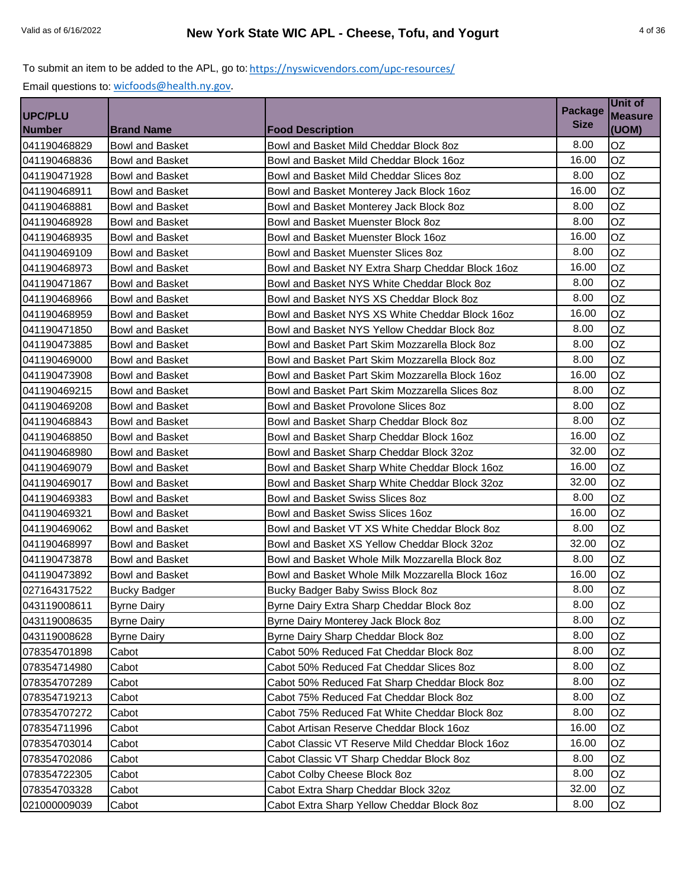| <b>UPC/PLU</b> |                        |                                                   | <b>Package</b> | Unit of                 |
|----------------|------------------------|---------------------------------------------------|----------------|-------------------------|
| <b>Number</b>  | <b>Brand Name</b>      | <b>Food Description</b>                           | <b>Size</b>    | <b>Measure</b><br>(UOM) |
| 041190468829   | <b>Bowl and Basket</b> | Bowl and Basket Mild Cheddar Block 8oz            | 8.00           | OZ                      |
| 041190468836   | Bowl and Basket        | Bowl and Basket Mild Cheddar Block 16oz           | 16.00          | OZ                      |
| 041190471928   | <b>Bowl and Basket</b> | Bowl and Basket Mild Cheddar Slices 8oz           | 8.00           | OZ                      |
| 041190468911   | <b>Bowl and Basket</b> | Bowl and Basket Monterey Jack Block 16oz          | 16.00          | OZ                      |
| 041190468881   | <b>Bowl and Basket</b> | Bowl and Basket Monterey Jack Block 8oz           | 8.00           | OZ                      |
| 041190468928   | Bowl and Basket        | Bowl and Basket Muenster Block 8oz                | 8.00           | OZ                      |
| 041190468935   | <b>Bowl and Basket</b> | Bowl and Basket Muenster Block 16oz               | 16.00          | OZ                      |
| 041190469109   | <b>Bowl and Basket</b> | Bowl and Basket Muenster Slices 80z               | 8.00           | OZ                      |
| 041190468973   | Bowl and Basket        | Bowl and Basket NY Extra Sharp Cheddar Block 16oz | 16.00          | OZ                      |
| 041190471867   | <b>Bowl and Basket</b> | Bowl and Basket NYS White Cheddar Block 8oz       | 8.00           | OZ                      |
| 041190468966   | <b>Bowl and Basket</b> | Bowl and Basket NYS XS Cheddar Block 8oz          | 8.00           | OZ                      |
| 041190468959   | <b>Bowl and Basket</b> | Bowl and Basket NYS XS White Cheddar Block 16oz   | 16.00          | OZ                      |
| 041190471850   | Bowl and Basket        | Bowl and Basket NYS Yellow Cheddar Block 8oz      | 8.00           | OZ                      |
| 041190473885   | <b>Bowl and Basket</b> | Bowl and Basket Part Skim Mozzarella Block 8oz    | 8.00           | OZ                      |
| 041190469000   | <b>Bowl and Basket</b> | Bowl and Basket Part Skim Mozzarella Block 8oz    | 8.00           | OZ                      |
| 041190473908   | Bowl and Basket        | Bowl and Basket Part Skim Mozzarella Block 16oz   | 16.00          | OZ                      |
| 041190469215   | <b>Bowl and Basket</b> | Bowl and Basket Part Skim Mozzarella Slices 8oz   | 8.00           | OZ                      |
| 041190469208   | <b>Bowl and Basket</b> | Bowl and Basket Provolone Slices 8oz              | 8.00           | OZ                      |
|                |                        |                                                   | 8.00           | OZ                      |
| 041190468843   | <b>Bowl and Basket</b> | Bowl and Basket Sharp Cheddar Block 8oz           | 16.00          | <b>OZ</b>               |
| 041190468850   | Bowl and Basket        | Bowl and Basket Sharp Cheddar Block 16oz          | 32.00          |                         |
| 041190468980   | <b>Bowl and Basket</b> | Bowl and Basket Sharp Cheddar Block 32oz          |                | OZ                      |
| 041190469079   | <b>Bowl and Basket</b> | Bowl and Basket Sharp White Cheddar Block 16oz    | 16.00          | OZ                      |
| 041190469017   | <b>Bowl and Basket</b> | Bowl and Basket Sharp White Cheddar Block 32oz    | 32.00          | <b>OZ</b>               |
| 041190469383   | Bowl and Basket        | <b>Bowl and Basket Swiss Slices 8oz</b>           | 8.00           | OZ                      |
| 041190469321   | <b>Bowl and Basket</b> | Bowl and Basket Swiss Slices 16oz                 | 16.00          | OZ                      |
| 041190469062   | <b>Bowl and Basket</b> | Bowl and Basket VT XS White Cheddar Block 8oz     | 8.00           | OZ                      |
| 041190468997   | Bowl and Basket        | Bowl and Basket XS Yellow Cheddar Block 32oz      | 32.00          | OZ                      |
| 041190473878   | <b>Bowl and Basket</b> | Bowl and Basket Whole Milk Mozzarella Block 8oz   | 8.00           | OZ                      |
| 041190473892   | <b>Bowl and Basket</b> | Bowl and Basket Whole Milk Mozzarella Block 16oz  | 16.00          | OZ                      |
| 027164317522   | <b>Bucky Badger</b>    | Bucky Badger Baby Swiss Block 8oz                 | 8.00           | OZ                      |
| 043119008611   | <b>Byrne Dairy</b>     | Byrne Dairy Extra Sharp Cheddar Block 8oz         | 8.00           | OZ                      |
| 043119008635   | <b>Byrne Dairy</b>     | Byrne Dairy Monterey Jack Block 8oz               | 8.00           | OZ                      |
| 043119008628   | <b>Byrne Dairy</b>     | Byrne Dairy Sharp Cheddar Block 8oz               | 8.00           | OZ                      |
| 078354701898   | Cabot                  | Cabot 50% Reduced Fat Cheddar Block 8oz           | 8.00           | OZ                      |
| 078354714980   | Cabot                  | Cabot 50% Reduced Fat Cheddar Slices 8oz          | 8.00           | OZ                      |
| 078354707289   | Cabot                  | Cabot 50% Reduced Fat Sharp Cheddar Block 8oz     | 8.00           | OZ                      |
| 078354719213   | Cabot                  | Cabot 75% Reduced Fat Cheddar Block 8oz           | 8.00           | OZ                      |
| 078354707272   | Cabot                  | Cabot 75% Reduced Fat White Cheddar Block 8oz     | 8.00           | OZ                      |
| 078354711996   | Cabot                  | Cabot Artisan Reserve Cheddar Block 16oz          | 16.00          | OZ                      |
| 078354703014   | Cabot                  | Cabot Classic VT Reserve Mild Cheddar Block 16oz  | 16.00          | OZ                      |
| 078354702086   | Cabot                  | Cabot Classic VT Sharp Cheddar Block 8oz          | 8.00           | OZ                      |
| 078354722305   | Cabot                  | Cabot Colby Cheese Block 8oz                      | 8.00           | OZ                      |
| 078354703328   | Cabot                  | Cabot Extra Sharp Cheddar Block 32oz              | 32.00          | OZ                      |
| 021000009039   | Cabot                  | Cabot Extra Sharp Yellow Cheddar Block 8oz        | 8.00           | OZ                      |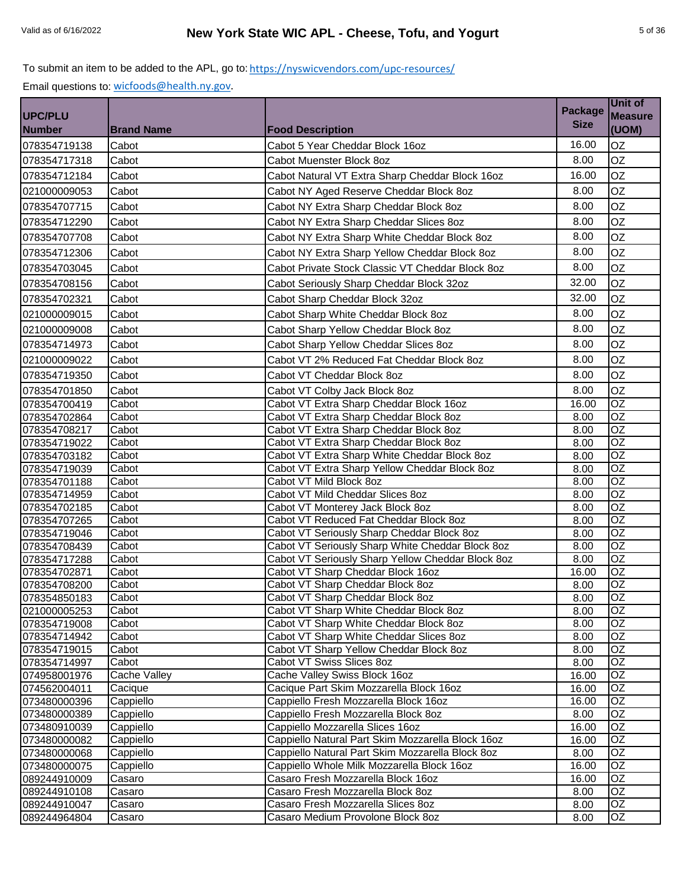|                                 |                     |                                                                                        | <b>Package</b> | Unit of                 |
|---------------------------------|---------------------|----------------------------------------------------------------------------------------|----------------|-------------------------|
| <b>UPC/PLU</b><br><b>Number</b> | <b>Brand Name</b>   | <b>Food Description</b>                                                                | <b>Size</b>    | <b>Measure</b><br>(UOM) |
|                                 | Cabot               | Cabot 5 Year Cheddar Block 16oz                                                        | 16.00          | OZ                      |
| 078354719138                    |                     |                                                                                        |                |                         |
| 078354717318                    | Cabot               | Cabot Muenster Block 8oz                                                               | 8.00           | OZ                      |
| 078354712184                    | Cabot               | Cabot Natural VT Extra Sharp Cheddar Block 16oz                                        | 16.00          | OZ                      |
| 021000009053                    | Cabot               | Cabot NY Aged Reserve Cheddar Block 8oz                                                | 8.00           | OZ                      |
| 078354707715                    | Cabot               | Cabot NY Extra Sharp Cheddar Block 8oz                                                 | 8.00           | OZ                      |
| 078354712290                    | Cabot               | Cabot NY Extra Sharp Cheddar Slices 8oz                                                | 8.00           | OZ                      |
| 078354707708                    | Cabot               | Cabot NY Extra Sharp White Cheddar Block 8oz                                           | 8.00           | OZ                      |
| 078354712306                    | Cabot               | Cabot NY Extra Sharp Yellow Cheddar Block 8oz                                          | 8.00           | OZ                      |
| 078354703045                    | Cabot               | Cabot Private Stock Classic VT Cheddar Block 8oz                                       | 8.00           | OZ                      |
| 078354708156                    | Cabot               | Cabot Seriously Sharp Cheddar Block 32oz                                               | 32.00          | OZ                      |
|                                 |                     |                                                                                        |                |                         |
| 078354702321                    | Cabot               | Cabot Sharp Cheddar Block 32oz                                                         | 32.00          | OZ                      |
| 021000009015                    | Cabot               | Cabot Sharp White Cheddar Block 8oz                                                    | 8.00           | OZ                      |
| 021000009008                    | Cabot               | Cabot Sharp Yellow Cheddar Block 8oz                                                   | 8.00           | OZ                      |
| 078354714973                    | Cabot               | Cabot Sharp Yellow Cheddar Slices 8oz                                                  | 8.00           | OZ                      |
| 021000009022                    | Cabot               | Cabot VT 2% Reduced Fat Cheddar Block 8oz                                              | 8.00           | OZ                      |
| 078354719350                    | Cabot               | Cabot VT Cheddar Block 8oz                                                             | 8.00           | OZ                      |
| 078354701850                    | Cabot               | Cabot VT Colby Jack Block 8oz                                                          | 8.00           | OZ                      |
| 078354700419                    | Cabot               | Cabot VT Extra Sharp Cheddar Block 16oz                                                | 16.00          | $\overline{OZ}$         |
| 078354702864                    | Cabot               | Cabot VT Extra Sharp Cheddar Block 8oz                                                 | 8.00           | OZ                      |
| 078354708217                    | Cabot               | Cabot VT Extra Sharp Cheddar Block 8oz                                                 | 8.00           | $\overline{OZ}$         |
| 078354719022                    | Cabot               | Cabot VT Extra Sharp Cheddar Block 8oz                                                 | 8.00           | OZ                      |
| 078354703182                    | Cabot               | Cabot VT Extra Sharp White Cheddar Block 8oz                                           | 8.00           | $\overline{OZ}$         |
| 078354719039                    | Cabot               | Cabot VT Extra Sharp Yellow Cheddar Block 8oz                                          | 8.00           | $\overline{OZ}$         |
| 078354701188                    | Cabot               | Cabot VT Mild Block 8oz                                                                | 8.00           | OZ                      |
| 078354714959                    | Cabot               | Cabot VT Mild Cheddar Slices 8oz                                                       | 8.00           | <b>OZ</b>               |
| 078354702185                    | Cabot               | Cabot VT Monterey Jack Block 8oz                                                       | 8.00           | $\overline{OZ}$         |
| 078354707265                    | Cabot               | Cabot VT Reduced Fat Cheddar Block 8oz                                                 | 8.00           | OZ                      |
| 078354719046                    | Cabot               | Cabot VT Seriously Sharp Cheddar Block 8oz                                             | 8.00           | <b>OZ</b>               |
| 078354708439                    | Cabot               | Cabot VT Seriously Sharp White Cheddar Block 8oz                                       | 8.00           | OZ<br>OZ                |
| 078354717288<br>078354702871    | Cabot<br>Cabot      | Cabot VT Seriously Sharp Yellow Cheddar Block 8oz<br>Cabot VT Sharp Cheddar Block 16oz | 8.00<br>16.00  | <b>OZ</b>               |
| 078354708200                    | Cabot               | Cabot VT Sharp Cheddar Block 8oz                                                       | 8.00           | OZ                      |
| 078354850183                    | Cabot               | Cabot VT Sharp Cheddar Block 8oz                                                       | 8.00           | OZ                      |
| 021000005253                    | Cabot               | Cabot VT Sharp White Cheddar Block 8oz                                                 | 8.00           | OZ                      |
| 078354719008                    | Cabot               | Cabot VT Sharp White Cheddar Block 8oz                                                 | 8.00           | $\overline{OZ}$         |
| 078354714942                    | Cabot               | Cabot VT Sharp White Cheddar Slices 8oz                                                | 8.00           | OZ                      |
| 078354719015                    | Cabot               | Cabot VT Sharp Yellow Cheddar Block 8oz                                                | 8.00           | OZ                      |
| 078354714997                    | Cabot               | Cabot VT Swiss Slices 8oz                                                              | 8.00           | $\overline{OZ}$         |
| 074958001976                    | <b>Cache Valley</b> | Cache Valley Swiss Block 16oz                                                          | 16.00          | OZ                      |
| 074562004011                    | Cacique             | Cacique Part Skim Mozzarella Block 16oz                                                | 16.00          | OZ                      |
| 073480000396                    | Cappiello           | Cappiello Fresh Mozzarella Block 16oz                                                  | 16.00          | OZ                      |
| 073480000389                    | Cappiello           | Cappiello Fresh Mozzarella Block 8oz                                                   | 8.00           | OZ                      |
| 073480910039                    | Cappiello           | Cappiello Mozzarella Slices 16oz                                                       | 16.00          | OZ                      |
| 073480000082                    | Cappiello           | Cappiello Natural Part Skim Mozzarella Block 16oz                                      | 16.00          | OZ                      |
| 073480000068                    | Cappiello           | Cappiello Natural Part Skim Mozzarella Block 8oz                                       | 8.00           | OZ                      |
| 073480000075                    | Cappiello           | Cappiello Whole Milk Mozzarella Block 16oz                                             | 16.00          | OZ                      |
| 089244910009                    | Casaro              | Casaro Fresh Mozzarella Block 16oz                                                     | 16.00          | OZ<br>OZ                |
| 089244910108                    | Casaro              | Casaro Fresh Mozzarella Block 8oz<br>Casaro Fresh Mozzarella Slices 8oz                | 8.00<br>8.00   | OZ                      |
| 089244910047<br>089244964804    | Casaro<br>Casaro    | Casaro Medium Provolone Block 8oz                                                      | 8.00           | OZ                      |
|                                 |                     |                                                                                        |                |                         |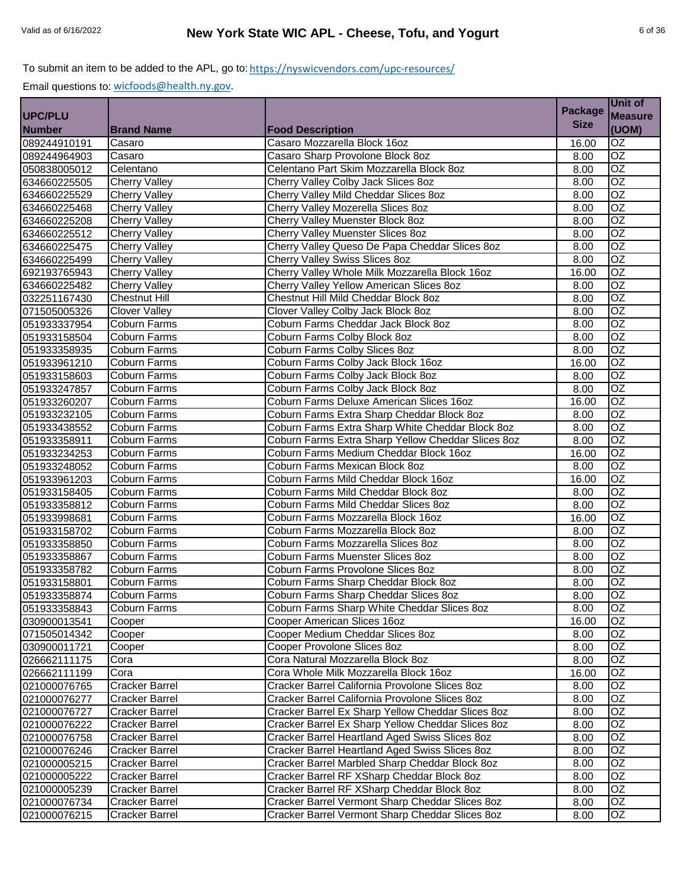|                |                       |                                                    |                | Unit of         |
|----------------|-----------------------|----------------------------------------------------|----------------|-----------------|
| <b>UPC/PLU</b> |                       |                                                    | <b>Package</b> | <b>Measure</b>  |
| <b>Number</b>  | <b>Brand Name</b>     | <b>Food Description</b>                            | <b>Size</b>    | (UOM)           |
| 089244910191   | Casaro                | Casaro Mozzarella Block 16oz                       | 16.00          | OZ              |
| 089244964903   | Casaro                | Casaro Sharp Provolone Block 8oz                   | 8.00           | OZ              |
| 050838005012   | Celentano             | Celentano Part Skim Mozzarella Block 8oz           | 8.00           | $\overline{OZ}$ |
| 634660225505   | <b>Cherry Valley</b>  | Cherry Valley Colby Jack Slices 8oz                | 8.00           | $\overline{OZ}$ |
| 634660225529   | <b>Cherry Valley</b>  | Cherry Valley Mild Cheddar Slices 80z              | 8.00           | $\overline{OZ}$ |
| 634660225468   | <b>Cherry Valley</b>  | Cherry Valley Mozerella Slices 8oz                 | 8.00           | $\overline{OZ}$ |
| 634660225208   | <b>Cherry Valley</b>  | Cherry Valley Muenster Block 8oz                   | 8.00           | $\overline{OZ}$ |
| 634660225512   | <b>Cherry Valley</b>  | <b>Cherry Valley Muenster Slices 8oz</b>           | 8.00           | OZ              |
| 634660225475   | <b>Cherry Valley</b>  | Cherry Valley Queso De Papa Cheddar Slices 8oz     | 8.00           | $\overline{OZ}$ |
| 634660225499   | <b>Cherry Valley</b>  | Cherry Valley Swiss Slices 8oz                     | 8.00           | OZ              |
| 692193765943   | <b>Cherry Valley</b>  | Cherry Valley Whole Milk Mozzarella Block 16oz     | 16.00          | $\overline{OZ}$ |
| 634660225482   | <b>Cherry Valley</b>  | Cherry Valley Yellow American Slices 8oz           | 8.00           | $\overline{OZ}$ |
| 032251167430   | <b>Chestnut Hill</b>  | Chestnut Hill Mild Cheddar Block 8oz               | 8.00           | $\overline{OZ}$ |
| 071505005326   | <b>Clover Valley</b>  | Clover Valley Colby Jack Block 8oz                 | 8.00           | $\overline{OZ}$ |
| 051933337954   | <b>Coburn Farms</b>   | Coburn Farms Cheddar Jack Block 8oz                | 8.00           | $\overline{OZ}$ |
| 051933158504   | <b>Coburn Farms</b>   | Coburn Farms Colby Block 8oz                       | 8.00           | $\overline{OZ}$ |
| 051933358935   | <b>Coburn Farms</b>   | Coburn Farms Colby Slices 8oz                      | 8.00           | $\overline{OZ}$ |
| 051933961210   | <b>Coburn Farms</b>   | Coburn Farms Colby Jack Block 16oz                 | 16.00          | $\overline{OZ}$ |
| 051933158603   | Coburn Farms          | Coburn Farms Colby Jack Block 8oz                  | 8.00           | $\overline{OZ}$ |
| 051933247857   | Coburn Farms          | Coburn Farms Colby Jack Block 8oz                  | 8.00           | $\overline{OZ}$ |
| 051933260207   | <b>Coburn Farms</b>   | Coburn Farms Deluxe American Slices 16oz           | 16.00          | $\overline{OZ}$ |
| 051933232105   | <b>Coburn Farms</b>   | Coburn Farms Extra Sharp Cheddar Block 8oz         | 8.00           | OZ              |
| 051933438552   | <b>Coburn Farms</b>   | Coburn Farms Extra Sharp White Cheddar Block 8oz   | 8.00           | $\overline{OZ}$ |
| 051933358911   | <b>Coburn Farms</b>   | Coburn Farms Extra Sharp Yellow Cheddar Slices 8oz | 8.00           | $\overline{OZ}$ |
| 051933234253   | <b>Coburn Farms</b>   | Coburn Farms Medium Cheddar Block 16oz             | 16.00          | OZ              |
| 051933248052   | <b>Coburn Farms</b>   | Coburn Farms Mexican Block 8oz                     | 8.00           | $\overline{OZ}$ |
| 051933961203   | <b>Coburn Farms</b>   | Coburn Farms Mild Cheddar Block 16oz               | 16.00          | $\overline{OZ}$ |
| 051933158405   | <b>Coburn Farms</b>   | Coburn Farms Mild Cheddar Block 8oz                | 8.00           | $\overline{OZ}$ |
| 051933358812   | Coburn Farms          | Coburn Farms Mild Cheddar Slices 8oz               | 8.00           | $\overline{OZ}$ |
| 051933998681   | <b>Coburn Farms</b>   | Coburn Farms Mozzarella Block 16oz                 | 16.00          | OZ              |
| 051933158702   | <b>Coburn Farms</b>   | Coburn Farms Mozzarella Block 8oz                  | 8.00           | $\overline{OZ}$ |
| 051933358850   | Coburn Farms          | Coburn Farms Mozzarella Slices 8oz                 | 8.00           | OZ              |
| 051933358867   | <b>Coburn Farms</b>   | Coburn Farms Muenster Slices 8oz                   | 8.00           | $\overline{OZ}$ |
| 051933358782   | <b>Coburn Farms</b>   | Coburn Farms Provolone Slices 8oz                  | 8.00           | $\overline{OZ}$ |
| 051933158801   | <b>Coburn Farms</b>   | Coburn Farms Sharp Cheddar Block 8oz               | 8.00           | $\overline{OZ}$ |
| 051933358874   | <b>Coburn Farms</b>   | Coburn Farms Sharp Cheddar Slices 8oz              | 8.00           | OZ              |
| 051933358843   | Coburn Farms          | Coburn Farms Sharp White Cheddar Slices 8oz        | 8.00           | OZ              |
| 030900013541   | Cooper                | Cooper American Slices 16oz                        | 16.00          | OZ              |
| 071505014342   | Cooper                | Cooper Medium Cheddar Slices 8oz                   | 8.00           | OZ              |
| 030900011721   | Cooper                | Cooper Provolone Slices 8oz                        | 8.00           | OZ              |
| 026662111175   | Cora                  | Cora Natural Mozzarella Block 8oz                  | 8.00           | OZ              |
| 026662111199   | Cora                  | Cora Whole Milk Mozzarella Block 16oz              | 16.00          | OZ              |
| 021000076765   | Cracker Barrel        | Cracker Barrel California Provolone Slices 8oz     | 8.00           | OZ              |
| 021000076277   | Cracker Barrel        | Cracker Barrel California Provolone Slices 8oz     | 8.00           | OZ              |
| 021000076727   | Cracker Barrel        | Cracker Barrel Ex Sharp Yellow Cheddar Slices 8oz  | 8.00           | OZ              |
| 021000076222   | Cracker Barrel        | Cracker Barrel Ex Sharp Yellow Cheddar Slices 8oz  | 8.00           | $\overline{OZ}$ |
| 021000076758   | <b>Cracker Barrel</b> | Cracker Barrel Heartland Aged Swiss Slices 8oz     | 8.00           | OZ              |
| 021000076246   | Cracker Barrel        | Cracker Barrel Heartland Aged Swiss Slices 80z     | 8.00           | OZ              |
| 021000005215   | <b>Cracker Barrel</b> | Cracker Barrel Marbled Sharp Cheddar Block 8oz     | 8.00           | OZ              |
| 021000005222   | <b>Cracker Barrel</b> | Cracker Barrel RF XSharp Cheddar Block 8oz         | 8.00           | OZ              |
| 021000005239   | <b>Cracker Barrel</b> | Cracker Barrel RF XSharp Cheddar Block 8oz         | 8.00           | OZ              |
| 021000076734   | <b>Cracker Barrel</b> | Cracker Barrel Vermont Sharp Cheddar Slices 80z    | 8.00           | OZ              |
| 021000076215   | Cracker Barrel        | Cracker Barrel Vermont Sharp Cheddar Slices 80z    | 8.00           | OZ              |
|                |                       |                                                    |                |                 |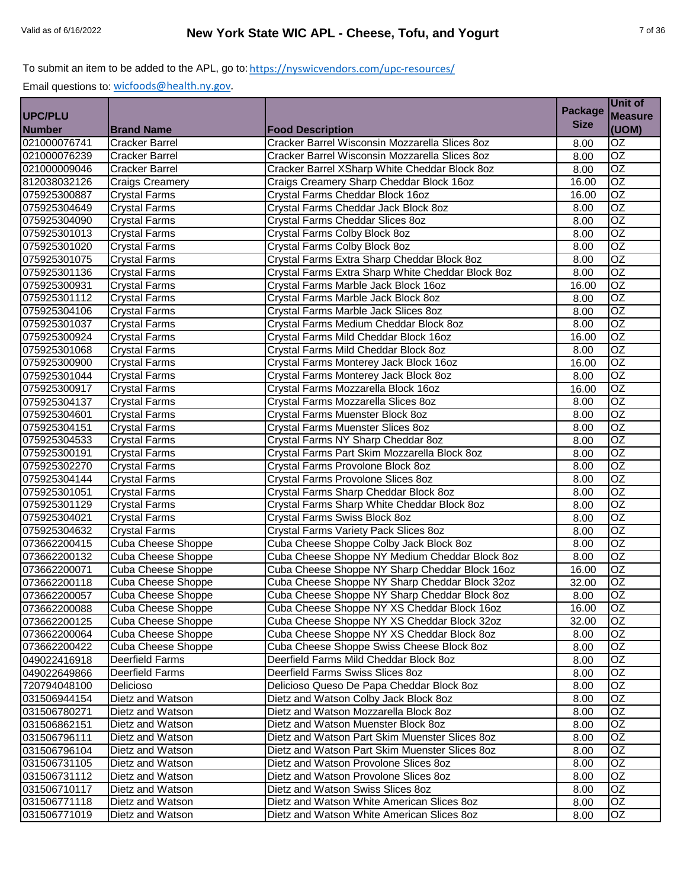|                |                           |                                                   | <b>Package</b> | Unit of         |
|----------------|---------------------------|---------------------------------------------------|----------------|-----------------|
| <b>UPC/PLU</b> |                           |                                                   |                | <b>Measure</b>  |
| <b>Number</b>  | <b>Brand Name</b>         | <b>Food Description</b>                           | <b>Size</b>    | (UOM)           |
| 021000076741   | <b>Cracker Barrel</b>     | Cracker Barrel Wisconsin Mozzarella Slices 8oz    | 8.00           | OZ              |
| 021000076239   | <b>Cracker Barrel</b>     | Cracker Barrel Wisconsin Mozzarella Slices 8oz    | 8.00           | $\overline{OZ}$ |
| 021000009046   | <b>Cracker Barrel</b>     | Cracker Barrel XSharp White Cheddar Block 8oz     | 8.00           | OZ              |
| 812038032126   | <b>Craigs Creamery</b>    | Craigs Creamery Sharp Cheddar Block 16oz          | 16.00          | OZ              |
| 075925300887   | <b>Crystal Farms</b>      | Crystal Farms Cheddar Block 16oz                  | 16.00          | OZ              |
| 075925304649   | <b>Crystal Farms</b>      | Crystal Farms Cheddar Jack Block 8oz              | 8.00           | OZ              |
| 075925304090   | <b>Crystal Farms</b>      | Crystal Farms Cheddar Slices 8oz                  | 8.00           | $\overline{OZ}$ |
| 075925301013   | <b>Crystal Farms</b>      | Crystal Farms Colby Block 8oz                     | 8.00           | $\overline{OZ}$ |
| 075925301020   | <b>Crystal Farms</b>      | Crystal Farms Colby Block 8oz                     | 8.00           | OZ              |
| 075925301075   | <b>Crystal Farms</b>      | Crystal Farms Extra Sharp Cheddar Block 8oz       | 8.00           | OZ              |
| 075925301136   | <b>Crystal Farms</b>      | Crystal Farms Extra Sharp White Cheddar Block 8oz | 8.00           | $\overline{OZ}$ |
| 075925300931   | <b>Crystal Farms</b>      | Crystal Farms Marble Jack Block 16oz              | 16.00          | $\overline{OZ}$ |
| 075925301112   | <b>Crystal Farms</b>      | Crystal Farms Marble Jack Block 8oz               | 8.00           | $\overline{OZ}$ |
| 075925304106   | <b>Crystal Farms</b>      | Crystal Farms Marble Jack Slices 8oz              | 8.00           | <b>OZ</b>       |
| 075925301037   | <b>Crystal Farms</b>      | Crystal Farms Medium Cheddar Block 8oz            | 8.00           | OZ              |
| 075925300924   | <b>Crystal Farms</b>      | Crystal Farms Mild Cheddar Block 16oz             | 16.00          | OZ              |
| 075925301068   | Crystal Farms             | Crystal Farms Mild Cheddar Block 8oz              | 8.00           | OZ              |
| 075925300900   | <b>Crystal Farms</b>      | Crystal Farms Monterey Jack Block 16oz            | 16.00          | OZ              |
| 075925301044   | Crystal Farms             | Crystal Farms Monterey Jack Block 8oz             | 8.00           | $\overline{OZ}$ |
| 075925300917   | <b>Crystal Farms</b>      | Crystal Farms Mozzarella Block 16oz               | 16.00          | $\overline{OZ}$ |
| 075925304137   | <b>Crystal Farms</b>      | Crystal Farms Mozzarella Slices 8oz               | 8.00           | OZ              |
| 075925304601   | <b>Crystal Farms</b>      | Crystal Farms Muenster Block 8oz                  | 8.00           | $\overline{OZ}$ |
| 075925304151   | <b>Crystal Farms</b>      | Crystal Farms Muenster Slices 8oz                 | 8.00           | OZ              |
| 075925304533   | <b>Crystal Farms</b>      | Crystal Farms NY Sharp Cheddar 8oz                | 8.00           | $\overline{OZ}$ |
| 075925300191   | <b>Crystal Farms</b>      | Crystal Farms Part Skim Mozzarella Block 8oz      | 8.00           | OZ              |
| 075925302270   | <b>Crystal Farms</b>      | Crystal Farms Provolone Block 8oz                 | 8.00           | $\overline{OZ}$ |
| 075925304144   | <b>Crystal Farms</b>      | Crystal Farms Provolone Slices 8oz                | 8.00           | $\overline{OZ}$ |
| 075925301051   | <b>Crystal Farms</b>      | Crystal Farms Sharp Cheddar Block 8oz             | 8.00           | $\overline{OZ}$ |
| 075925301129   | <b>Crystal Farms</b>      | Crystal Farms Sharp White Cheddar Block 8oz       | 8.00           | OZ              |
| 075925304021   | Crystal Farms             | Crystal Farms Swiss Block 8oz                     | 8.00           | OZ              |
| 075925304632   | <b>Crystal Farms</b>      | Crystal Farms Variety Pack Slices 8oz             | 8.00           | OZ              |
| 073662200415   | Cuba Cheese Shoppe        | Cuba Cheese Shoppe Colby Jack Block 8oz           | 8.00           | OZ              |
| 073662200132   | Cuba Cheese Shoppe        | Cuba Cheese Shoppe NY Medium Cheddar Block 8oz    | 8.00           | $\overline{OZ}$ |
| 073662200071   | Cuba Cheese Shoppe        | Cuba Cheese Shoppe NY Sharp Cheddar Block 16oz    | 16.00          | $\overline{OZ}$ |
| 073662200118   | <b>Cuba Cheese Shoppe</b> | Cuba Cheese Shoppe NY Sharp Cheddar Block 32oz    | 32.00          | $\overline{OZ}$ |
| 073662200057   | <b>Cuba Cheese Shoppe</b> | Cuba Cheese Shoppe NY Sharp Cheddar Block 8oz     | 8.00           | OZ              |
| 073662200088   | Cuba Cheese Shoppe        | Cuba Cheese Shoppe NY XS Cheddar Block 16oz       | 16.00          | OZ              |
| 073662200125   | Cuba Cheese Shoppe        | Cuba Cheese Shoppe NY XS Cheddar Block 32oz       | 32.00          | OZ              |
| 073662200064   | Cuba Cheese Shoppe        | Cuba Cheese Shoppe NY XS Cheddar Block 8oz        | 8.00           | OZ              |
| 073662200422   | Cuba Cheese Shoppe        | Cuba Cheese Shoppe Swiss Cheese Block 8oz         | 8.00           | OZ              |
| 049022416918   | <b>Deerfield Farms</b>    | Deerfield Farms Mild Cheddar Block 8oz            | 8.00           | OZ              |
| 049022649866   | Deerfield Farms           | Deerfield Farms Swiss Slices 8oz                  | 8.00           | OZ              |
| 720794048100   | Delicioso                 | Delicioso Queso De Papa Cheddar Block 8oz         | 8.00           | OZ              |
| 031506944154   | Dietz and Watson          | Dietz and Watson Colby Jack Block 8oz             | 8.00           | OZ              |
| 031506780271   | Dietz and Watson          | Dietz and Watson Mozzarella Block 8oz             | 8.00           | OZ              |
| 031506862151   | Dietz and Watson          | Dietz and Watson Muenster Block 8oz               | 8.00           | $\overline{OZ}$ |
| 031506796111   | Dietz and Watson          | Dietz and Watson Part Skim Muenster Slices 8oz    | 8.00           | OZ              |
| 031506796104   | Dietz and Watson          | Dietz and Watson Part Skim Muenster Slices 8oz    | 8.00           | OZ              |
| 031506731105   | Dietz and Watson          | Dietz and Watson Provolone Slices 8oz             | 8.00           | OZ              |
| 031506731112   | Dietz and Watson          | Dietz and Watson Provolone Slices 8oz             | 8.00           | OZ              |
| 031506710117   | Dietz and Watson          | Dietz and Watson Swiss Slices 8oz                 | 8.00           | OZ              |
| 031506771118   | Dietz and Watson          | Dietz and Watson White American Slices 8oz        | 8.00           | OZ.             |
| 031506771019   | Dietz and Watson          | Dietz and Watson White American Slices 8oz        | 8.00           | OZ              |
|                |                           |                                                   |                |                 |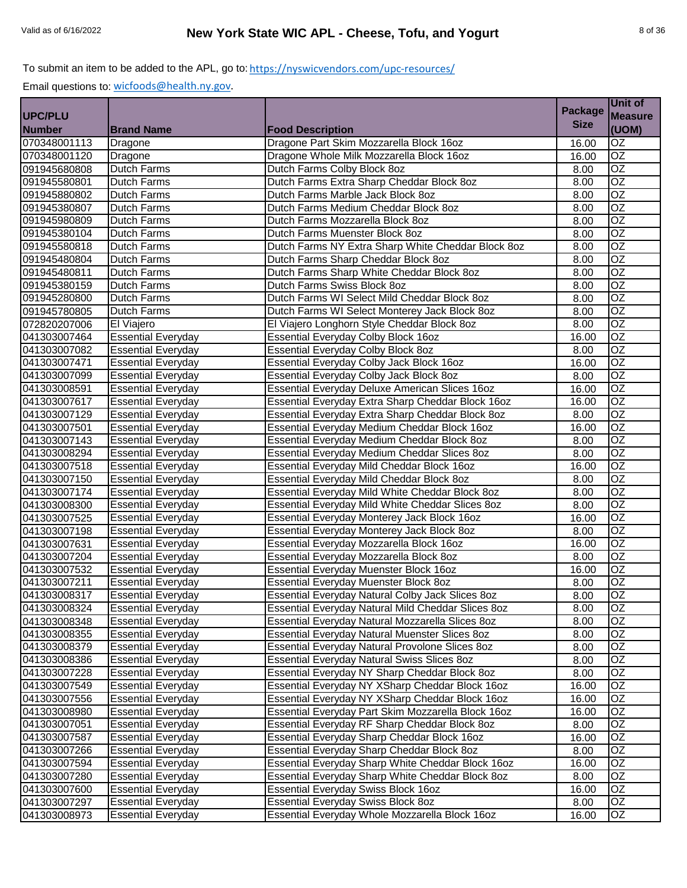|                |                           |                                                       | <b>Package</b> | Unit of         |
|----------------|---------------------------|-------------------------------------------------------|----------------|-----------------|
| <b>UPC/PLU</b> |                           |                                                       |                | <b>Measure</b>  |
| <b>Number</b>  | <b>Brand Name</b>         | <b>Food Description</b>                               | <b>Size</b>    | (UOM)           |
| 070348001113   | Dragone                   | Dragone Part Skim Mozzarella Block 16oz               | 16.00          | OZ              |
| 070348001120   | Dragone                   | Dragone Whole Milk Mozzarella Block 16oz              | 16.00          | $\overline{OZ}$ |
| 091945680808   | <b>Dutch Farms</b>        | Dutch Farms Colby Block 8oz                           | 8.00           | OZ              |
| 091945580801   | <b>Dutch Farms</b>        | Dutch Farms Extra Sharp Cheddar Block 8oz             | 8.00           | OZ              |
| 091945880802   | <b>Dutch Farms</b>        | Dutch Farms Marble Jack Block 8oz                     | 8.00           | $\overline{OZ}$ |
| 091945380807   | <b>Dutch Farms</b>        | Dutch Farms Medium Cheddar Block 8oz                  | 8.00           | OZ              |
| 091945980809   | <b>Dutch Farms</b>        | Dutch Farms Mozzarella Block 8oz                      | 8.00           | $\overline{OZ}$ |
| 091945380104   | Dutch Farms               | Dutch Farms Muenster Block 8oz                        | 8.00           | $\overline{OZ}$ |
| 091945580818   | <b>Dutch Farms</b>        | Dutch Farms NY Extra Sharp White Cheddar Block 8oz    | 8.00           | $\overline{OZ}$ |
| 091945480804   | <b>Dutch Farms</b>        | Dutch Farms Sharp Cheddar Block 8oz                   | 8.00           | OZ              |
| 091945480811   | <b>Dutch Farms</b>        | Dutch Farms Sharp White Cheddar Block 8oz             | 8.00           | $\overline{OZ}$ |
| 091945380159   | <b>Dutch Farms</b>        | Dutch Farms Swiss Block 8oz                           | 8.00           | $\overline{OZ}$ |
| 091945280800   | <b>Dutch Farms</b>        | Dutch Farms WI Select Mild Cheddar Block 8oz          | 8.00           | $\overline{OZ}$ |
| 091945780805   | <b>Dutch Farms</b>        | Dutch Farms WI Select Monterey Jack Block 8oz         | 8.00           | OZ              |
| 072820207006   | El Viajero                | El Viajero Longhorn Style Cheddar Block 8oz           | 8.00           | $\overline{OZ}$ |
| 041303007464   | <b>Essential Everyday</b> | <b>Essential Everyday Colby Block 16oz</b>            | 16.00          | $\overline{OZ}$ |
| 041303007082   | <b>Essential Everyday</b> | <b>Essential Everyday Colby Block 8oz</b>             | 8.00           | OZ              |
| 041303007471   | <b>Essential Everyday</b> | Essential Everyday Colby Jack Block 16oz              | 16.00          | OZ              |
| 041303007099   | <b>Essential Everyday</b> | Essential Everyday Colby Jack Block 8oz               | 8.00           | $\overline{OZ}$ |
| 041303008591   | <b>Essential Everyday</b> | <b>Essential Everyday Deluxe American Slices 16oz</b> | 16.00          | $\overline{OZ}$ |
| 041303007617   | <b>Essential Everyday</b> | Essential Everyday Extra Sharp Cheddar Block 16oz     | 16.00          | $\overline{OZ}$ |
| 041303007129   | <b>Essential Everyday</b> | Essential Everyday Extra Sharp Cheddar Block 8oz      | 8.00           | $\overline{OZ}$ |
| 041303007501   | <b>Essential Everyday</b> | Essential Everyday Medium Cheddar Block 16oz          | 16.00          | $\overline{OZ}$ |
| 041303007143   | <b>Essential Everyday</b> | Essential Everyday Medium Cheddar Block 8oz           | 8.00           | $\overline{OZ}$ |
| 041303008294   | <b>Essential Everyday</b> | Essential Everyday Medium Cheddar Slices 8oz          | 8.00           | $\overline{OZ}$ |
| 041303007518   | <b>Essential Everyday</b> | Essential Everyday Mild Cheddar Block 16oz            | 16.00          | $\overline{OZ}$ |
| 041303007150   | <b>Essential Everyday</b> | Essential Everyday Mild Cheddar Block 8oz             | 8.00           | $\overline{OZ}$ |
| 041303007174   | <b>Essential Everyday</b> | Essential Everyday Mild White Cheddar Block 8oz       | 8.00           | $\overline{OZ}$ |
| 041303008300   | <b>Essential Everyday</b> | Essential Everyday Mild White Cheddar Slices 8oz      | 8.00           | OZ              |
| 041303007525   | <b>Essential Everyday</b> | Essential Everyday Monterey Jack Block 16oz           | 16.00          | OZ              |
| 041303007198   | <b>Essential Everyday</b> | Essential Everyday Monterey Jack Block 8oz            | 8.00           | OZ              |
| 041303007631   | <b>Essential Everyday</b> | Essential Everyday Mozzarella Block 16oz              | 16.00          | OZ              |
| 041303007204   | <b>Essential Everyday</b> | Essential Everyday Mozzarella Block 8oz               | 8.00           | $\overline{OZ}$ |
| 041303007532   | <b>Essential Everyday</b> | Essential Everyday Muenster Block 16oz                | 16.00          | $\overline{OZ}$ |
| 041303007211   | <b>Essential Everyday</b> | Essential Everyday Muenster Block 8oz                 | 8.00           | $\overline{OZ}$ |
| 041303008317   | <b>Essential Everyday</b> | Essential Everyday Natural Colby Jack Slices 8oz      | 8.00           | OZ              |
| 041303008324   | <b>Essential Everyday</b> | Essential Everyday Natural Mild Cheddar Slices 8oz    | 8.00           | OZ              |
| 041303008348   | <b>Essential Everyday</b> | Essential Everyday Natural Mozzarella Slices 8oz      | 8.00           | OZ              |
| 041303008355   | <b>Essential Everyday</b> | Essential Everyday Natural Muenster Slices 8oz        | 8.00           | OZ.             |
| 041303008379   | <b>Essential Everyday</b> | Essential Everyday Natural Provolone Slices 8oz       | 8.00           | OZ              |
| 041303008386   | <b>Essential Everyday</b> | Essential Everyday Natural Swiss Slices 8oz           | 8.00           | OZ              |
| 041303007228   | <b>Essential Everyday</b> | Essential Everyday NY Sharp Cheddar Block 8oz         | 8.00           | OZ              |
| 041303007549   | <b>Essential Everyday</b> | Essential Everyday NY XSharp Cheddar Block 16oz       | 16.00          | OZ              |
| 041303007556   | <b>Essential Everyday</b> | Essential Everyday NY XSharp Cheddar Block 16oz       | 16.00          | OZ              |
| 041303008980   | <b>Essential Everyday</b> | Essential Everyday Part Skim Mozzarella Block 16oz    | 16.00          | OZ              |
| 041303007051   | <b>Essential Everyday</b> | Essential Everyday RF Sharp Cheddar Block 8oz         | 8.00           | OZ              |
| 041303007587   | <b>Essential Everyday</b> | Essential Everyday Sharp Cheddar Block 16oz           | 16.00          | OZ              |
| 041303007266   | <b>Essential Everyday</b> | Essential Everyday Sharp Cheddar Block 8oz            | 8.00           | OZ              |
| 041303007594   | <b>Essential Everyday</b> | Essential Everyday Sharp White Cheddar Block 16oz     | 16.00          | OZ              |
| 041303007280   | <b>Essential Everyday</b> | Essential Everyday Sharp White Cheddar Block 8oz      | 8.00           | OZ.             |
| 041303007600   | <b>Essential Everyday</b> | <b>Essential Everyday Swiss Block 16oz</b>            | 16.00          | OZ              |
| 041303007297   | <b>Essential Everyday</b> | <b>Essential Everyday Swiss Block 8oz</b>             | 8.00           | OZ              |
| 041303008973   | <b>Essential Everyday</b> | Essential Everyday Whole Mozzarella Block 16oz        | 16.00          | OZ              |
|                |                           |                                                       |                |                 |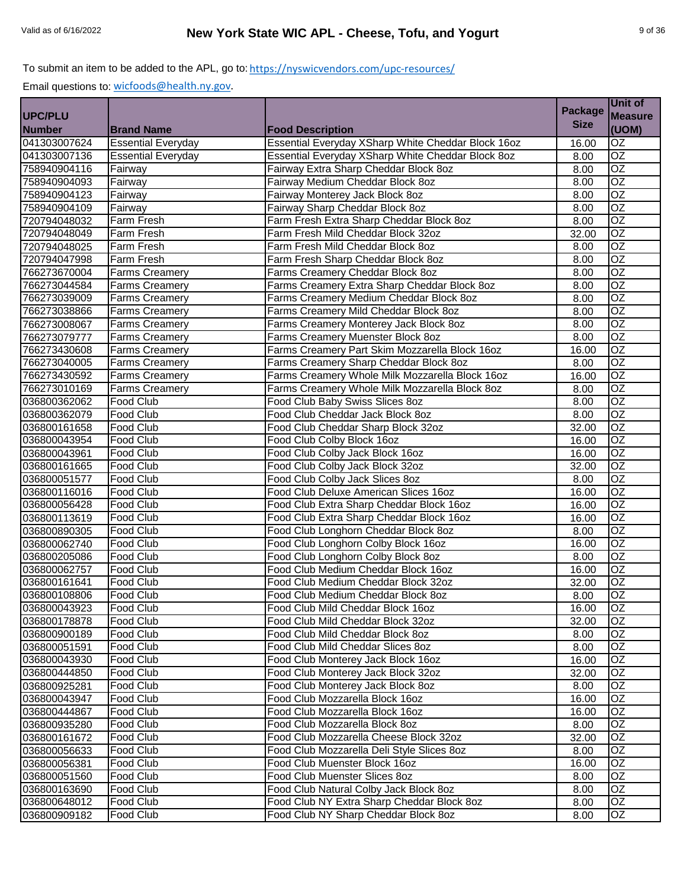|                |                           |                                                    | <b>Package</b> | Unit of         |
|----------------|---------------------------|----------------------------------------------------|----------------|-----------------|
| <b>UPC/PLU</b> |                           |                                                    |                | <b>Measure</b>  |
| <b>Number</b>  | <b>Brand Name</b>         | <b>Food Description</b>                            | <b>Size</b>    | (UOM)           |
| 041303007624   | <b>Essential Everyday</b> | Essential Everyday XSharp White Cheddar Block 16oz | 16.00          | $\overline{OZ}$ |
| 041303007136   | <b>Essential Everyday</b> | Essential Everyday XSharp White Cheddar Block 8oz  | 8.00           | $\overline{OZ}$ |
| 758940904116   | Fairway                   | Fairway Extra Sharp Cheddar Block 8oz              | 8.00           | $\overline{OZ}$ |
| 758940904093   | Fairway                   | Fairway Medium Cheddar Block 8oz                   | 8.00           | $\overline{OZ}$ |
| 758940904123   | Fairway                   | Fairway Monterey Jack Block 8oz                    | 8.00           | $\overline{OZ}$ |
| 758940904109   | Fairway                   | Fairway Sharp Cheddar Block 8oz                    | 8.00           | $\overline{OZ}$ |
| 720794048032   | Farm Fresh                | Farm Fresh Extra Sharp Cheddar Block 8oz           | 8.00           | $\overline{OZ}$ |
| 720794048049   | Farm Fresh                | Farm Fresh Mild Cheddar Block 32oz                 | 32.00          | $\overline{OZ}$ |
| 720794048025   | Farm Fresh                | Farm Fresh Mild Cheddar Block 8oz                  | 8.00           | $\overline{OZ}$ |
| 720794047998   | Farm Fresh                | Farm Fresh Sharp Cheddar Block 8oz                 | 8.00           | $\overline{OZ}$ |
| 766273670004   | <b>Farms Creamery</b>     | Farms Creamery Cheddar Block 8oz                   | 8.00           | OZ              |
| 766273044584   | <b>Farms Creamery</b>     | Farms Creamery Extra Sharp Cheddar Block 8oz       | 8.00           | $\overline{OZ}$ |
| 766273039009   | <b>Farms Creamery</b>     | Farms Creamery Medium Cheddar Block 8oz            | 8.00           | OZ              |
| 766273038866   | <b>Farms Creamery</b>     | Farms Creamery Mild Cheddar Block 8oz              | 8.00           | $\overline{OZ}$ |
| 766273008067   | Farms Creamery            | Farms Creamery Monterey Jack Block 8oz             | 8.00           | $\overline{OZ}$ |
| 766273079777   | <b>Farms Creamery</b>     | Farms Creamery Muenster Block 8oz                  | 8.00           | $\overline{OZ}$ |
| 766273430608   | Farms Creamery            | Farms Creamery Part Skim Mozzarella Block 16oz     | 16.00          | $\overline{OZ}$ |
| 766273040005   | <b>Farms Creamery</b>     | Farms Creamery Sharp Cheddar Block 8oz             | 8.00           | $\overline{OZ}$ |
| 766273430592   | <b>Farms Creamery</b>     | Farms Creamery Whole Milk Mozzarella Block 16oz    | 16.00          | OZ              |
| 766273010169   | <b>Farms Creamery</b>     | Farms Creamery Whole Milk Mozzarella Block 8oz     | 8.00           | $\overline{OZ}$ |
| 036800362062   | Food Club                 | Food Club Baby Swiss Slices 8oz                    | 8.00           | $\overline{OZ}$ |
| 036800362079   | Food Club                 | Food Club Cheddar Jack Block 8oz                   | 8.00           | OZ              |
| 036800161658   | Food Club                 | Food Club Cheddar Sharp Block 32oz                 | 32.00          | OZ              |
| 036800043954   | <b>Food Club</b>          | Food Club Colby Block 16oz                         | 16.00          | $\overline{OZ}$ |
| 036800043961   | Food Club                 | Food Club Colby Jack Block 16oz                    | 16.00          | $\overline{OZ}$ |
| 036800161665   | Food Club                 | Food Club Colby Jack Block 32oz                    | 32.00          | $\overline{OZ}$ |
| 036800051577   | Food Club                 | Food Club Colby Jack Slices 8oz                    | 8.00           | $\overline{OZ}$ |
| 036800116016   | Food Club                 | Food Club Deluxe American Slices 16oz              | 16.00          | $\overline{OZ}$ |
| 036800056428   | Food Club                 | Food Club Extra Sharp Cheddar Block 16oz           | 16.00          | $\overline{OZ}$ |
| 036800113619   | Food Club                 | Food Club Extra Sharp Cheddar Block 16oz           | 16.00          | $\overline{OZ}$ |
| 036800890305   | <b>Food Club</b>          | Food Club Longhorn Cheddar Block 8oz               | 8.00           | $\overline{OZ}$ |
| 036800062740   | Food Club                 | Food Club Longhorn Colby Block 16oz                | 16.00          | OZ              |
| 036800205086   | Food Club                 | Food Club Longhorn Colby Block 8oz                 | 8.00           | OZ              |
| 036800062757   | Food Club                 | Food Club Medium Cheddar Block 16oz                | 16.00          | $\overline{OZ}$ |
| 036800161641   | <b>Food Club</b>          | Food Club Medium Cheddar Block 32oz                | 32.00          | OZ              |
| 036800108806   | Food Club                 | Food Club Medium Cheddar Block 8oz                 | 8.00           | OZ              |
| 036800043923   | <b>Food Club</b>          | Food Club Mild Cheddar Block 16oz                  | 16.00          | OZ              |
| 036800178878   | Food Club                 | Food Club Mild Cheddar Block 32oz                  | 32.00          | <b>OZ</b>       |
| 036800900189   | Food Club                 | Food Club Mild Cheddar Block 8oz                   | 8.00           | OZ              |
| 036800051591   | Food Club                 | Food Club Mild Cheddar Slices 8oz                  | 8.00           | OZ.             |
| 036800043930   | Food Club                 | Food Club Monterey Jack Block 16oz                 | 16.00          | OZ              |
| 036800444850   | Food Club                 | Food Club Monterey Jack Block 32oz                 | 32.00          | OZ              |
| 036800925281   | Food Club                 | Food Club Monterey Jack Block 8oz                  | 8.00           | OZ              |
| 036800043947   | Food Club                 | Food Club Mozzarella Block 16oz                    | 16.00          | OZ              |
| 036800444867   | Food Club                 | Food Club Mozzarella Block 16oz                    | 16.00          | OZ              |
| 036800935280   | Food Club                 | Food Club Mozzarella Block 8oz                     | 8.00           | OZ              |
| 036800161672   | Food Club                 | Food Club Mozzarella Cheese Block 32oz             | 32.00          | OZ              |
| 036800056633   | Food Club                 | Food Club Mozzarella Deli Style Slices 8oz         | 8.00           | OZ              |
| 036800056381   | Food Club                 | Food Club Muenster Block 16oz                      | 16.00          | OZ              |
| 036800051560   | Food Club                 | Food Club Muenster Slices 8oz                      | 8.00           | OZ              |
| 036800163690   | Food Club                 | Food Club Natural Colby Jack Block 8oz             | 8.00           | OZ.             |
| 036800648012   | Food Club                 | Food Club NY Extra Sharp Cheddar Block 8oz         | 8.00           | OZ              |
| 036800909182   | Food Club                 | Food Club NY Sharp Cheddar Block 8oz               | 8.00           |                 |
|                |                           |                                                    |                | OZ              |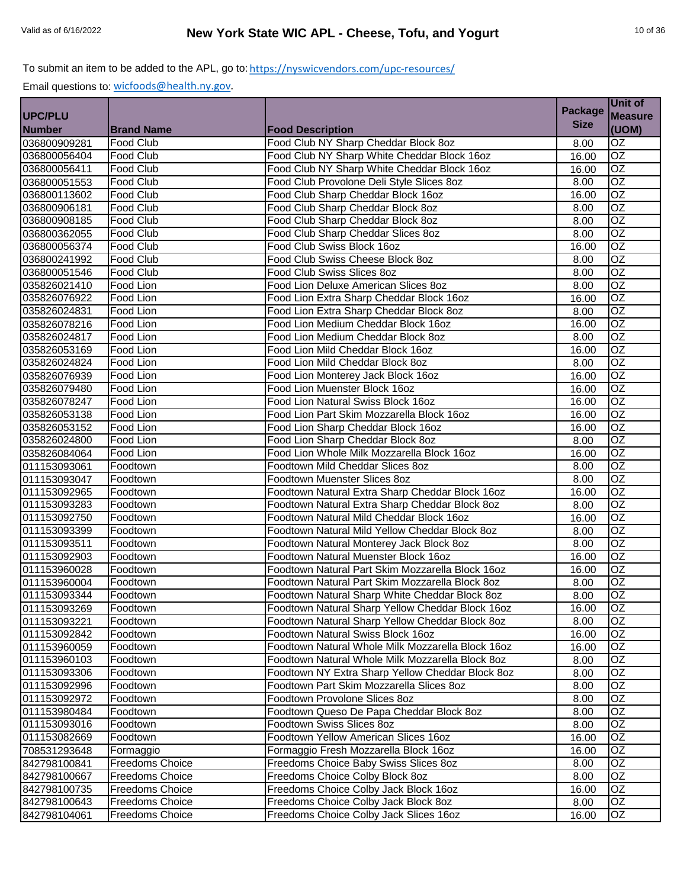|                |                        |                                                   | <b>Package</b> | Unit of         |
|----------------|------------------------|---------------------------------------------------|----------------|-----------------|
| <b>UPC/PLU</b> |                        |                                                   |                | <b>Measure</b>  |
| <b>Number</b>  | <b>Brand Name</b>      | <b>Food Description</b>                           | <b>Size</b>    | (UOM)           |
| 036800909281   | <b>Food Club</b>       | Food Club NY Sharp Cheddar Block 8oz              | 8.00           | OZ              |
| 036800056404   | Food Club              | Food Club NY Sharp White Cheddar Block 16oz       | 16.00          | $\overline{OZ}$ |
| 036800056411   | Food Club              | Food Club NY Sharp White Cheddar Block 16oz       | 16.00          | OZ              |
| 036800051553   | Food Club              | Food Club Provolone Deli Style Slices 8oz         | 8.00           | $\overline{OZ}$ |
| 036800113602   | Food Club              | Food Club Sharp Cheddar Block 16oz                | 16.00          | $\overline{OZ}$ |
| 036800906181   | <b>Food Club</b>       | Food Club Sharp Cheddar Block 8oz                 | 8.00           | $\overline{OZ}$ |
| 036800908185   | Food Club              | Food Club Sharp Cheddar Block 8oz                 | 8.00           | $\overline{OZ}$ |
| 036800362055   | <b>Food Club</b>       | Food Club Sharp Cheddar Slices 8oz                | 8.00           | $\overline{OZ}$ |
| 036800056374   | Food Club              | Food Club Swiss Block 16oz                        | 16.00          | $\overline{OZ}$ |
| 036800241992   | Food Club              | Food Club Swiss Cheese Block 8oz                  | 8.00           | $\overline{OZ}$ |
| 036800051546   | Food Club              | Food Club Swiss Slices 8oz                        | 8.00           | OZ              |
| 035826021410   | Food Lion              | Food Lion Deluxe American Slices 8oz              | 8.00           | OZ              |
| 035826076922   | Food Lion              | Food Lion Extra Sharp Cheddar Block 16oz          | 16.00          | OZ              |
| 035826024831   | Food Lion              | Food Lion Extra Sharp Cheddar Block 8oz           | 8.00           | $\overline{OZ}$ |
| 035826078216   | Food Lion              | Food Lion Medium Cheddar Block 16oz               | 16.00          | $\overline{OZ}$ |
| 035826024817   | Food Lion              | Food Lion Medium Cheddar Block 8oz                | 8.00           | $\overline{OZ}$ |
| 035826053169   | Food Lion              | Food Lion Mild Cheddar Block 16oz                 | 16.00          | $\overline{OZ}$ |
| 035826024824   | Food Lion              | Food Lion Mild Cheddar Block 8oz                  | 8.00           | $\overline{OZ}$ |
| 035826076939   | Food Lion              | Food Lion Monterey Jack Block 16oz                | 16.00          | OZ              |
| 035826079480   | Food Lion              | Food Lion Muenster Block 16oz                     | 16.00          | OZ              |
| 035826078247   | Food Lion              | Food Lion Natural Swiss Block 16oz                | 16.00          | $\overline{OZ}$ |
| 035826053138   | Food Lion              | Food Lion Part Skim Mozzarella Block 16oz         | 16.00          | OZ              |
| 035826053152   | Food Lion              | Food Lion Sharp Cheddar Block 16oz                | 16.00          | $\overline{OZ}$ |
| 035826024800   | Food Lion              | Food Lion Sharp Cheddar Block 8oz                 | 8.00           | OZ              |
| 035826084064   | Food Lion              | Food Lion Whole Milk Mozzarella Block 16oz        | 16.00          | $\overline{OZ}$ |
| 011153093061   | Foodtown               | Foodtown Mild Cheddar Slices 8oz                  | 8.00           | $\overline{OZ}$ |
| 011153093047   | Foodtown               | Foodtown Muenster Slices 8oz                      | 8.00           | $\overline{OZ}$ |
| 011153092965   | Foodtown               | Foodtown Natural Extra Sharp Cheddar Block 16oz   | 16.00          | $\overline{OZ}$ |
| 011153093283   | Foodtown               | Foodtown Natural Extra Sharp Cheddar Block 8oz    | 8.00           | $\overline{OZ}$ |
| 011153092750   | Foodtown               | Foodtown Natural Mild Cheddar Block 16oz          | 16.00          | OZ              |
| 011153093399   | Foodtown               | Foodtown Natural Mild Yellow Cheddar Block 8oz    | 8.00           | $\overline{OZ}$ |
| 011153093511   | Foodtown               | Foodtown Natural Monterey Jack Block 8oz          | 8.00           | OZ              |
| 011153092903   | Foodtown               | Foodtown Natural Muenster Block 16oz              | 16.00          | $\overline{OZ}$ |
| 011153960028   | Foodtown               | Foodtown Natural Part Skim Mozzarella Block 16oz  | 16.00          | $\overline{OZ}$ |
| 011153960004   | Foodtown               | Foodtown Natural Part Skim Mozzarella Block 8oz   | 8.00           | $\overline{OZ}$ |
| 011153093344   | Foodtown               | Foodtown Natural Sharp White Cheddar Block 8oz    | 8.00           | OZ              |
| 011153093269   | Foodtown               | Foodtown Natural Sharp Yellow Cheddar Block 16oz  | 16.00          | OZ              |
| 011153093221   | Foodtown               | Foodtown Natural Sharp Yellow Cheddar Block 8oz   | 8.00           | $\overline{OZ}$ |
| 011153092842   | Foodtown               | Foodtown Natural Swiss Block 16oz                 | 16.00          | <b>OZ</b>       |
| 011153960059   | Foodtown               | Foodtown Natural Whole Milk Mozzarella Block 16oz | 16.00          | OZ.             |
| 011153960103   | Foodtown               | Foodtown Natural Whole Milk Mozzarella Block 8oz  | 8.00           | OZ              |
| 011153093306   | Foodtown               | Foodtown NY Extra Sharp Yellow Cheddar Block 8oz  | 8.00           | OZ              |
| 011153092996   | Foodtown               | Foodtown Part Skim Mozzarella Slices 8oz          | 8.00           | OZ              |
| 011153092972   | Foodtown               | Foodtown Provolone Slices 8oz                     | 8.00           | OZ              |
| 011153980484   | Foodtown               | Foodtown Queso De Papa Cheddar Block 8oz          | 8.00           | OZ              |
| 011153093016   | Foodtown               | Foodtown Swiss Slices 8oz                         | 8.00           | OZ              |
| 011153082669   | Foodtown               | Foodtown Yellow American Slices 16oz              | 16.00          | OZ              |
| 708531293648   | Formaggio              | Formaggio Fresh Mozzarella Block 16oz             | 16.00          | OZ              |
| 842798100841   | Freedoms Choice        | Freedoms Choice Baby Swiss Slices 8oz             | 8.00           | OZ              |
| 842798100667   | <b>Freedoms Choice</b> | Freedoms Choice Colby Block 8oz                   | 8.00           | OZ              |
| 842798100735   | <b>Freedoms Choice</b> | Freedoms Choice Colby Jack Block 16oz             | 16.00          | OZ              |
| 842798100643   | Freedoms Choice        | Freedoms Choice Colby Jack Block 8oz              | 8.00           | OZ              |
| 842798104061   | <b>Freedoms Choice</b> | Freedoms Choice Colby Jack Slices 16oz            | 16.00          | OZ              |
|                |                        |                                                   |                |                 |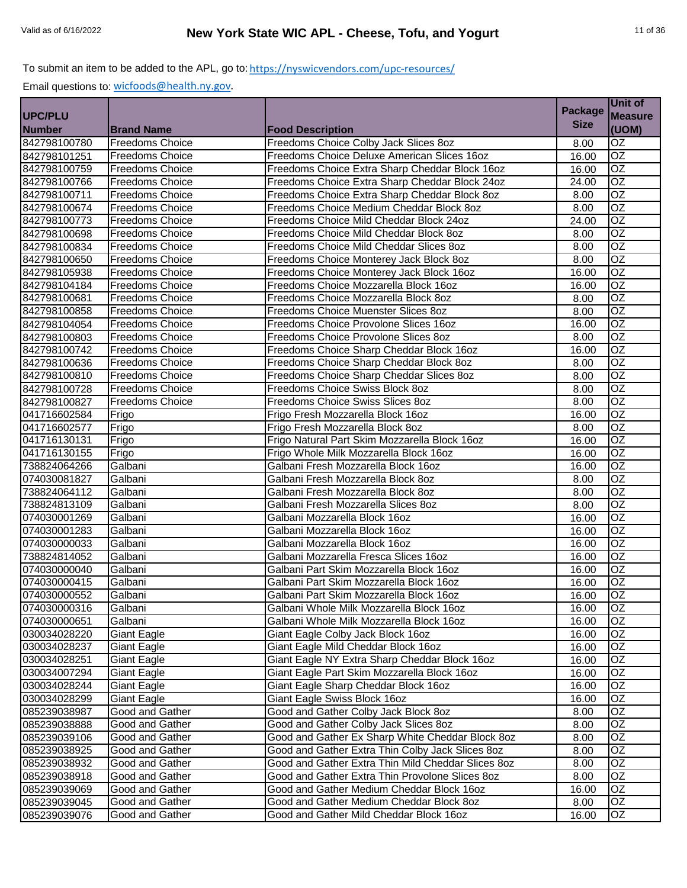|                |                        |                                                    | <b>Package</b> | Unit of         |
|----------------|------------------------|----------------------------------------------------|----------------|-----------------|
| <b>UPC/PLU</b> |                        |                                                    |                | <b>Measure</b>  |
| <b>Number</b>  | <b>Brand Name</b>      | <b>Food Description</b>                            | <b>Size</b>    | (UOM)           |
| 842798100780   | <b>Freedoms Choice</b> | Freedoms Choice Colby Jack Slices 8oz              | 8.00           | OZ              |
| 842798101251   | <b>Freedoms Choice</b> | Freedoms Choice Deluxe American Slices 16oz        | 16.00          | $\overline{OZ}$ |
| 842798100759   | <b>Freedoms Choice</b> | Freedoms Choice Extra Sharp Cheddar Block 16oz     | 16.00          | $\overline{OZ}$ |
| 842798100766   | <b>Freedoms Choice</b> | Freedoms Choice Extra Sharp Cheddar Block 24oz     | 24.00          | OZ              |
| 842798100711   | <b>Freedoms Choice</b> | Freedoms Choice Extra Sharp Cheddar Block 8oz      | 8.00           | $\overline{OZ}$ |
| 842798100674   | <b>Freedoms Choice</b> | Freedoms Choice Medium Cheddar Block 8oz           | 8.00           | $\overline{OZ}$ |
| 842798100773   | <b>Freedoms Choice</b> | Freedoms Choice Mild Cheddar Block 24oz            | 24.00          | $\overline{OZ}$ |
| 842798100698   | <b>Freedoms Choice</b> | Freedoms Choice Mild Cheddar Block 8oz             | 8.00           | OZ              |
| 842798100834   | <b>Freedoms Choice</b> | Freedoms Choice Mild Cheddar Slices 8oz            | 8.00           | $\overline{OZ}$ |
| 842798100650   | <b>Freedoms Choice</b> | Freedoms Choice Monterey Jack Block 8oz            | 8.00           | $\overline{OZ}$ |
| 842798105938   | <b>Freedoms Choice</b> | Freedoms Choice Monterey Jack Block 16oz           | 16.00          | OZ              |
| 842798104184   | <b>Freedoms Choice</b> | Freedoms Choice Mozzarella Block 16oz              | 16.00          | $\overline{OZ}$ |
| 842798100681   | <b>Freedoms Choice</b> | Freedoms Choice Mozzarella Block 8oz               | 8.00           | OZ              |
| 842798100858   | Freedoms Choice        | Freedoms Choice Muenster Slices 8oz                | 8.00           | $\overline{OZ}$ |
| 842798104054   | <b>Freedoms Choice</b> | Freedoms Choice Provolone Slices 16oz              | 16.00          | $\overline{OZ}$ |
| 842798100803   | <b>Freedoms Choice</b> | Freedoms Choice Provolone Slices 8oz               | 8.00           | $\overline{OZ}$ |
| 842798100742   | <b>Freedoms Choice</b> | Freedoms Choice Sharp Cheddar Block 16oz           | 16.00          | $\overline{OZ}$ |
| 842798100636   | <b>Freedoms Choice</b> | Freedoms Choice Sharp Cheddar Block 8oz            | 8.00           | $\overline{OZ}$ |
| 842798100810   | <b>Freedoms Choice</b> | Freedoms Choice Sharp Cheddar Slices 8oz           | 8.00           | $\overline{OZ}$ |
| 842798100728   | <b>Freedoms Choice</b> | Freedoms Choice Swiss Block 8oz                    | 8.00           | $\overline{OZ}$ |
| 842798100827   | <b>Freedoms Choice</b> | Freedoms Choice Swiss Slices 8oz                   | 8.00           | $\overline{OZ}$ |
| 041716602584   | Frigo                  | Frigo Fresh Mozzarella Block 16oz                  | 16.00          | OZ              |
| 041716602577   | Frigo                  | Frigo Fresh Mozzarella Block 8oz                   | 8.00           | $\overline{OZ}$ |
| 041716130131   | Frigo                  | Frigo Natural Part Skim Mozzarella Block 16oz      | 16.00          | $\overline{OZ}$ |
| 041716130155   | Frigo                  | Frigo Whole Milk Mozzarella Block 16oz             | 16.00          | $\overline{OZ}$ |
| 738824064266   | Galbani                | Galbani Fresh Mozzarella Block 16oz                | 16.00          | OZ              |
| 074030081827   | Galbani                | Galbani Fresh Mozzarella Block 8oz                 | 8.00           | $\overline{OZ}$ |
| 738824064112   | Galbani                | Galbani Fresh Mozzarella Block 8oz                 | 8.00           | $\overline{OZ}$ |
| 738824813109   | Galbani                | Galbani Fresh Mozzarella Slices 8oz                | 8.00           | $\overline{OZ}$ |
| 074030001269   | Galbani                | Galbani Mozzarella Block 16oz                      | 16.00          | $\overline{OZ}$ |
| 074030001283   | Galbani                | Galbani Mozzarella Block 16oz                      | 16.00          | $\overline{OZ}$ |
| 074030000033   | Galbani                | Galbani Mozzarella Block 16oz                      | 16.00          | <b>OZ</b>       |
| 738824814052   | Galbani                | Galbani Mozzarella Fresca Slices 16oz              | 16.00          | OZ              |
| 074030000040   | Galbani                | Galbani Part Skim Mozzarella Block 16oz            | 16.00          | $\overline{OZ}$ |
| 074030000415   | Galbani                | Galbani Part Skim Mozzarella Block 16oz            | 16.00          | $\overline{OZ}$ |
| 074030000552   | Galbani                | Galbani Part Skim Mozzarella Block 16oz            | 16.00          | <b>OZ</b>       |
| 074030000316   | Galbani                | Galbani Whole Milk Mozzarella Block 16oz           | 16.00          | OZ              |
| 074030000651   | Galbani                | Galbani Whole Milk Mozzarella Block 16oz           | 16.00          | OZ              |
| 030034028220   | <b>Giant Eagle</b>     | Giant Eagle Colby Jack Block 16oz                  | 16.00          | OZ              |
| 030034028237   | <b>Giant Eagle</b>     | Giant Eagle Mild Cheddar Block 16oz                | 16.00          | OZ              |
| 030034028251   | Giant Eagle            | Giant Eagle NY Extra Sharp Cheddar Block 16oz      | 16.00          | OZ.             |
| 030034007294   | <b>Giant Eagle</b>     | Giant Eagle Part Skim Mozzarella Block 16oz        | 16.00          | OZ              |
| 030034028244   | <b>Giant Eagle</b>     | Giant Eagle Sharp Cheddar Block 16oz               | 16.00          | OZ              |
| 030034028299   | Giant Eagle            | Giant Eagle Swiss Block 16oz                       | 16.00          | OZ              |
| 085239038987   | Good and Gather        | Good and Gather Colby Jack Block 8oz               | 8.00           | OZ              |
| 085239038888   | Good and Gather        | Good and Gather Colby Jack Slices 8oz              | 8.00           | OZ              |
| 085239039106   | Good and Gather        | Good and Gather Ex Sharp White Cheddar Block 8oz   | 8.00           | OZ              |
| 085239038925   | Good and Gather        | Good and Gather Extra Thin Colby Jack Slices 8oz   | 8.00           | OZ              |
| 085239038932   | Good and Gather        | Good and Gather Extra Thin Mild Cheddar Slices 8oz | 8.00           | OZ              |
| 085239038918   | Good and Gather        | Good and Gather Extra Thin Provolone Slices 8oz    | 8.00           | OZ              |
| 085239039069   | Good and Gather        | Good and Gather Medium Cheddar Block 16oz          | 16.00          | OZ              |
| 085239039045   | Good and Gather        | Good and Gather Medium Cheddar Block 8oz           | 8.00           | OZ.             |
| 085239039076   | Good and Gather        | Good and Gather Mild Cheddar Block 16oz            | 16.00          | OZ              |
|                |                        |                                                    |                |                 |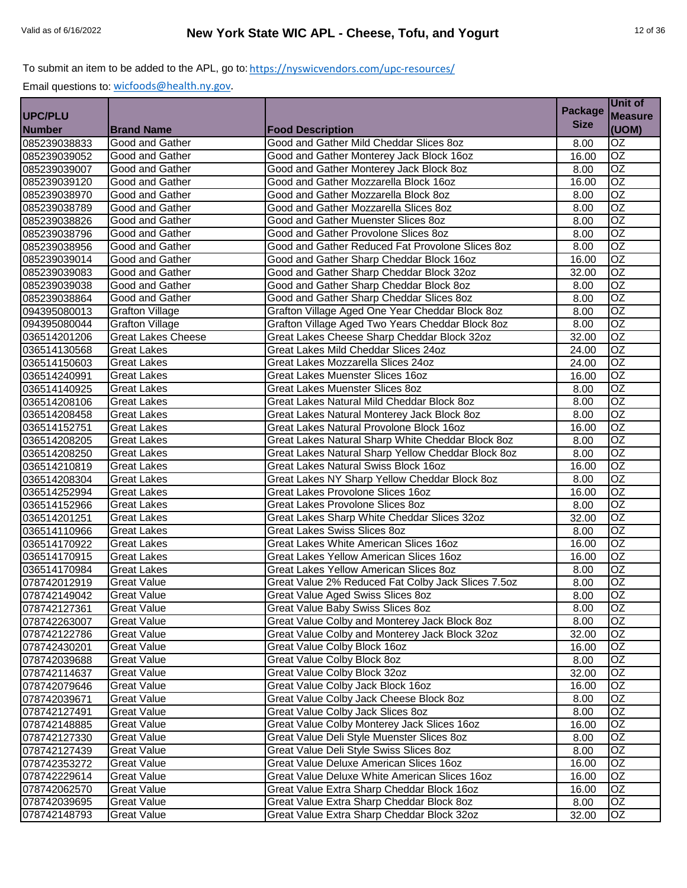|                |                           |                                                    | <b>Package</b> | Unit of         |
|----------------|---------------------------|----------------------------------------------------|----------------|-----------------|
| <b>UPC/PLU</b> |                           |                                                    |                | <b>Measure</b>  |
| <b>Number</b>  | <b>Brand Name</b>         | <b>Food Description</b>                            | <b>Size</b>    | (UOM)           |
| 085239038833   | Good and Gather           | Good and Gather Mild Cheddar Slices 8oz            | 8.00           | $\overline{OZ}$ |
| 085239039052   | Good and Gather           | Good and Gather Monterey Jack Block 16oz           | 16.00          | $\overline{OZ}$ |
| 085239039007   | Good and Gather           | Good and Gather Monterey Jack Block 8oz            | 8.00           | $\overline{OZ}$ |
| 085239039120   | <b>Good and Gather</b>    | Good and Gather Mozzarella Block 16oz              | 16.00          | $\overline{OZ}$ |
| 085239038970   | Good and Gather           | Good and Gather Mozzarella Block 8oz               | 8.00           | $\overline{OZ}$ |
| 085239038789   | Good and Gather           | Good and Gather Mozzarella Slices 8oz              | 8.00           | $\overline{OZ}$ |
| 085239038826   | Good and Gather           | Good and Gather Muenster Slices 8oz                | 8.00           | $\overline{OZ}$ |
| 085239038796   | Good and Gather           | Good and Gather Provolone Slices 8oz               | 8.00           | OZ              |
| 085239038956   | Good and Gather           | Good and Gather Reduced Fat Provolone Slices 8oz   | 8.00           | $\overline{OZ}$ |
| 085239039014   | Good and Gather           | Good and Gather Sharp Cheddar Block 16oz           | 16.00          | $\overline{OZ}$ |
| 085239039083   | Good and Gather           | Good and Gather Sharp Cheddar Block 32oz           | 32.00          | <b>OZ</b>       |
| 085239039038   | Good and Gather           | Good and Gather Sharp Cheddar Block 8oz            | 8.00           | $\overline{OZ}$ |
| 085239038864   | Good and Gather           | Good and Gather Sharp Cheddar Slices 8oz           | 8.00           | <b>OZ</b>       |
| 094395080013   | <b>Grafton Village</b>    | Grafton Village Aged One Year Cheddar Block 8oz    | 8.00           | OZ              |
| 094395080044   | <b>Grafton Village</b>    | Grafton Village Aged Two Years Cheddar Block 8oz   | 8.00           | $\overline{OZ}$ |
| 036514201206   | <b>Great Lakes Cheese</b> | Great Lakes Cheese Sharp Cheddar Block 32oz        | 32.00          | $\overline{OZ}$ |
| 036514130568   | <b>Great Lakes</b>        | Great Lakes Mild Cheddar Slices 24oz               | 24.00          | OZ              |
| 036514150603   | <b>Great Lakes</b>        | Great Lakes Mozzarella Slices 24oz                 | 24.00          | $\overline{OZ}$ |
| 036514240991   | <b>Great Lakes</b>        | Great Lakes Muenster Slices 16oz                   | 16.00          | $\overline{OZ}$ |
| 036514140925   | <b>Great Lakes</b>        | <b>Great Lakes Muenster Slices 8oz</b>             | 8.00           | $\overline{OZ}$ |
| 036514208106   | <b>Great Lakes</b>        | Great Lakes Natural Mild Cheddar Block 8oz         | 8.00           | $\overline{OZ}$ |
| 036514208458   | <b>Great Lakes</b>        | Great Lakes Natural Monterey Jack Block 8oz        | 8.00           | OZ              |
| 036514152751   | <b>Great Lakes</b>        | Great Lakes Natural Provolone Block 16oz           | 16.00          | $\overline{OZ}$ |
| 036514208205   | <b>Great Lakes</b>        | Great Lakes Natural Sharp White Cheddar Block 8oz  | 8.00           | $\overline{OZ}$ |
| 036514208250   | <b>Great Lakes</b>        | Great Lakes Natural Sharp Yellow Cheddar Block 8oz | 8.00           | $\overline{OZ}$ |
| 036514210819   | <b>Great Lakes</b>        | Great Lakes Natural Swiss Block 16oz               | 16.00          | OZ              |
| 036514208304   | <b>Great Lakes</b>        | Great Lakes NY Sharp Yellow Cheddar Block 8oz      | 8.00           | $\overline{OZ}$ |
| 036514252994   | <b>Great Lakes</b>        | Great Lakes Provolone Slices 16oz                  | 16.00          | $\overline{OZ}$ |
| 036514152966   | Great Lakes               | Great Lakes Provolone Slices 8oz                   | 8.00           | $\overline{OZ}$ |
| 036514201251   | <b>Great Lakes</b>        | Great Lakes Sharp White Cheddar Slices 32oz        | 32.00          | $\overline{OZ}$ |
| 036514110966   | <b>Great Lakes</b>        | <b>Great Lakes Swiss Slices 8oz</b>                | 8.00           | $\overline{OZ}$ |
| 036514170922   | <b>Great Lakes</b>        | Great Lakes White American Slices 16oz             | 16.00          | <b>OZ</b>       |
| 036514170915   | <b>Great Lakes</b>        | Great Lakes Yellow American Slices 16oz            | 16.00          | OZ              |
| 036514170984   | <b>Great Lakes</b>        | <b>Great Lakes Yellow American Slices 8oz</b>      | 8.00           | $\overline{OZ}$ |
| 078742012919   | <b>Great Value</b>        | Great Value 2% Reduced Fat Colby Jack Slices 7.5oz | 8.00           | OZ              |
| 078742149042   | <b>Great Value</b>        | Great Value Aged Swiss Slices 8oz                  | 8.00           | OZ              |
| 078742127361   | <b>Great Value</b>        | Great Value Baby Swiss Slices 8oz                  | 8.00           | OZ              |
| 078742263007   | <b>Great Value</b>        | Great Value Colby and Monterey Jack Block 8oz      | 8.00           | $\overline{OZ}$ |
| 078742122786   | <b>Great Value</b>        | Great Value Colby and Monterey Jack Block 32oz     | 32.00          | OZ              |
| 078742430201   | <b>Great Value</b>        | Great Value Colby Block 16oz                       | 16.00          | OZ.             |
| 078742039688   | <b>Great Value</b>        | Great Value Colby Block 8oz                        | 8.00           | OZ.             |
| 078742114637   | <b>Great Value</b>        | Great Value Colby Block 32oz                       | 32.00          | OZ              |
| 078742079646   | <b>Great Value</b>        | Great Value Colby Jack Block 16oz                  | 16.00          | OZ              |
| 078742039671   | <b>Great Value</b>        | Great Value Colby Jack Cheese Block 8oz            | 8.00           | OZ              |
| 078742127491   | <b>Great Value</b>        | Great Value Colby Jack Slices 8oz                  | 8.00           | OZ              |
| 078742148885   | <b>Great Value</b>        | Great Value Colby Monterey Jack Slices 16oz        | 16.00          | OZ              |
| 078742127330   | <b>Great Value</b>        | Great Value Deli Style Muenster Slices 80z         | 8.00           | OZ              |
| 078742127439   | <b>Great Value</b>        | Great Value Deli Style Swiss Slices 80z            | 8.00           | OZ              |
| 078742353272   | <b>Great Value</b>        | Great Value Deluxe American Slices 160z            | 16.00          | OZ              |
| 078742229614   | <b>Great Value</b>        | Great Value Deluxe White American Slices 16oz      | 16.00          | OZ              |
| 078742062570   | <b>Great Value</b>        | Great Value Extra Sharp Cheddar Block 16oz         | 16.00          | OZ              |
| 078742039695   | <b>Great Value</b>        | Great Value Extra Sharp Cheddar Block 8oz          | 8.00           | OZ              |
| 078742148793   | <b>Great Value</b>        | Great Value Extra Sharp Cheddar Block 32oz         | 32.00          | OZ              |
|                |                           |                                                    |                |                 |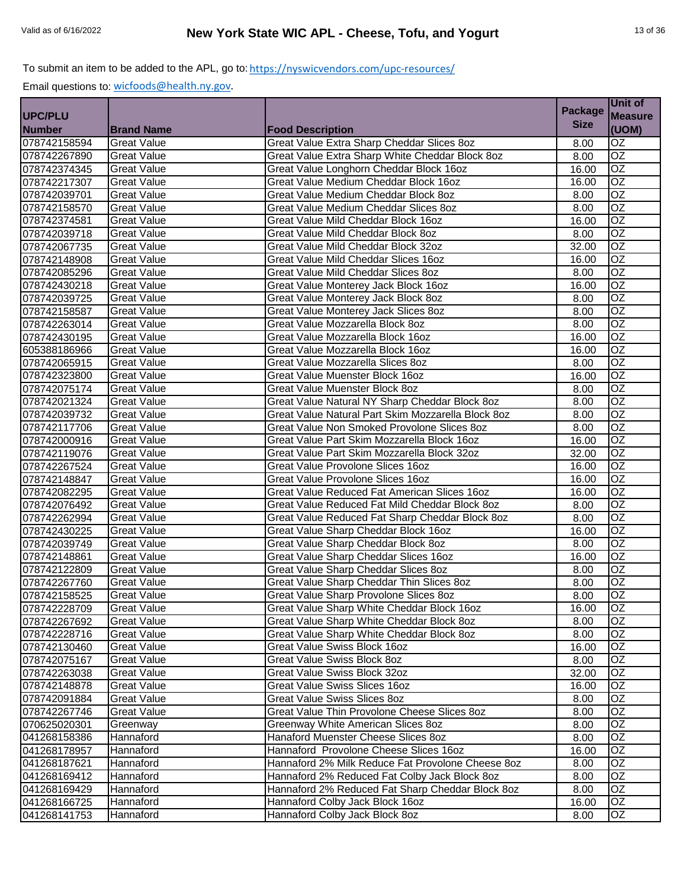|                |                    |                                                    |                | Unit of         |
|----------------|--------------------|----------------------------------------------------|----------------|-----------------|
| <b>UPC/PLU</b> |                    |                                                    | <b>Package</b> | <b>Measure</b>  |
| <b>Number</b>  | <b>Brand Name</b>  | <b>Food Description</b>                            | <b>Size</b>    | (UOM)           |
| 078742158594   | <b>Great Value</b> | Great Value Extra Sharp Cheddar Slices 8oz         | 8.00           | OZ              |
| 078742267890   | <b>Great Value</b> | Great Value Extra Sharp White Cheddar Block 8oz    | 8.00           | $\overline{OZ}$ |
| 078742374345   | <b>Great Value</b> | Great Value Longhorn Cheddar Block 16oz            | 16.00          | OZ              |
| 078742217307   | <b>Great Value</b> | Great Value Medium Cheddar Block 16oz              | 16.00          | OZ              |
| 078742039701   | <b>Great Value</b> | Great Value Medium Cheddar Block 8oz               | 8.00           | $\overline{OZ}$ |
| 078742158570   | <b>Great Value</b> | Great Value Medium Cheddar Slices 80z              | 8.00           | $\overline{OZ}$ |
| 078742374581   | <b>Great Value</b> | Great Value Mild Cheddar Block 16oz                | 16.00          | $\overline{OZ}$ |
| 078742039718   | <b>Great Value</b> | Great Value Mild Cheddar Block 8oz                 | 8.00           | $\overline{OZ}$ |
| 078742067735   | <b>Great Value</b> | Great Value Mild Cheddar Block 32oz                | 32.00          | OZ              |
| 078742148908   | <b>Great Value</b> | Great Value Mild Cheddar Slices 16oz               | 16.00          | OZ              |
| 078742085296   | <b>Great Value</b> | Great Value Mild Cheddar Slices 80z                | 8.00           | $\overline{OZ}$ |
| 078742430218   | <b>Great Value</b> | Great Value Monterey Jack Block 16oz               | 16.00          | OZ              |
| 078742039725   | <b>Great Value</b> | Great Value Monterey Jack Block 8oz                | 8.00           | <b>OZ</b>       |
| 078742158587   | <b>Great Value</b> | Great Value Monterey Jack Slices 8oz               | 8.00           | $\overline{OZ}$ |
| 078742263014   | <b>Great Value</b> | Great Value Mozzarella Block 8oz                   | 8.00           | OZ              |
| 078742430195   | <b>Great Value</b> | Great Value Mozzarella Block 16oz                  | 16.00          | OZ              |
| 605388186966   | Great Value        | Great Value Mozzarella Block 16oz                  | 16.00          | OZ              |
| 078742065915   | <b>Great Value</b> | Great Value Mozzarella Slices 8oz                  | 8.00           | $\overline{OZ}$ |
| 078742323800   | <b>Great Value</b> | Great Value Muenster Block 16oz                    | 16.00          | OZ              |
| 078742075174   | <b>Great Value</b> | Great Value Muenster Block 8oz                     | 8.00           | $\overline{OZ}$ |
| 078742021324   | <b>Great Value</b> | Great Value Natural NY Sharp Cheddar Block 8oz     | 8.00           | $\overline{OZ}$ |
| 078742039732   | <b>Great Value</b> | Great Value Natural Part Skim Mozzarella Block 8oz | 8.00           | OZ              |
| 078742117706   | <b>Great Value</b> | Great Value Non Smoked Provolone Slices 8oz        | 8.00           | OZ              |
| 078742000916   | <b>Great Value</b> | Great Value Part Skim Mozzarella Block 16oz        | 16.00          | <b>OZ</b>       |
| 078742119076   | <b>Great Value</b> | Great Value Part Skim Mozzarella Block 32oz        | 32.00          | $\overline{OZ}$ |
| 078742267524   | <b>Great Value</b> | Great Value Provolone Slices 16oz                  | 16.00          | OZ              |
| 078742148847   | <b>Great Value</b> | <b>Great Value Provolone Slices 16oz</b>           | 16.00          | OZ              |
| 078742082295   | <b>Great Value</b> | Great Value Reduced Fat American Slices 16oz       | 16.00          | OZ              |
| 078742076492   | <b>Great Value</b> | Great Value Reduced Fat Mild Cheddar Block 8oz     | 8.00           | OZ              |
| 078742262994   | <b>Great Value</b> | Great Value Reduced Fat Sharp Cheddar Block 8oz    | 8.00           | $\overline{OZ}$ |
| 078742430225   | <b>Great Value</b> | Great Value Sharp Cheddar Block 16oz               | 16.00          | OZ              |
| 078742039749   | <b>Great Value</b> | Great Value Sharp Cheddar Block 8oz                | 8.00           | OZ              |
| 078742148861   | <b>Great Value</b> | Great Value Sharp Cheddar Slices 16oz              | 16.00          | OZ              |
| 078742122809   | <b>Great Value</b> | Great Value Sharp Cheddar Slices 80z               | 8.00           | $\overline{OZ}$ |
| 078742267760   | <b>Great Value</b> | Great Value Sharp Cheddar Thin Slices 8oz          | 8.00           | OZ              |
| 078742158525   | <b>Great Value</b> | Great Value Sharp Provolone Slices 8oz             | 8.00           | OZ              |
| 078742228709   | <b>Great Value</b> | Great Value Sharp White Cheddar Block 16oz         | 16.00          | OZ              |
| 078742267692   | <b>Great Value</b> | Great Value Sharp White Cheddar Block 8oz          | 8.00           | OZ              |
| 078742228716   | <b>Great Value</b> | Great Value Sharp White Cheddar Block 8oz          | 8.00           | OZ              |
| 078742130460   | <b>Great Value</b> | Great Value Swiss Block 16oz                       | 16.00          | OZ              |
| 078742075167   | <b>Great Value</b> | Great Value Swiss Block 8oz                        | 8.00           | OZ              |
| 078742263038   | <b>Great Value</b> | Great Value Swiss Block 32oz                       | 32.00          | OZ              |
| 078742148878   | <b>Great Value</b> | Great Value Swiss Slices 16oz                      | 16.00          | OZ              |
| 078742091884   | <b>Great Value</b> | Great Value Swiss Slices 8oz                       | 8.00           | OZ              |
| 078742267746   | <b>Great Value</b> | Great Value Thin Provolone Cheese Slices 80z       | 8.00           | OZ              |
| 070625020301   | Greenway           | Greenway White American Slices 8oz                 | 8.00           | OZ              |
| 041268158386   | Hannaford          | Hanaford Muenster Cheese Slices 8oz                | 8.00           | OZ              |
| 041268178957   | Hannaford          | Hannaford Provolone Cheese Slices 16oz             | 16.00          | OZ              |
| 041268187621   | Hannaford          | Hannaford 2% Milk Reduce Fat Provolone Cheese 8oz  | 8.00           | OZ              |
| 041268169412   | Hannaford          | Hannaford 2% Reduced Fat Colby Jack Block 8oz      | 8.00           | OZ              |
| 041268169429   | Hannaford          | Hannaford 2% Reduced Fat Sharp Cheddar Block 8oz   | 8.00           | OZ              |
| 041268166725   | Hannaford          | Hannaford Colby Jack Block 16oz                    | 16.00          | OZ              |
| 041268141753   | Hannaford          | Hannaford Colby Jack Block 8oz                     | 8.00           | OZ              |
|                |                    |                                                    |                |                 |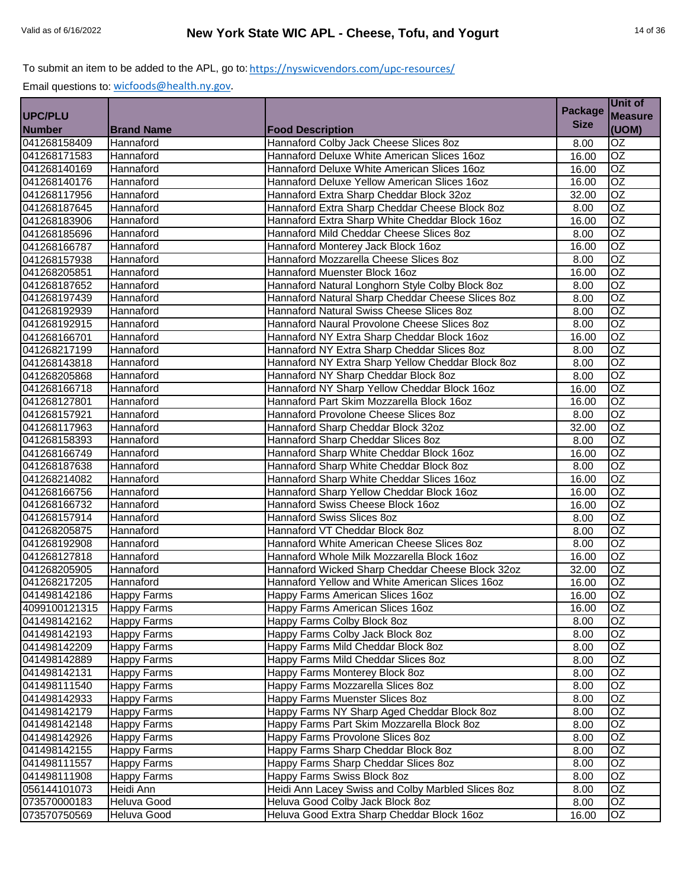| <b>Measure</b><br><b>Size</b><br>(UOM)<br><b>Brand Name</b><br><b>Food Description</b><br>$\overline{OZ}$<br>Hannaford Colby Jack Cheese Slices 8oz<br>Hannaford<br>8.00<br>$\overline{OZ}$<br>Hannaford Deluxe White American Slices 16oz<br>Hannaford<br>16.00<br>041268140169<br>$\overline{OZ}$<br>Hannaford<br>Hannaford Deluxe White American Slices 16oz<br>16.00<br>$\overline{OZ}$<br>Hannaford<br>Hannaford Deluxe Yellow American Slices 16oz<br>16.00<br>$\overline{OZ}$<br>Hannaford<br>Hannaford Extra Sharp Cheddar Block 32oz<br>32.00<br>$\overline{OZ}$<br>Hannaford<br>Hannaford Extra Sharp Cheddar Cheese Block 8oz<br>8.00<br>$\overline{OZ}$<br>Hannaford<br>Hannaford Extra Sharp White Cheddar Block 16oz<br>16.00<br>OZ<br>Hannaford Mild Cheddar Cheese Slices 8oz<br>Hannaford<br>8.00<br>$\overline{OZ}$<br>Hannaford<br>Hannaford Monterey Jack Block 16oz<br>16.00<br>$\overline{OZ}$<br>Hannaford<br>Hannaford Mozzarella Cheese Slices 8oz<br>8.00<br>OZ<br>Hannaford<br>Hannaford Muenster Block 16oz<br>16.00<br>$\overline{OZ}$<br>Hannaford<br>Hannaford Natural Longhorn Style Colby Block 8oz<br>8.00<br><b>OZ</b><br>041268197439<br>Hannaford<br>Hannaford Natural Sharp Cheddar Cheese Slices 8oz<br>8.00<br>$\overline{OZ}$<br>Hannaford<br>Hannaford Natural Swiss Cheese Slices 8oz<br>8.00<br>$\overline{OZ}$<br>Hannaford Naural Provolone Cheese Slices 8oz<br>Hannaford<br>8.00<br>$\overline{OZ}$<br>Hannaford<br>Hannaford NY Extra Sharp Cheddar Block 16oz<br>16.00<br>$\overline{OZ}$<br>Hannaford<br>Hannaford NY Extra Sharp Cheddar Slices 8oz<br>8.00<br>$\overline{OZ}$<br>Hannaford NY Extra Sharp Yellow Cheddar Block 8oz<br>Hannaford<br>8.00<br>OZ<br>Hannaford<br>Hannaford NY Sharp Cheddar Block 8oz<br>8.00<br>$\overline{OZ}$<br>Hannaford NY Sharp Yellow Cheddar Block 16oz<br>Hannaford<br>16.00<br>$\overline{OZ}$<br>Hannaford Part Skim Mozzarella Block 16oz<br>Hannaford<br>16.00<br>$\overline{OZ}$<br>Hannaford<br>Hannaford Provolone Cheese Slices 8oz<br>8.00<br>$\overline{OZ}$<br>Hannaford<br>Hannaford Sharp Cheddar Block 32oz<br>32.00<br>OZ<br>Hannaford<br>Hannaford Sharp Cheddar Slices 8oz<br>8.00<br>OZ<br>041268166749<br>Hannaford Sharp White Cheddar Block 16oz<br>16.00<br>Hannaford<br>$\overline{OZ}$<br>041268187638<br>Hannaford Sharp White Cheddar Block 8oz<br>Hannaford<br>8.00<br>OZ<br>Hannaford Sharp White Cheddar Slices 16oz<br>Hannaford<br>16.00<br>041268166756<br>$\overline{OZ}$<br>Hannaford Sharp Yellow Cheddar Block 16oz<br>Hannaford<br>16.00<br>$\overline{OZ}$<br>Hannaford<br>Hannaford Swiss Cheese Block 16oz<br>16.00<br>$\overline{OZ}$<br>Hannaford<br>Hannaford Swiss Slices 8oz<br>8.00<br>$\overline{OZ}$<br>Hannaford<br>Hannaford VT Cheddar Block 8oz<br>8.00<br>OZ<br>Hannaford<br>Hannaford White American Cheese Slices 8oz<br>8.00<br>OZ<br>Hannaford Whole Milk Mozzarella Block 16oz<br>Hannaford<br>16.00<br>OZ<br>041268205905<br>Hannaford<br>Hannaford Wicked Sharp Cheddar Cheese Block 32oz<br>32.00<br>OZ<br>041268217205<br>Hannaford Yellow and White American Slices 16oz<br>Hannaford<br>16.00<br><b>OZ</b><br><b>Happy Farms</b><br>Happy Farms American Slices 16oz<br>16.00<br><b>Happy Farms</b><br>Happy Farms American Slices 16oz<br>OZ<br>4099100121315<br>16.00<br>$\overline{OZ}$<br><b>Happy Farms</b><br>Happy Farms Colby Block 8oz<br>8.00<br>041498142193<br>Happy Farms Colby Jack Block 8oz<br>OZ<br><b>Happy Farms</b><br>8.00<br>Happy Farms Mild Cheddar Block 8oz<br>OZ<br>041498142209<br><b>Happy Farms</b><br>8.00<br>041498142889<br>OZ<br><b>Happy Farms</b><br>Happy Farms Mild Cheddar Slices 8oz<br>8.00<br>Happy Farms Monterey Block 8oz<br>041498142131<br>Happy Farms<br>OZ<br>8.00<br>OZ<br><b>Happy Farms</b><br>Happy Farms Mozzarella Slices 8oz<br>8.00<br>OZ<br>041498142933<br>Happy Farms Muenster Slices 8oz<br><b>Happy Farms</b><br>8.00<br>OZ<br><b>Happy Farms</b><br>Happy Farms NY Sharp Aged Cheddar Block 8oz<br>8.00<br>$\overline{OZ}$<br><b>Happy Farms</b><br>Happy Farms Part Skim Mozzarella Block 8oz<br>041498142148<br>8.00<br>OZ<br><b>Happy Farms</b><br>Happy Farms Provolone Slices 8oz<br>8.00<br>041498142155<br>Happy Farms<br>Happy Farms Sharp Cheddar Block 8oz<br>OZ<br>8.00<br>$\overline{OZ}$<br>Happy Farms Sharp Cheddar Slices 80z<br>Happy Farms<br>8.00<br>Happy Farms Swiss Block 8oz<br>OZ<br>041498111908<br>Happy Farms<br>8.00<br>056144101073<br>Heidi Ann Lacey Swiss and Colby Marbled Slices 8oz<br>Heidi Ann<br>OZ<br>8.00<br>Heluva Good<br>Heluva Good Colby Jack Block 8oz<br>OZ<br>8.00<br>Heluva Good Extra Sharp Cheddar Block 16oz<br>Heluva Good<br>16.00<br>OZ |                |  | <b>Package</b> | Unit of |
|---------------------------------------------------------------------------------------------------------------------------------------------------------------------------------------------------------------------------------------------------------------------------------------------------------------------------------------------------------------------------------------------------------------------------------------------------------------------------------------------------------------------------------------------------------------------------------------------------------------------------------------------------------------------------------------------------------------------------------------------------------------------------------------------------------------------------------------------------------------------------------------------------------------------------------------------------------------------------------------------------------------------------------------------------------------------------------------------------------------------------------------------------------------------------------------------------------------------------------------------------------------------------------------------------------------------------------------------------------------------------------------------------------------------------------------------------------------------------------------------------------------------------------------------------------------------------------------------------------------------------------------------------------------------------------------------------------------------------------------------------------------------------------------------------------------------------------------------------------------------------------------------------------------------------------------------------------------------------------------------------------------------------------------------------------------------------------------------------------------------------------------------------------------------------------------------------------------------------------------------------------------------------------------------------------------------------------------------------------------------------------------------------------------------------------------------------------------------------------------------------------------------------------------------------------------------------------------------------------------------------------------------------------------------------------------------------------------------------------------------------------------------------------------------------------------------------------------------------------------------------------------------------------------------------------------------------------------------------------------------------------------------------------------------------------------------------------------------------------------------------------------------------------------------------------------------------------------------------------------------------------------------------------------------------------------------------------------------------------------------------------------------------------------------------------------------------------------------------------------------------------------------------------------------------------------------------------------------------------------------------------------------------------------------------------------------------------------------------------------------------------------------------------------------------------------------------------------------------------------------------------------------------------------------------------------------------------------------------------------------------------------------------------------------------------------------------------------------------------------------------------------------------------------------------------------------------------------------------------------------------------------------------------------------------------------------------------------------------------------------------------------------------------------------------------------------------------------------------------------------------------------------------------------------------------------------------------------------------------------------------------------------------------------------------------------------------------------------------|----------------|--|----------------|---------|
|                                                                                                                                                                                                                                                                                                                                                                                                                                                                                                                                                                                                                                                                                                                                                                                                                                                                                                                                                                                                                                                                                                                                                                                                                                                                                                                                                                                                                                                                                                                                                                                                                                                                                                                                                                                                                                                                                                                                                                                                                                                                                                                                                                                                                                                                                                                                                                                                                                                                                                                                                                                                                                                                                                                                                                                                                                                                                                                                                                                                                                                                                                                                                                                                                                                                                                                                                                                                                                                                                                                                                                                                                                                                                                                                                                                                                                                                                                                                                                                                                                                                                                                                                                                                                                                                                                                                                                                                                                                                                                                                                                                                                                                                                                                           | <b>UPC/PLU</b> |  |                |         |
|                                                                                                                                                                                                                                                                                                                                                                                                                                                                                                                                                                                                                                                                                                                                                                                                                                                                                                                                                                                                                                                                                                                                                                                                                                                                                                                                                                                                                                                                                                                                                                                                                                                                                                                                                                                                                                                                                                                                                                                                                                                                                                                                                                                                                                                                                                                                                                                                                                                                                                                                                                                                                                                                                                                                                                                                                                                                                                                                                                                                                                                                                                                                                                                                                                                                                                                                                                                                                                                                                                                                                                                                                                                                                                                                                                                                                                                                                                                                                                                                                                                                                                                                                                                                                                                                                                                                                                                                                                                                                                                                                                                                                                                                                                                           | <b>Number</b>  |  |                |         |
|                                                                                                                                                                                                                                                                                                                                                                                                                                                                                                                                                                                                                                                                                                                                                                                                                                                                                                                                                                                                                                                                                                                                                                                                                                                                                                                                                                                                                                                                                                                                                                                                                                                                                                                                                                                                                                                                                                                                                                                                                                                                                                                                                                                                                                                                                                                                                                                                                                                                                                                                                                                                                                                                                                                                                                                                                                                                                                                                                                                                                                                                                                                                                                                                                                                                                                                                                                                                                                                                                                                                                                                                                                                                                                                                                                                                                                                                                                                                                                                                                                                                                                                                                                                                                                                                                                                                                                                                                                                                                                                                                                                                                                                                                                                           | 041268158409   |  |                |         |
|                                                                                                                                                                                                                                                                                                                                                                                                                                                                                                                                                                                                                                                                                                                                                                                                                                                                                                                                                                                                                                                                                                                                                                                                                                                                                                                                                                                                                                                                                                                                                                                                                                                                                                                                                                                                                                                                                                                                                                                                                                                                                                                                                                                                                                                                                                                                                                                                                                                                                                                                                                                                                                                                                                                                                                                                                                                                                                                                                                                                                                                                                                                                                                                                                                                                                                                                                                                                                                                                                                                                                                                                                                                                                                                                                                                                                                                                                                                                                                                                                                                                                                                                                                                                                                                                                                                                                                                                                                                                                                                                                                                                                                                                                                                           | 041268171583   |  |                |         |
|                                                                                                                                                                                                                                                                                                                                                                                                                                                                                                                                                                                                                                                                                                                                                                                                                                                                                                                                                                                                                                                                                                                                                                                                                                                                                                                                                                                                                                                                                                                                                                                                                                                                                                                                                                                                                                                                                                                                                                                                                                                                                                                                                                                                                                                                                                                                                                                                                                                                                                                                                                                                                                                                                                                                                                                                                                                                                                                                                                                                                                                                                                                                                                                                                                                                                                                                                                                                                                                                                                                                                                                                                                                                                                                                                                                                                                                                                                                                                                                                                                                                                                                                                                                                                                                                                                                                                                                                                                                                                                                                                                                                                                                                                                                           |                |  |                |         |
|                                                                                                                                                                                                                                                                                                                                                                                                                                                                                                                                                                                                                                                                                                                                                                                                                                                                                                                                                                                                                                                                                                                                                                                                                                                                                                                                                                                                                                                                                                                                                                                                                                                                                                                                                                                                                                                                                                                                                                                                                                                                                                                                                                                                                                                                                                                                                                                                                                                                                                                                                                                                                                                                                                                                                                                                                                                                                                                                                                                                                                                                                                                                                                                                                                                                                                                                                                                                                                                                                                                                                                                                                                                                                                                                                                                                                                                                                                                                                                                                                                                                                                                                                                                                                                                                                                                                                                                                                                                                                                                                                                                                                                                                                                                           | 041268140176   |  |                |         |
|                                                                                                                                                                                                                                                                                                                                                                                                                                                                                                                                                                                                                                                                                                                                                                                                                                                                                                                                                                                                                                                                                                                                                                                                                                                                                                                                                                                                                                                                                                                                                                                                                                                                                                                                                                                                                                                                                                                                                                                                                                                                                                                                                                                                                                                                                                                                                                                                                                                                                                                                                                                                                                                                                                                                                                                                                                                                                                                                                                                                                                                                                                                                                                                                                                                                                                                                                                                                                                                                                                                                                                                                                                                                                                                                                                                                                                                                                                                                                                                                                                                                                                                                                                                                                                                                                                                                                                                                                                                                                                                                                                                                                                                                                                                           | 041268117956   |  |                |         |
|                                                                                                                                                                                                                                                                                                                                                                                                                                                                                                                                                                                                                                                                                                                                                                                                                                                                                                                                                                                                                                                                                                                                                                                                                                                                                                                                                                                                                                                                                                                                                                                                                                                                                                                                                                                                                                                                                                                                                                                                                                                                                                                                                                                                                                                                                                                                                                                                                                                                                                                                                                                                                                                                                                                                                                                                                                                                                                                                                                                                                                                                                                                                                                                                                                                                                                                                                                                                                                                                                                                                                                                                                                                                                                                                                                                                                                                                                                                                                                                                                                                                                                                                                                                                                                                                                                                                                                                                                                                                                                                                                                                                                                                                                                                           | 041268187645   |  |                |         |
|                                                                                                                                                                                                                                                                                                                                                                                                                                                                                                                                                                                                                                                                                                                                                                                                                                                                                                                                                                                                                                                                                                                                                                                                                                                                                                                                                                                                                                                                                                                                                                                                                                                                                                                                                                                                                                                                                                                                                                                                                                                                                                                                                                                                                                                                                                                                                                                                                                                                                                                                                                                                                                                                                                                                                                                                                                                                                                                                                                                                                                                                                                                                                                                                                                                                                                                                                                                                                                                                                                                                                                                                                                                                                                                                                                                                                                                                                                                                                                                                                                                                                                                                                                                                                                                                                                                                                                                                                                                                                                                                                                                                                                                                                                                           | 041268183906   |  |                |         |
|                                                                                                                                                                                                                                                                                                                                                                                                                                                                                                                                                                                                                                                                                                                                                                                                                                                                                                                                                                                                                                                                                                                                                                                                                                                                                                                                                                                                                                                                                                                                                                                                                                                                                                                                                                                                                                                                                                                                                                                                                                                                                                                                                                                                                                                                                                                                                                                                                                                                                                                                                                                                                                                                                                                                                                                                                                                                                                                                                                                                                                                                                                                                                                                                                                                                                                                                                                                                                                                                                                                                                                                                                                                                                                                                                                                                                                                                                                                                                                                                                                                                                                                                                                                                                                                                                                                                                                                                                                                                                                                                                                                                                                                                                                                           | 041268185696   |  |                |         |
|                                                                                                                                                                                                                                                                                                                                                                                                                                                                                                                                                                                                                                                                                                                                                                                                                                                                                                                                                                                                                                                                                                                                                                                                                                                                                                                                                                                                                                                                                                                                                                                                                                                                                                                                                                                                                                                                                                                                                                                                                                                                                                                                                                                                                                                                                                                                                                                                                                                                                                                                                                                                                                                                                                                                                                                                                                                                                                                                                                                                                                                                                                                                                                                                                                                                                                                                                                                                                                                                                                                                                                                                                                                                                                                                                                                                                                                                                                                                                                                                                                                                                                                                                                                                                                                                                                                                                                                                                                                                                                                                                                                                                                                                                                                           | 041268166787   |  |                |         |
|                                                                                                                                                                                                                                                                                                                                                                                                                                                                                                                                                                                                                                                                                                                                                                                                                                                                                                                                                                                                                                                                                                                                                                                                                                                                                                                                                                                                                                                                                                                                                                                                                                                                                                                                                                                                                                                                                                                                                                                                                                                                                                                                                                                                                                                                                                                                                                                                                                                                                                                                                                                                                                                                                                                                                                                                                                                                                                                                                                                                                                                                                                                                                                                                                                                                                                                                                                                                                                                                                                                                                                                                                                                                                                                                                                                                                                                                                                                                                                                                                                                                                                                                                                                                                                                                                                                                                                                                                                                                                                                                                                                                                                                                                                                           | 041268157938   |  |                |         |
|                                                                                                                                                                                                                                                                                                                                                                                                                                                                                                                                                                                                                                                                                                                                                                                                                                                                                                                                                                                                                                                                                                                                                                                                                                                                                                                                                                                                                                                                                                                                                                                                                                                                                                                                                                                                                                                                                                                                                                                                                                                                                                                                                                                                                                                                                                                                                                                                                                                                                                                                                                                                                                                                                                                                                                                                                                                                                                                                                                                                                                                                                                                                                                                                                                                                                                                                                                                                                                                                                                                                                                                                                                                                                                                                                                                                                                                                                                                                                                                                                                                                                                                                                                                                                                                                                                                                                                                                                                                                                                                                                                                                                                                                                                                           | 041268205851   |  |                |         |
|                                                                                                                                                                                                                                                                                                                                                                                                                                                                                                                                                                                                                                                                                                                                                                                                                                                                                                                                                                                                                                                                                                                                                                                                                                                                                                                                                                                                                                                                                                                                                                                                                                                                                                                                                                                                                                                                                                                                                                                                                                                                                                                                                                                                                                                                                                                                                                                                                                                                                                                                                                                                                                                                                                                                                                                                                                                                                                                                                                                                                                                                                                                                                                                                                                                                                                                                                                                                                                                                                                                                                                                                                                                                                                                                                                                                                                                                                                                                                                                                                                                                                                                                                                                                                                                                                                                                                                                                                                                                                                                                                                                                                                                                                                                           | 041268187652   |  |                |         |
|                                                                                                                                                                                                                                                                                                                                                                                                                                                                                                                                                                                                                                                                                                                                                                                                                                                                                                                                                                                                                                                                                                                                                                                                                                                                                                                                                                                                                                                                                                                                                                                                                                                                                                                                                                                                                                                                                                                                                                                                                                                                                                                                                                                                                                                                                                                                                                                                                                                                                                                                                                                                                                                                                                                                                                                                                                                                                                                                                                                                                                                                                                                                                                                                                                                                                                                                                                                                                                                                                                                                                                                                                                                                                                                                                                                                                                                                                                                                                                                                                                                                                                                                                                                                                                                                                                                                                                                                                                                                                                                                                                                                                                                                                                                           |                |  |                |         |
|                                                                                                                                                                                                                                                                                                                                                                                                                                                                                                                                                                                                                                                                                                                                                                                                                                                                                                                                                                                                                                                                                                                                                                                                                                                                                                                                                                                                                                                                                                                                                                                                                                                                                                                                                                                                                                                                                                                                                                                                                                                                                                                                                                                                                                                                                                                                                                                                                                                                                                                                                                                                                                                                                                                                                                                                                                                                                                                                                                                                                                                                                                                                                                                                                                                                                                                                                                                                                                                                                                                                                                                                                                                                                                                                                                                                                                                                                                                                                                                                                                                                                                                                                                                                                                                                                                                                                                                                                                                                                                                                                                                                                                                                                                                           | 041268192939   |  |                |         |
|                                                                                                                                                                                                                                                                                                                                                                                                                                                                                                                                                                                                                                                                                                                                                                                                                                                                                                                                                                                                                                                                                                                                                                                                                                                                                                                                                                                                                                                                                                                                                                                                                                                                                                                                                                                                                                                                                                                                                                                                                                                                                                                                                                                                                                                                                                                                                                                                                                                                                                                                                                                                                                                                                                                                                                                                                                                                                                                                                                                                                                                                                                                                                                                                                                                                                                                                                                                                                                                                                                                                                                                                                                                                                                                                                                                                                                                                                                                                                                                                                                                                                                                                                                                                                                                                                                                                                                                                                                                                                                                                                                                                                                                                                                                           | 041268192915   |  |                |         |
|                                                                                                                                                                                                                                                                                                                                                                                                                                                                                                                                                                                                                                                                                                                                                                                                                                                                                                                                                                                                                                                                                                                                                                                                                                                                                                                                                                                                                                                                                                                                                                                                                                                                                                                                                                                                                                                                                                                                                                                                                                                                                                                                                                                                                                                                                                                                                                                                                                                                                                                                                                                                                                                                                                                                                                                                                                                                                                                                                                                                                                                                                                                                                                                                                                                                                                                                                                                                                                                                                                                                                                                                                                                                                                                                                                                                                                                                                                                                                                                                                                                                                                                                                                                                                                                                                                                                                                                                                                                                                                                                                                                                                                                                                                                           | 041268166701   |  |                |         |
|                                                                                                                                                                                                                                                                                                                                                                                                                                                                                                                                                                                                                                                                                                                                                                                                                                                                                                                                                                                                                                                                                                                                                                                                                                                                                                                                                                                                                                                                                                                                                                                                                                                                                                                                                                                                                                                                                                                                                                                                                                                                                                                                                                                                                                                                                                                                                                                                                                                                                                                                                                                                                                                                                                                                                                                                                                                                                                                                                                                                                                                                                                                                                                                                                                                                                                                                                                                                                                                                                                                                                                                                                                                                                                                                                                                                                                                                                                                                                                                                                                                                                                                                                                                                                                                                                                                                                                                                                                                                                                                                                                                                                                                                                                                           | 041268217199   |  |                |         |
|                                                                                                                                                                                                                                                                                                                                                                                                                                                                                                                                                                                                                                                                                                                                                                                                                                                                                                                                                                                                                                                                                                                                                                                                                                                                                                                                                                                                                                                                                                                                                                                                                                                                                                                                                                                                                                                                                                                                                                                                                                                                                                                                                                                                                                                                                                                                                                                                                                                                                                                                                                                                                                                                                                                                                                                                                                                                                                                                                                                                                                                                                                                                                                                                                                                                                                                                                                                                                                                                                                                                                                                                                                                                                                                                                                                                                                                                                                                                                                                                                                                                                                                                                                                                                                                                                                                                                                                                                                                                                                                                                                                                                                                                                                                           | 041268143818   |  |                |         |
|                                                                                                                                                                                                                                                                                                                                                                                                                                                                                                                                                                                                                                                                                                                                                                                                                                                                                                                                                                                                                                                                                                                                                                                                                                                                                                                                                                                                                                                                                                                                                                                                                                                                                                                                                                                                                                                                                                                                                                                                                                                                                                                                                                                                                                                                                                                                                                                                                                                                                                                                                                                                                                                                                                                                                                                                                                                                                                                                                                                                                                                                                                                                                                                                                                                                                                                                                                                                                                                                                                                                                                                                                                                                                                                                                                                                                                                                                                                                                                                                                                                                                                                                                                                                                                                                                                                                                                                                                                                                                                                                                                                                                                                                                                                           | 041268205868   |  |                |         |
|                                                                                                                                                                                                                                                                                                                                                                                                                                                                                                                                                                                                                                                                                                                                                                                                                                                                                                                                                                                                                                                                                                                                                                                                                                                                                                                                                                                                                                                                                                                                                                                                                                                                                                                                                                                                                                                                                                                                                                                                                                                                                                                                                                                                                                                                                                                                                                                                                                                                                                                                                                                                                                                                                                                                                                                                                                                                                                                                                                                                                                                                                                                                                                                                                                                                                                                                                                                                                                                                                                                                                                                                                                                                                                                                                                                                                                                                                                                                                                                                                                                                                                                                                                                                                                                                                                                                                                                                                                                                                                                                                                                                                                                                                                                           | 041268166718   |  |                |         |
|                                                                                                                                                                                                                                                                                                                                                                                                                                                                                                                                                                                                                                                                                                                                                                                                                                                                                                                                                                                                                                                                                                                                                                                                                                                                                                                                                                                                                                                                                                                                                                                                                                                                                                                                                                                                                                                                                                                                                                                                                                                                                                                                                                                                                                                                                                                                                                                                                                                                                                                                                                                                                                                                                                                                                                                                                                                                                                                                                                                                                                                                                                                                                                                                                                                                                                                                                                                                                                                                                                                                                                                                                                                                                                                                                                                                                                                                                                                                                                                                                                                                                                                                                                                                                                                                                                                                                                                                                                                                                                                                                                                                                                                                                                                           | 041268127801   |  |                |         |
|                                                                                                                                                                                                                                                                                                                                                                                                                                                                                                                                                                                                                                                                                                                                                                                                                                                                                                                                                                                                                                                                                                                                                                                                                                                                                                                                                                                                                                                                                                                                                                                                                                                                                                                                                                                                                                                                                                                                                                                                                                                                                                                                                                                                                                                                                                                                                                                                                                                                                                                                                                                                                                                                                                                                                                                                                                                                                                                                                                                                                                                                                                                                                                                                                                                                                                                                                                                                                                                                                                                                                                                                                                                                                                                                                                                                                                                                                                                                                                                                                                                                                                                                                                                                                                                                                                                                                                                                                                                                                                                                                                                                                                                                                                                           | 041268157921   |  |                |         |
|                                                                                                                                                                                                                                                                                                                                                                                                                                                                                                                                                                                                                                                                                                                                                                                                                                                                                                                                                                                                                                                                                                                                                                                                                                                                                                                                                                                                                                                                                                                                                                                                                                                                                                                                                                                                                                                                                                                                                                                                                                                                                                                                                                                                                                                                                                                                                                                                                                                                                                                                                                                                                                                                                                                                                                                                                                                                                                                                                                                                                                                                                                                                                                                                                                                                                                                                                                                                                                                                                                                                                                                                                                                                                                                                                                                                                                                                                                                                                                                                                                                                                                                                                                                                                                                                                                                                                                                                                                                                                                                                                                                                                                                                                                                           | 041268117963   |  |                |         |
|                                                                                                                                                                                                                                                                                                                                                                                                                                                                                                                                                                                                                                                                                                                                                                                                                                                                                                                                                                                                                                                                                                                                                                                                                                                                                                                                                                                                                                                                                                                                                                                                                                                                                                                                                                                                                                                                                                                                                                                                                                                                                                                                                                                                                                                                                                                                                                                                                                                                                                                                                                                                                                                                                                                                                                                                                                                                                                                                                                                                                                                                                                                                                                                                                                                                                                                                                                                                                                                                                                                                                                                                                                                                                                                                                                                                                                                                                                                                                                                                                                                                                                                                                                                                                                                                                                                                                                                                                                                                                                                                                                                                                                                                                                                           | 041268158393   |  |                |         |
|                                                                                                                                                                                                                                                                                                                                                                                                                                                                                                                                                                                                                                                                                                                                                                                                                                                                                                                                                                                                                                                                                                                                                                                                                                                                                                                                                                                                                                                                                                                                                                                                                                                                                                                                                                                                                                                                                                                                                                                                                                                                                                                                                                                                                                                                                                                                                                                                                                                                                                                                                                                                                                                                                                                                                                                                                                                                                                                                                                                                                                                                                                                                                                                                                                                                                                                                                                                                                                                                                                                                                                                                                                                                                                                                                                                                                                                                                                                                                                                                                                                                                                                                                                                                                                                                                                                                                                                                                                                                                                                                                                                                                                                                                                                           |                |  |                |         |
|                                                                                                                                                                                                                                                                                                                                                                                                                                                                                                                                                                                                                                                                                                                                                                                                                                                                                                                                                                                                                                                                                                                                                                                                                                                                                                                                                                                                                                                                                                                                                                                                                                                                                                                                                                                                                                                                                                                                                                                                                                                                                                                                                                                                                                                                                                                                                                                                                                                                                                                                                                                                                                                                                                                                                                                                                                                                                                                                                                                                                                                                                                                                                                                                                                                                                                                                                                                                                                                                                                                                                                                                                                                                                                                                                                                                                                                                                                                                                                                                                                                                                                                                                                                                                                                                                                                                                                                                                                                                                                                                                                                                                                                                                                                           |                |  |                |         |
|                                                                                                                                                                                                                                                                                                                                                                                                                                                                                                                                                                                                                                                                                                                                                                                                                                                                                                                                                                                                                                                                                                                                                                                                                                                                                                                                                                                                                                                                                                                                                                                                                                                                                                                                                                                                                                                                                                                                                                                                                                                                                                                                                                                                                                                                                                                                                                                                                                                                                                                                                                                                                                                                                                                                                                                                                                                                                                                                                                                                                                                                                                                                                                                                                                                                                                                                                                                                                                                                                                                                                                                                                                                                                                                                                                                                                                                                                                                                                                                                                                                                                                                                                                                                                                                                                                                                                                                                                                                                                                                                                                                                                                                                                                                           | 041268214082   |  |                |         |
|                                                                                                                                                                                                                                                                                                                                                                                                                                                                                                                                                                                                                                                                                                                                                                                                                                                                                                                                                                                                                                                                                                                                                                                                                                                                                                                                                                                                                                                                                                                                                                                                                                                                                                                                                                                                                                                                                                                                                                                                                                                                                                                                                                                                                                                                                                                                                                                                                                                                                                                                                                                                                                                                                                                                                                                                                                                                                                                                                                                                                                                                                                                                                                                                                                                                                                                                                                                                                                                                                                                                                                                                                                                                                                                                                                                                                                                                                                                                                                                                                                                                                                                                                                                                                                                                                                                                                                                                                                                                                                                                                                                                                                                                                                                           |                |  |                |         |
|                                                                                                                                                                                                                                                                                                                                                                                                                                                                                                                                                                                                                                                                                                                                                                                                                                                                                                                                                                                                                                                                                                                                                                                                                                                                                                                                                                                                                                                                                                                                                                                                                                                                                                                                                                                                                                                                                                                                                                                                                                                                                                                                                                                                                                                                                                                                                                                                                                                                                                                                                                                                                                                                                                                                                                                                                                                                                                                                                                                                                                                                                                                                                                                                                                                                                                                                                                                                                                                                                                                                                                                                                                                                                                                                                                                                                                                                                                                                                                                                                                                                                                                                                                                                                                                                                                                                                                                                                                                                                                                                                                                                                                                                                                                           | 041268166732   |  |                |         |
|                                                                                                                                                                                                                                                                                                                                                                                                                                                                                                                                                                                                                                                                                                                                                                                                                                                                                                                                                                                                                                                                                                                                                                                                                                                                                                                                                                                                                                                                                                                                                                                                                                                                                                                                                                                                                                                                                                                                                                                                                                                                                                                                                                                                                                                                                                                                                                                                                                                                                                                                                                                                                                                                                                                                                                                                                                                                                                                                                                                                                                                                                                                                                                                                                                                                                                                                                                                                                                                                                                                                                                                                                                                                                                                                                                                                                                                                                                                                                                                                                                                                                                                                                                                                                                                                                                                                                                                                                                                                                                                                                                                                                                                                                                                           | 041268157914   |  |                |         |
|                                                                                                                                                                                                                                                                                                                                                                                                                                                                                                                                                                                                                                                                                                                                                                                                                                                                                                                                                                                                                                                                                                                                                                                                                                                                                                                                                                                                                                                                                                                                                                                                                                                                                                                                                                                                                                                                                                                                                                                                                                                                                                                                                                                                                                                                                                                                                                                                                                                                                                                                                                                                                                                                                                                                                                                                                                                                                                                                                                                                                                                                                                                                                                                                                                                                                                                                                                                                                                                                                                                                                                                                                                                                                                                                                                                                                                                                                                                                                                                                                                                                                                                                                                                                                                                                                                                                                                                                                                                                                                                                                                                                                                                                                                                           | 041268205875   |  |                |         |
|                                                                                                                                                                                                                                                                                                                                                                                                                                                                                                                                                                                                                                                                                                                                                                                                                                                                                                                                                                                                                                                                                                                                                                                                                                                                                                                                                                                                                                                                                                                                                                                                                                                                                                                                                                                                                                                                                                                                                                                                                                                                                                                                                                                                                                                                                                                                                                                                                                                                                                                                                                                                                                                                                                                                                                                                                                                                                                                                                                                                                                                                                                                                                                                                                                                                                                                                                                                                                                                                                                                                                                                                                                                                                                                                                                                                                                                                                                                                                                                                                                                                                                                                                                                                                                                                                                                                                                                                                                                                                                                                                                                                                                                                                                                           | 041268192908   |  |                |         |
|                                                                                                                                                                                                                                                                                                                                                                                                                                                                                                                                                                                                                                                                                                                                                                                                                                                                                                                                                                                                                                                                                                                                                                                                                                                                                                                                                                                                                                                                                                                                                                                                                                                                                                                                                                                                                                                                                                                                                                                                                                                                                                                                                                                                                                                                                                                                                                                                                                                                                                                                                                                                                                                                                                                                                                                                                                                                                                                                                                                                                                                                                                                                                                                                                                                                                                                                                                                                                                                                                                                                                                                                                                                                                                                                                                                                                                                                                                                                                                                                                                                                                                                                                                                                                                                                                                                                                                                                                                                                                                                                                                                                                                                                                                                           | 041268127818   |  |                |         |
|                                                                                                                                                                                                                                                                                                                                                                                                                                                                                                                                                                                                                                                                                                                                                                                                                                                                                                                                                                                                                                                                                                                                                                                                                                                                                                                                                                                                                                                                                                                                                                                                                                                                                                                                                                                                                                                                                                                                                                                                                                                                                                                                                                                                                                                                                                                                                                                                                                                                                                                                                                                                                                                                                                                                                                                                                                                                                                                                                                                                                                                                                                                                                                                                                                                                                                                                                                                                                                                                                                                                                                                                                                                                                                                                                                                                                                                                                                                                                                                                                                                                                                                                                                                                                                                                                                                                                                                                                                                                                                                                                                                                                                                                                                                           |                |  |                |         |
|                                                                                                                                                                                                                                                                                                                                                                                                                                                                                                                                                                                                                                                                                                                                                                                                                                                                                                                                                                                                                                                                                                                                                                                                                                                                                                                                                                                                                                                                                                                                                                                                                                                                                                                                                                                                                                                                                                                                                                                                                                                                                                                                                                                                                                                                                                                                                                                                                                                                                                                                                                                                                                                                                                                                                                                                                                                                                                                                                                                                                                                                                                                                                                                                                                                                                                                                                                                                                                                                                                                                                                                                                                                                                                                                                                                                                                                                                                                                                                                                                                                                                                                                                                                                                                                                                                                                                                                                                                                                                                                                                                                                                                                                                                                           |                |  |                |         |
|                                                                                                                                                                                                                                                                                                                                                                                                                                                                                                                                                                                                                                                                                                                                                                                                                                                                                                                                                                                                                                                                                                                                                                                                                                                                                                                                                                                                                                                                                                                                                                                                                                                                                                                                                                                                                                                                                                                                                                                                                                                                                                                                                                                                                                                                                                                                                                                                                                                                                                                                                                                                                                                                                                                                                                                                                                                                                                                                                                                                                                                                                                                                                                                                                                                                                                                                                                                                                                                                                                                                                                                                                                                                                                                                                                                                                                                                                                                                                                                                                                                                                                                                                                                                                                                                                                                                                                                                                                                                                                                                                                                                                                                                                                                           | 041498142186   |  |                |         |
|                                                                                                                                                                                                                                                                                                                                                                                                                                                                                                                                                                                                                                                                                                                                                                                                                                                                                                                                                                                                                                                                                                                                                                                                                                                                                                                                                                                                                                                                                                                                                                                                                                                                                                                                                                                                                                                                                                                                                                                                                                                                                                                                                                                                                                                                                                                                                                                                                                                                                                                                                                                                                                                                                                                                                                                                                                                                                                                                                                                                                                                                                                                                                                                                                                                                                                                                                                                                                                                                                                                                                                                                                                                                                                                                                                                                                                                                                                                                                                                                                                                                                                                                                                                                                                                                                                                                                                                                                                                                                                                                                                                                                                                                                                                           |                |  |                |         |
|                                                                                                                                                                                                                                                                                                                                                                                                                                                                                                                                                                                                                                                                                                                                                                                                                                                                                                                                                                                                                                                                                                                                                                                                                                                                                                                                                                                                                                                                                                                                                                                                                                                                                                                                                                                                                                                                                                                                                                                                                                                                                                                                                                                                                                                                                                                                                                                                                                                                                                                                                                                                                                                                                                                                                                                                                                                                                                                                                                                                                                                                                                                                                                                                                                                                                                                                                                                                                                                                                                                                                                                                                                                                                                                                                                                                                                                                                                                                                                                                                                                                                                                                                                                                                                                                                                                                                                                                                                                                                                                                                                                                                                                                                                                           | 041498142162   |  |                |         |
|                                                                                                                                                                                                                                                                                                                                                                                                                                                                                                                                                                                                                                                                                                                                                                                                                                                                                                                                                                                                                                                                                                                                                                                                                                                                                                                                                                                                                                                                                                                                                                                                                                                                                                                                                                                                                                                                                                                                                                                                                                                                                                                                                                                                                                                                                                                                                                                                                                                                                                                                                                                                                                                                                                                                                                                                                                                                                                                                                                                                                                                                                                                                                                                                                                                                                                                                                                                                                                                                                                                                                                                                                                                                                                                                                                                                                                                                                                                                                                                                                                                                                                                                                                                                                                                                                                                                                                                                                                                                                                                                                                                                                                                                                                                           |                |  |                |         |
|                                                                                                                                                                                                                                                                                                                                                                                                                                                                                                                                                                                                                                                                                                                                                                                                                                                                                                                                                                                                                                                                                                                                                                                                                                                                                                                                                                                                                                                                                                                                                                                                                                                                                                                                                                                                                                                                                                                                                                                                                                                                                                                                                                                                                                                                                                                                                                                                                                                                                                                                                                                                                                                                                                                                                                                                                                                                                                                                                                                                                                                                                                                                                                                                                                                                                                                                                                                                                                                                                                                                                                                                                                                                                                                                                                                                                                                                                                                                                                                                                                                                                                                                                                                                                                                                                                                                                                                                                                                                                                                                                                                                                                                                                                                           |                |  |                |         |
|                                                                                                                                                                                                                                                                                                                                                                                                                                                                                                                                                                                                                                                                                                                                                                                                                                                                                                                                                                                                                                                                                                                                                                                                                                                                                                                                                                                                                                                                                                                                                                                                                                                                                                                                                                                                                                                                                                                                                                                                                                                                                                                                                                                                                                                                                                                                                                                                                                                                                                                                                                                                                                                                                                                                                                                                                                                                                                                                                                                                                                                                                                                                                                                                                                                                                                                                                                                                                                                                                                                                                                                                                                                                                                                                                                                                                                                                                                                                                                                                                                                                                                                                                                                                                                                                                                                                                                                                                                                                                                                                                                                                                                                                                                                           |                |  |                |         |
|                                                                                                                                                                                                                                                                                                                                                                                                                                                                                                                                                                                                                                                                                                                                                                                                                                                                                                                                                                                                                                                                                                                                                                                                                                                                                                                                                                                                                                                                                                                                                                                                                                                                                                                                                                                                                                                                                                                                                                                                                                                                                                                                                                                                                                                                                                                                                                                                                                                                                                                                                                                                                                                                                                                                                                                                                                                                                                                                                                                                                                                                                                                                                                                                                                                                                                                                                                                                                                                                                                                                                                                                                                                                                                                                                                                                                                                                                                                                                                                                                                                                                                                                                                                                                                                                                                                                                                                                                                                                                                                                                                                                                                                                                                                           |                |  |                |         |
|                                                                                                                                                                                                                                                                                                                                                                                                                                                                                                                                                                                                                                                                                                                                                                                                                                                                                                                                                                                                                                                                                                                                                                                                                                                                                                                                                                                                                                                                                                                                                                                                                                                                                                                                                                                                                                                                                                                                                                                                                                                                                                                                                                                                                                                                                                                                                                                                                                                                                                                                                                                                                                                                                                                                                                                                                                                                                                                                                                                                                                                                                                                                                                                                                                                                                                                                                                                                                                                                                                                                                                                                                                                                                                                                                                                                                                                                                                                                                                                                                                                                                                                                                                                                                                                                                                                                                                                                                                                                                                                                                                                                                                                                                                                           | 041498111540   |  |                |         |
|                                                                                                                                                                                                                                                                                                                                                                                                                                                                                                                                                                                                                                                                                                                                                                                                                                                                                                                                                                                                                                                                                                                                                                                                                                                                                                                                                                                                                                                                                                                                                                                                                                                                                                                                                                                                                                                                                                                                                                                                                                                                                                                                                                                                                                                                                                                                                                                                                                                                                                                                                                                                                                                                                                                                                                                                                                                                                                                                                                                                                                                                                                                                                                                                                                                                                                                                                                                                                                                                                                                                                                                                                                                                                                                                                                                                                                                                                                                                                                                                                                                                                                                                                                                                                                                                                                                                                                                                                                                                                                                                                                                                                                                                                                                           |                |  |                |         |
|                                                                                                                                                                                                                                                                                                                                                                                                                                                                                                                                                                                                                                                                                                                                                                                                                                                                                                                                                                                                                                                                                                                                                                                                                                                                                                                                                                                                                                                                                                                                                                                                                                                                                                                                                                                                                                                                                                                                                                                                                                                                                                                                                                                                                                                                                                                                                                                                                                                                                                                                                                                                                                                                                                                                                                                                                                                                                                                                                                                                                                                                                                                                                                                                                                                                                                                                                                                                                                                                                                                                                                                                                                                                                                                                                                                                                                                                                                                                                                                                                                                                                                                                                                                                                                                                                                                                                                                                                                                                                                                                                                                                                                                                                                                           | 041498142179   |  |                |         |
|                                                                                                                                                                                                                                                                                                                                                                                                                                                                                                                                                                                                                                                                                                                                                                                                                                                                                                                                                                                                                                                                                                                                                                                                                                                                                                                                                                                                                                                                                                                                                                                                                                                                                                                                                                                                                                                                                                                                                                                                                                                                                                                                                                                                                                                                                                                                                                                                                                                                                                                                                                                                                                                                                                                                                                                                                                                                                                                                                                                                                                                                                                                                                                                                                                                                                                                                                                                                                                                                                                                                                                                                                                                                                                                                                                                                                                                                                                                                                                                                                                                                                                                                                                                                                                                                                                                                                                                                                                                                                                                                                                                                                                                                                                                           |                |  |                |         |
|                                                                                                                                                                                                                                                                                                                                                                                                                                                                                                                                                                                                                                                                                                                                                                                                                                                                                                                                                                                                                                                                                                                                                                                                                                                                                                                                                                                                                                                                                                                                                                                                                                                                                                                                                                                                                                                                                                                                                                                                                                                                                                                                                                                                                                                                                                                                                                                                                                                                                                                                                                                                                                                                                                                                                                                                                                                                                                                                                                                                                                                                                                                                                                                                                                                                                                                                                                                                                                                                                                                                                                                                                                                                                                                                                                                                                                                                                                                                                                                                                                                                                                                                                                                                                                                                                                                                                                                                                                                                                                                                                                                                                                                                                                                           | 041498142926   |  |                |         |
|                                                                                                                                                                                                                                                                                                                                                                                                                                                                                                                                                                                                                                                                                                                                                                                                                                                                                                                                                                                                                                                                                                                                                                                                                                                                                                                                                                                                                                                                                                                                                                                                                                                                                                                                                                                                                                                                                                                                                                                                                                                                                                                                                                                                                                                                                                                                                                                                                                                                                                                                                                                                                                                                                                                                                                                                                                                                                                                                                                                                                                                                                                                                                                                                                                                                                                                                                                                                                                                                                                                                                                                                                                                                                                                                                                                                                                                                                                                                                                                                                                                                                                                                                                                                                                                                                                                                                                                                                                                                                                                                                                                                                                                                                                                           |                |  |                |         |
|                                                                                                                                                                                                                                                                                                                                                                                                                                                                                                                                                                                                                                                                                                                                                                                                                                                                                                                                                                                                                                                                                                                                                                                                                                                                                                                                                                                                                                                                                                                                                                                                                                                                                                                                                                                                                                                                                                                                                                                                                                                                                                                                                                                                                                                                                                                                                                                                                                                                                                                                                                                                                                                                                                                                                                                                                                                                                                                                                                                                                                                                                                                                                                                                                                                                                                                                                                                                                                                                                                                                                                                                                                                                                                                                                                                                                                                                                                                                                                                                                                                                                                                                                                                                                                                                                                                                                                                                                                                                                                                                                                                                                                                                                                                           | 041498111557   |  |                |         |
|                                                                                                                                                                                                                                                                                                                                                                                                                                                                                                                                                                                                                                                                                                                                                                                                                                                                                                                                                                                                                                                                                                                                                                                                                                                                                                                                                                                                                                                                                                                                                                                                                                                                                                                                                                                                                                                                                                                                                                                                                                                                                                                                                                                                                                                                                                                                                                                                                                                                                                                                                                                                                                                                                                                                                                                                                                                                                                                                                                                                                                                                                                                                                                                                                                                                                                                                                                                                                                                                                                                                                                                                                                                                                                                                                                                                                                                                                                                                                                                                                                                                                                                                                                                                                                                                                                                                                                                                                                                                                                                                                                                                                                                                                                                           |                |  |                |         |
|                                                                                                                                                                                                                                                                                                                                                                                                                                                                                                                                                                                                                                                                                                                                                                                                                                                                                                                                                                                                                                                                                                                                                                                                                                                                                                                                                                                                                                                                                                                                                                                                                                                                                                                                                                                                                                                                                                                                                                                                                                                                                                                                                                                                                                                                                                                                                                                                                                                                                                                                                                                                                                                                                                                                                                                                                                                                                                                                                                                                                                                                                                                                                                                                                                                                                                                                                                                                                                                                                                                                                                                                                                                                                                                                                                                                                                                                                                                                                                                                                                                                                                                                                                                                                                                                                                                                                                                                                                                                                                                                                                                                                                                                                                                           |                |  |                |         |
|                                                                                                                                                                                                                                                                                                                                                                                                                                                                                                                                                                                                                                                                                                                                                                                                                                                                                                                                                                                                                                                                                                                                                                                                                                                                                                                                                                                                                                                                                                                                                                                                                                                                                                                                                                                                                                                                                                                                                                                                                                                                                                                                                                                                                                                                                                                                                                                                                                                                                                                                                                                                                                                                                                                                                                                                                                                                                                                                                                                                                                                                                                                                                                                                                                                                                                                                                                                                                                                                                                                                                                                                                                                                                                                                                                                                                                                                                                                                                                                                                                                                                                                                                                                                                                                                                                                                                                                                                                                                                                                                                                                                                                                                                                                           | 073570000183   |  |                |         |
|                                                                                                                                                                                                                                                                                                                                                                                                                                                                                                                                                                                                                                                                                                                                                                                                                                                                                                                                                                                                                                                                                                                                                                                                                                                                                                                                                                                                                                                                                                                                                                                                                                                                                                                                                                                                                                                                                                                                                                                                                                                                                                                                                                                                                                                                                                                                                                                                                                                                                                                                                                                                                                                                                                                                                                                                                                                                                                                                                                                                                                                                                                                                                                                                                                                                                                                                                                                                                                                                                                                                                                                                                                                                                                                                                                                                                                                                                                                                                                                                                                                                                                                                                                                                                                                                                                                                                                                                                                                                                                                                                                                                                                                                                                                           | 073570750569   |  |                |         |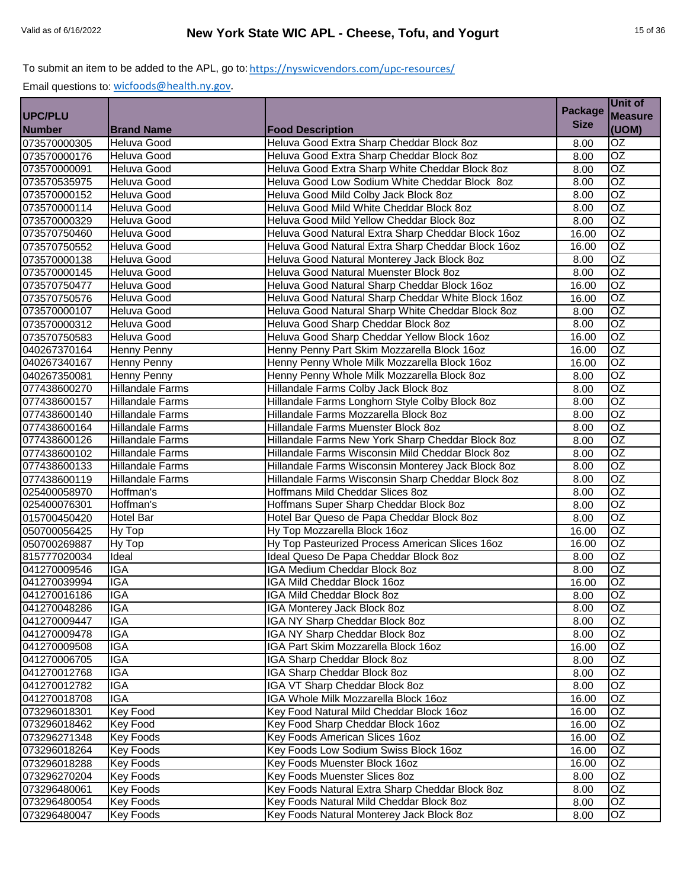|                |                         |                                                    | <b>Package</b> | Unit of         |
|----------------|-------------------------|----------------------------------------------------|----------------|-----------------|
| <b>UPC/PLU</b> |                         |                                                    |                | <b>Measure</b>  |
| <b>Number</b>  | <b>Brand Name</b>       | <b>Food Description</b>                            | <b>Size</b>    | (UOM)           |
| 073570000305   | <b>Heluva Good</b>      | Heluva Good Extra Sharp Cheddar Block 8oz          | 8.00           | $\overline{OZ}$ |
| 073570000176   | Heluva Good             | Heluva Good Extra Sharp Cheddar Block 8oz          | 8.00           | $\overline{OZ}$ |
| 073570000091   | <b>Heluva Good</b>      | Heluva Good Extra Sharp White Cheddar Block 8oz    | 8.00           | $\overline{OZ}$ |
| 073570535975   | Heluva Good             | Heluva Good Low Sodium White Cheddar Block 8oz     | 8.00           | $\overline{OZ}$ |
| 073570000152   | Heluva Good             | Heluva Good Mild Colby Jack Block 8oz              | 8.00           | $\overline{OZ}$ |
| 073570000114   | Heluva Good             | Heluva Good Mild White Cheddar Block 8oz           | 8.00           | $\overline{OZ}$ |
| 073570000329   | <b>Heluva Good</b>      | Heluva Good Mild Yellow Cheddar Block 8oz          | 8.00           | $\overline{OZ}$ |
| 073570750460   | <b>Heluva Good</b>      | Heluva Good Natural Extra Sharp Cheddar Block 16oz | 16.00          | OZ              |
| 073570750552   | <b>Heluva Good</b>      | Heluva Good Natural Extra Sharp Cheddar Block 16oz | 16.00          | $\overline{OZ}$ |
| 073570000138   | Heluva Good             | Heluva Good Natural Monterey Jack Block 8oz        | 8.00           | $\overline{OZ}$ |
| 073570000145   | <b>Heluva Good</b>      | Heluva Good Natural Muenster Block 8oz             | 8.00           | OZ              |
| 073570750477   | <b>Heluva Good</b>      | Heluva Good Natural Sharp Cheddar Block 16oz       | 16.00          | $\overline{OZ}$ |
| 073570750576   | <b>Heluva Good</b>      | Heluva Good Natural Sharp Cheddar White Block 16oz | 16.00          | OZ              |
| 073570000107   | Heluva Good             | Heluva Good Natural Sharp White Cheddar Block 8oz  | 8.00           | $\overline{OZ}$ |
| 073570000312   | <b>Heluva Good</b>      | Heluva Good Sharp Cheddar Block 8oz                | 8.00           | $\overline{OZ}$ |
| 073570750583   | Heluva Good             | Heluva Good Sharp Cheddar Yellow Block 16oz        | 16.00          | OZ              |
| 040267370164   | Henny Penny             | Henny Penny Part Skim Mozzarella Block 16oz        | 16.00          | $\overline{OZ}$ |
| 040267340167   | <b>Henny Penny</b>      | Henny Penny Whole Milk Mozzarella Block 16oz       | 16.00          | $\overline{OZ}$ |
| 040267350081   | Henny Penny             | Henny Penny Whole Milk Mozzarella Block 8oz        | 8.00           | $\overline{OZ}$ |
| 077438600270   | <b>Hillandale Farms</b> | Hillandale Farms Colby Jack Block 8oz              | 8.00           | $\overline{OZ}$ |
| 077438600157   | <b>Hillandale Farms</b> | Hillandale Farms Longhorn Style Colby Block 8oz    | 8.00           | $\overline{OZ}$ |
| 077438600140   | <b>Hillandale Farms</b> | Hillandale Farms Mozzarella Block 8oz              | 8.00           | OZ              |
| 077438600164   | <b>Hillandale Farms</b> | Hillandale Farms Muenster Block 8oz                | 8.00           | $\overline{OZ}$ |
| 077438600126   | <b>Hillandale Farms</b> | Hillandale Farms New York Sharp Cheddar Block 8oz  | 8.00           | $\overline{OZ}$ |
| 077438600102   | <b>Hillandale Farms</b> | Hillandale Farms Wisconsin Mild Cheddar Block 8oz  | 8.00           | $\overline{OZ}$ |
| 077438600133   | <b>Hillandale Farms</b> | Hillandale Farms Wisconsin Monterey Jack Block 8oz | 8.00           | $\overline{OZ}$ |
| 077438600119   | <b>Hillandale Farms</b> | Hillandale Farms Wisconsin Sharp Cheddar Block 8oz | 8.00           | $\overline{OZ}$ |
| 025400058970   | Hoffman's               | Hoffmans Mild Cheddar Slices 8oz                   | 8.00           | $\overline{OZ}$ |
| 025400076301   | Hoffman's               | Hoffmans Super Sharp Cheddar Block 8oz             | 8.00           | $\overline{OZ}$ |
| 015700450420   | Hotel Bar               | Hotel Bar Queso de Papa Cheddar Block 8oz          | 8.00           | $\overline{OZ}$ |
| 050700056425   | Hy Top                  | Hy Top Mozzarella Block 16oz                       | 16.00          | $\overline{OZ}$ |
| 050700269887   | Hy Top                  | Hy Top Pasteurized Process American Slices 16oz    | 16.00          | OZ              |
| 815777020034   | Ideal                   | Ideal Queso De Papa Cheddar Block 8oz              | 8.00           | OZ              |
| 041270009546   | <b>IGA</b>              | <b>IGA Medium Cheddar Block 8oz</b>                | 8.00           | $\overline{OZ}$ |
| 041270039994   | <b>IGA</b>              | IGA Mild Cheddar Block 16oz                        | 16.00          | OZ              |
| 041270016186   | <b>IGA</b>              | IGA Mild Cheddar Block 8oz                         | 8.00           | OZ              |
| 041270048286   | <b>IGA</b>              | IGA Monterey Jack Block 8oz                        | 8.00           | <b>OZ</b>       |
| 041270009447   | <b>IGA</b>              | IGA NY Sharp Cheddar Block 8oz                     | 8.00           | $\overline{OZ}$ |
| 041270009478   | <b>IGA</b>              | IGA NY Sharp Cheddar Block 8oz                     | 8.00           | OZ              |
| 041270009508   | <b>IGA</b>              | IGA Part Skim Mozzarella Block 16oz                | 16.00          | OZ.             |
| 041270006705   | IGA                     | IGA Sharp Cheddar Block 8oz                        | 8.00           | OZ              |
| 041270012768   | IGA                     | <b>IGA Sharp Cheddar Block 8oz</b>                 | 8.00           | OZ              |
| 041270012782   | <b>IGA</b>              | IGA VT Sharp Cheddar Block 8oz                     | 8.00           | OZ              |
| 041270018708   | <b>IGA</b>              | IGA Whole Milk Mozzarella Block 16oz               | 16.00          | OZ              |
| 073296018301   | Key Food                | Key Food Natural Mild Cheddar Block 16oz           | 16.00          | OZ              |
| 073296018462   | Key Food                | Key Food Sharp Cheddar Block 16oz                  | 16.00          | OZ              |
| 073296271348   | <b>Key Foods</b>        | Key Foods American Slices 16oz                     | 16.00          | OZ              |
| 073296018264   | Key Foods               | Key Foods Low Sodium Swiss Block 16oz              | 16.00          | OZ              |
| 073296018288   | Key Foods               | Key Foods Muenster Block 16oz                      | 16.00          | OZ              |
| 073296270204   | <b>Key Foods</b>        | Key Foods Muenster Slices 8oz                      | 8.00           | OZ              |
| 073296480061   | <b>Key Foods</b>        | Key Foods Natural Extra Sharp Cheddar Block 8oz    | 8.00           | OZ.             |
| 073296480054   | <b>Key Foods</b>        | Key Foods Natural Mild Cheddar Block 8oz           | 8.00           | OZ              |
| 073296480047   | <b>Key Foods</b>        | Key Foods Natural Monterey Jack Block 8oz          | 8.00           | OZ              |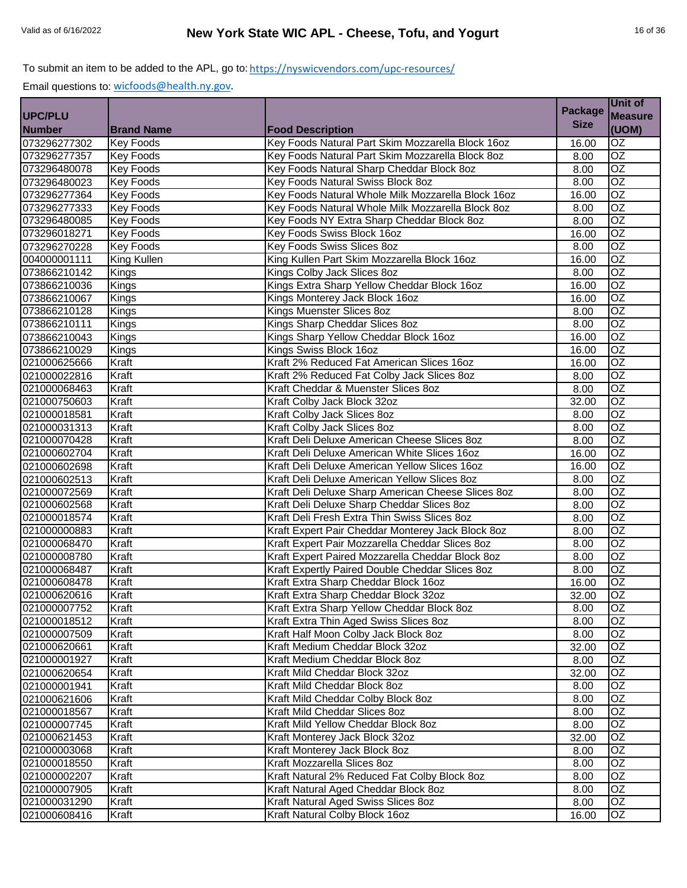|               |                    |                                                    | <b>Package</b> | Unit of         |
|---------------|--------------------|----------------------------------------------------|----------------|-----------------|
| UPC/PLU       |                    |                                                    |                | <b>Measure</b>  |
| <b>Number</b> | <b>Brand Name</b>  | <b>Food Description</b>                            | <b>Size</b>    | (UOM)           |
| 073296277302  | <b>Key Foods</b>   | Key Foods Natural Part Skim Mozzarella Block 16oz  | 16.00          | OZ              |
| 073296277357  | <b>Key Foods</b>   | Key Foods Natural Part Skim Mozzarella Block 8oz   | 8.00           | $\overline{OZ}$ |
| 073296480078  | <b>Key Foods</b>   | Key Foods Natural Sharp Cheddar Block 8oz          | 8.00           | OZ              |
| 073296480023  | <b>Key Foods</b>   | Key Foods Natural Swiss Block 8oz                  | 8.00           | OZ              |
| 073296277364  | <b>Key Foods</b>   | Key Foods Natural Whole Milk Mozzarella Block 16oz | 16.00          | $\overline{OZ}$ |
| 073296277333  | <b>Key Foods</b>   | Key Foods Natural Whole Milk Mozzarella Block 8oz  | 8.00           | $\overline{OZ}$ |
| 073296480085  | <b>Key Foods</b>   | Key Foods NY Extra Sharp Cheddar Block 8oz         | 8.00           | $\overline{OZ}$ |
| 073296018271  | <b>Key Foods</b>   | Key Foods Swiss Block 16oz                         | 16.00          | $\overline{OZ}$ |
| 073296270228  | <b>Key Foods</b>   | Key Foods Swiss Slices 8oz                         | 8.00           | $\overline{OZ}$ |
| 004000001111  | <b>King Kullen</b> | King Kullen Part Skim Mozzarella Block 16oz        | 16.00          | OZ              |
| 073866210142  | Kings              | Kings Colby Jack Slices 8oz                        | 8.00           | OZ              |
| 073866210036  | Kings              | Kings Extra Sharp Yellow Cheddar Block 16oz        | 16.00          | OZ              |
| 073866210067  | Kings              | Kings Monterey Jack Block 16oz                     | 16.00          | OZ              |
| 073866210128  | Kings              | Kings Muenster Slices 8oz                          | 8.00           | $\overline{OZ}$ |
| 073866210111  | Kings              | Kings Sharp Cheddar Slices 8oz                     | 8.00           | OZ              |
| 073866210043  | Kings              | Kings Sharp Yellow Cheddar Block 16oz              | 16.00          | OZ              |
| 073866210029  | Kings              | Kings Swiss Block 16oz                             | 16.00          | OZ              |
| 021000625666  | Kraft              | Kraft 2% Reduced Fat American Slices 16oz          | 16.00          | OZ              |
| 021000022816  | Kraft              | Kraft 2% Reduced Fat Colby Jack Slices 8oz         | 8.00           | $\overline{OZ}$ |
| 021000068463  | Kraft              | Kraft Cheddar & Muenster Slices 8oz                | 8.00           | $\overline{OZ}$ |
| 021000750603  | Kraft              | Kraft Colby Jack Block 32oz                        | 32.00          | OZ              |
| 021000018581  | Kraft              | Kraft Colby Jack Slices 8oz                        | 8.00           | <b>OZ</b>       |
| 021000031313  | Kraft              | Kraft Colby Jack Slices 8oz                        | 8.00           | $\overline{OZ}$ |
| 021000070428  | Kraft              | Kraft Deli Deluxe American Cheese Slices 80z       | 8.00           | OZ              |
| 021000602704  | Kraft              | Kraft Deli Deluxe American White Slices 16oz       | 16.00          | $\overline{OZ}$ |
| 021000602698  | Kraft              | Kraft Deli Deluxe American Yellow Slices 16oz      | 16.00          | OZ              |
| 021000602513  | Kraft              | Kraft Deli Deluxe American Yellow Slices 80z       | 8.00           | $\overline{OZ}$ |
| 021000072569  | Kraft              | Kraft Deli Deluxe Sharp American Cheese Slices 8oz | 8.00           | $\overline{OZ}$ |
| 021000602568  | Kraft              | Kraft Deli Deluxe Sharp Cheddar Slices 80z         | 8.00           | OZ              |
| 021000018574  | Kraft              | Kraft Deli Fresh Extra Thin Swiss Slices 8oz       | 8.00           | $\overline{OZ}$ |
| 021000000883  | Kraft              | Kraft Expert Pair Cheddar Monterey Jack Block 8oz  | 8.00           | OZ              |
| 021000068470  | Kraft              | Kraft Expert Pair Mozzarella Cheddar Slices 8oz    | 8.00           | OZ              |
| 021000008780  | Kraft              | Kraft Expert Paired Mozzarella Cheddar Block 8oz   | 8.00           | $\overline{OZ}$ |
| 021000068487  | Kraft              | Kraft Expertly Paired Double Cheddar Slices 8oz    | 8.00           | OZ              |
| 021000608478  | Kraft              | Kraft Extra Sharp Cheddar Block 16oz               | 16.00          | OZ              |
| 021000620616  | Kraft              | Kraft Extra Sharp Cheddar Block 32oz               | 32.00          | OZ              |
| 021000007752  | Kraft              | Kraft Extra Sharp Yellow Cheddar Block 8oz         | 8.00           | OZ              |
| 021000018512  | Kraft              | Kraft Extra Thin Aged Swiss Slices 8oz             | 8.00           | OZ              |
| 021000007509  | Kraft              | Kraft Half Moon Colby Jack Block 8oz               | 8.00           | OZ              |
| 021000620661  | Kraft              | Kraft Medium Cheddar Block 32oz                    | 32.00          | OZ              |
| 021000001927  | Kraft              | Kraft Medium Cheddar Block 8oz                     | 8.00           | OZ              |
| 021000620654  | Kraft              | Kraft Mild Cheddar Block 32oz                      | 32.00          | OZ              |
| 021000001941  | Kraft              | Kraft Mild Cheddar Block 8oz                       | 8.00           | OZ              |
| 021000621606  | Kraft              | Kraft Mild Cheddar Colby Block 8oz                 | 8.00           | OZ              |
| 021000018567  | Kraft              | Kraft Mild Cheddar Slices 8oz                      | 8.00           | OZ              |
| 021000007745  | Kraft              | Kraft Mild Yellow Cheddar Block 8oz                | 8.00           | $\overline{OZ}$ |
| 021000621453  | Kraft              | Kraft Monterey Jack Block 32oz                     | 32.00          | OZ              |
| 021000003068  | Kraft              | Kraft Monterey Jack Block 8oz                      | 8.00           | OZ              |
| 021000018550  | Kraft              | Kraft Mozzarella Slices 8oz                        | 8.00           | $\overline{OZ}$ |
| 021000002207  | Kraft              | Kraft Natural 2% Reduced Fat Colby Block 8oz       | 8.00           | OZ              |
| 021000007905  | Kraft              | Kraft Natural Aged Cheddar Block 8oz               | 8.00           | OZ              |
| 021000031290  | Kraft              | Kraft Natural Aged Swiss Slices 80z                | 8.00           | OZ              |
| 021000608416  | Kraft              | Kraft Natural Colby Block 16oz                     | 16.00          | OZ              |
|               |                    |                                                    |                |                 |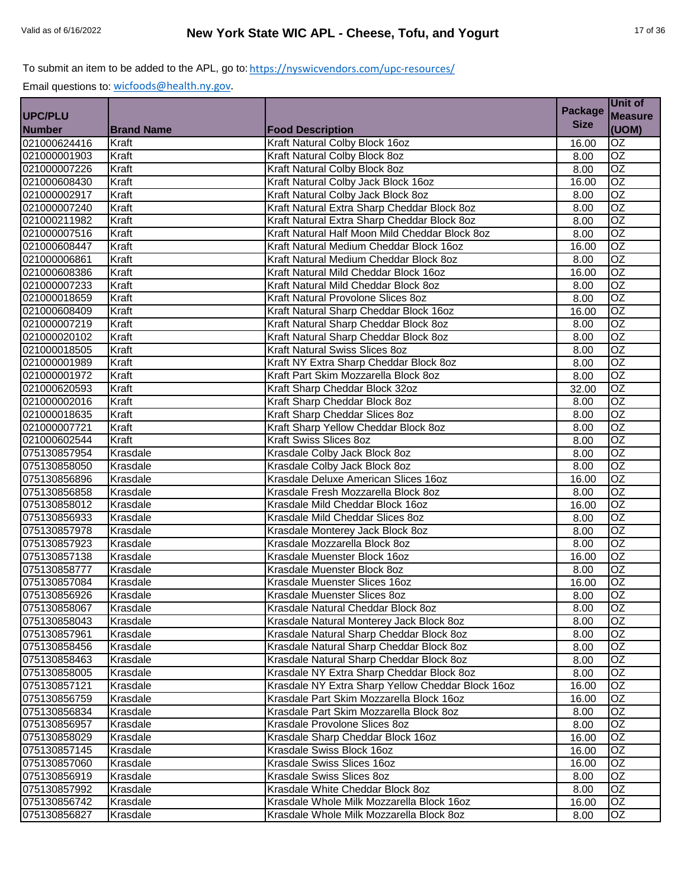|               |                   |                                                   | <b>Package</b> | Unit of         |
|---------------|-------------------|---------------------------------------------------|----------------|-----------------|
| UPC/PLU       |                   |                                                   |                | <b>Measure</b>  |
| <b>Number</b> | <b>Brand Name</b> | <b>Food Description</b>                           | <b>Size</b>    | (UOM)           |
| 021000624416  | Kraft             | Kraft Natural Colby Block 16oz                    | 16.00          | OZ              |
| 021000001903  | Kraft             | Kraft Natural Colby Block 8oz                     | 8.00           | OZ              |
| 021000007226  | Kraft             | Kraft Natural Colby Block 8oz                     | 8.00           | $\overline{OZ}$ |
| 021000608430  | Kraft             | Kraft Natural Colby Jack Block 16oz               | 16.00          | $\overline{OZ}$ |
| 021000002917  | Kraft             | Kraft Natural Colby Jack Block 8oz                | 8.00           | $\overline{OZ}$ |
| 021000007240  | Kraft             | Kraft Natural Extra Sharp Cheddar Block 8oz       | 8.00           | $\overline{OZ}$ |
| 021000211982  | Kraft             | Kraft Natural Extra Sharp Cheddar Block 8oz       | 8.00           | $\overline{OZ}$ |
| 021000007516  | Kraft             | Kraft Natural Half Moon Mild Cheddar Block 8oz    | 8.00           | OZ              |
| 021000608447  | Kraft             | Kraft Natural Medium Cheddar Block 16oz           | 16.00          | $\overline{OZ}$ |
| 021000006861  | Kraft             | Kraft Natural Medium Cheddar Block 8oz            | 8.00           | $\overline{OZ}$ |
| 021000608386  | Kraft             | Kraft Natural Mild Cheddar Block 16oz             | 16.00          | <b>OZ</b>       |
| 021000007233  | Kraft             | Kraft Natural Mild Cheddar Block 8oz              | 8.00           | OZ              |
| 021000018659  | Kraft             | Kraft Natural Provolone Slices 8oz                | 8.00           | <b>OZ</b>       |
| 021000608409  | Kraft             | Kraft Natural Sharp Cheddar Block 16oz            | 16.00          | OZ              |
| 021000007219  | Kraft             | Kraft Natural Sharp Cheddar Block 8oz             | 8.00           | OZ              |
| 021000020102  | Kraft             | Kraft Natural Sharp Cheddar Block 8oz             | 8.00           | OZ              |
| 021000018505  | Kraft             | Kraft Natural Swiss Slices 8oz                    | 8.00           | $\overline{OZ}$ |
| 021000001989  | Kraft             | Kraft NY Extra Sharp Cheddar Block 8oz            | 8.00           | $\overline{OZ}$ |
| 021000001972  | Kraft             | Kraft Part Skim Mozzarella Block 8oz              | 8.00           | $\overline{OZ}$ |
| 021000620593  | Kraft             | Kraft Sharp Cheddar Block 32oz                    | 32.00          | $\overline{OZ}$ |
| 021000002016  | Kraft             | Kraft Sharp Cheddar Block 8oz                     | 8.00           | $\overline{OZ}$ |
| 021000018635  | Kraft             | Kraft Sharp Cheddar Slices 8oz                    | 8.00           | OZ              |
| 021000007721  | Kraft             | Kraft Sharp Yellow Cheddar Block 8oz              | 8.00           | $\overline{OZ}$ |
| 021000602544  | Kraft             | Kraft Swiss Slices 8oz                            | 8.00           | $\overline{OZ}$ |
| 075130857954  | Krasdale          | Krasdale Colby Jack Block 8oz                     | 8.00           | $\overline{OZ}$ |
| 075130858050  | Krasdale          | Krasdale Colby Jack Block 8oz                     | 8.00           | $\overline{OZ}$ |
| 075130856896  | Krasdale          | Krasdale Deluxe American Slices 16oz              | 16.00          | OZ              |
| 075130856858  | Krasdale          | Krasdale Fresh Mozzarella Block 8oz               | 8.00           | $\overline{OZ}$ |
| 075130858012  | Krasdale          | Krasdale Mild Cheddar Block 16oz                  | 16.00          | $\overline{OZ}$ |
| 075130856933  | Krasdale          | Krasdale Mild Cheddar Slices 8oz                  | 8.00           | $\overline{OZ}$ |
| 075130857978  | Krasdale          | Krasdale Monterey Jack Block 8oz                  | 8.00           | $\overline{OZ}$ |
| 075130857923  | Krasdale          | Krasdale Mozzarella Block 8oz                     | 8.00           | <b>OZ</b>       |
| 075130857138  | Krasdale          | Krasdale Muenster Block 16oz                      | 16.00          | OZ              |
| 075130858777  | Krasdale          | Krasdale Muenster Block 8oz                       | 8.00           | OZ              |
| 075130857084  | Krasdale          | Krasdale Muenster Slices 16oz                     | 16.00          | OZ              |
| 075130856926  | Krasdale          | Krasdale Muenster Slices 8oz                      | 8.00           | OZ              |
| 075130858067  | Krasdale          | Krasdale Natural Cheddar Block 8oz                | 8.00           | OZ              |
| 075130858043  | Krasdale          | Krasdale Natural Monterey Jack Block 8oz          | 8.00           | $\overline{OZ}$ |
| 075130857961  | Krasdale          | Krasdale Natural Sharp Cheddar Block 8oz          | 8.00           | OZ              |
| 075130858456  | Krasdale          | Krasdale Natural Sharp Cheddar Block 8oz          | 8.00           | OZ              |
| 075130858463  | Krasdale          | Krasdale Natural Sharp Cheddar Block 8oz          | 8.00           | OZ              |
| 075130858005  | Krasdale          | Krasdale NY Extra Sharp Cheddar Block 8oz         | 8.00           | OZ              |
| 075130857121  | Krasdale          | Krasdale NY Extra Sharp Yellow Cheddar Block 16oz | 16.00          | OZ              |
| 075130856759  | Krasdale          | Krasdale Part Skim Mozzarella Block 16oz          | 16.00          | OZ              |
| 075130856834  | Krasdale          | Krasdale Part Skim Mozzarella Block 8oz           | 8.00           | OZ              |
| 075130856957  | Krasdale          | Krasdale Provolone Slices 8oz                     | 8.00           | OZ              |
| 075130858029  | Krasdale          | Krasdale Sharp Cheddar Block 16oz                 | 16.00          | OZ              |
| 075130857145  | Krasdale          | Krasdale Swiss Block 16oz                         | 16.00          | OZ              |
| 075130857060  | Krasdale          | Krasdale Swiss Slices 16oz                        | 16.00          | OZ              |
| 075130856919  | Krasdale          | Krasdale Swiss Slices 8oz                         | 8.00           | OZ              |
| 075130857992  | Krasdale          | Krasdale White Cheddar Block 8oz                  | 8.00           | OZ.             |
| 075130856742  | Krasdale          | Krasdale Whole Milk Mozzarella Block 16oz         | 16.00          | OZ              |
| 075130856827  | Krasdale          | Krasdale Whole Milk Mozzarella Block 8oz          | 8.00           | OZ              |
|               |                   |                                                   |                |                 |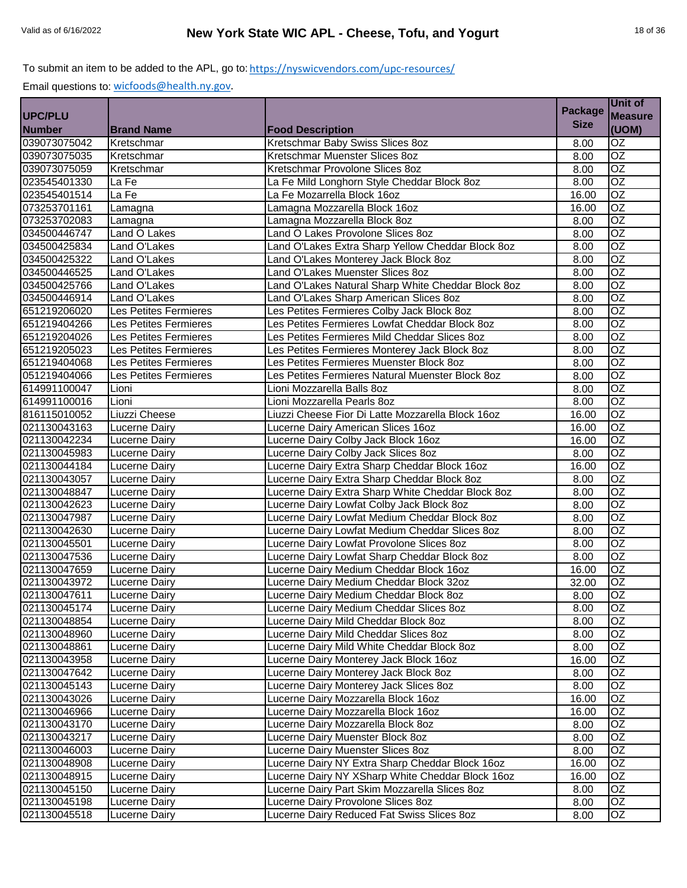|                |                       |                                                    | <b>Package</b> | Unit of         |
|----------------|-----------------------|----------------------------------------------------|----------------|-----------------|
| <b>UPC/PLU</b> |                       |                                                    |                | <b>Measure</b>  |
| <b>Number</b>  | <b>Brand Name</b>     | <b>Food Description</b>                            | <b>Size</b>    | (UOM)           |
| 039073075042   | Kretschmar            | Kretschmar Baby Swiss Slices 8oz                   | 8.00           | OZ              |
| 039073075035   | Kretschmar            | Kretschmar Muenster Slices 8oz                     | 8.00           | $\overline{OZ}$ |
| 039073075059   | Kretschmar            | Kretschmar Provolone Slices 8oz                    | 8.00           | $\overline{OZ}$ |
| 023545401330   | La Fe                 | La Fe Mild Longhorn Style Cheddar Block 8oz        | 8.00           | $\overline{OZ}$ |
| 023545401514   | La Fe                 | La Fe Mozarrella Block 16oz                        | 16.00          | $\overline{OZ}$ |
| 073253701161   | Lamagna               | Lamagna Mozzarella Block 16oz                      | 16.00          | $\overline{OZ}$ |
| 073253702083   | Lamagna               | Lamagna Mozzarella Block 8oz                       | 8.00           | $\overline{OZ}$ |
| 034500446747   | Land O Lakes          | Land O Lakes Provolone Slices 8oz                  | 8.00           | $\overline{OZ}$ |
| 034500425834   | Land O'Lakes          | Land O'Lakes Extra Sharp Yellow Cheddar Block 8oz  | 8.00           | $\overline{OZ}$ |
| 034500425322   | Land O'Lakes          | Land O'Lakes Monterey Jack Block 8oz               | 8.00           | $\overline{oz}$ |
| 034500446525   | Land O'Lakes          | Land O'Lakes Muenster Slices 8oz                   | 8.00           | <b>OZ</b>       |
| 034500425766   | Land O'Lakes          | Land O'Lakes Natural Sharp White Cheddar Block 8oz | 8.00           | OZ              |
| 034500446914   | Land O'Lakes          | Land O'Lakes Sharp American Slices 8oz             | 8.00           | <b>OZ</b>       |
| 651219206020   | Les Petites Fermieres | Les Petites Fermieres Colby Jack Block 8oz         | 8.00           | OZ              |
| 651219404266   | Les Petites Fermieres | Les Petites Fermieres Lowfat Cheddar Block 8oz     | 8.00           | OZ              |
| 651219204026   | Les Petites Fermieres | Les Petites Fermieres Mild Cheddar Slices 8oz      | 8.00           | OZ              |
| 651219205023   | Les Petites Fermieres | Les Petites Fermieres Monterey Jack Block 8oz      | 8.00           | $\overline{OZ}$ |
| 651219404068   | Les Petites Fermieres | Les Petites Fermieres Muenster Block 8oz           | 8.00           | $\overline{OZ}$ |
| 051219404066   | Les Petites Fermieres | Les Petites Fermieres Natural Muenster Block 8oz   | 8.00           | $\overline{OZ}$ |
| 614991100047   | Lioni                 | Lioni Mozzarella Balls 8oz                         | 8.00           | $\overline{OZ}$ |
| 614991100016   | Lioni                 | Lioni Mozzarella Pearls 8oz                        | 8.00           | $\overline{OZ}$ |
| 816115010052   | Liuzzi Cheese         | Liuzzi Cheese Fior Di Latte Mozzarella Block 16oz  | 16.00          | <b>OZ</b>       |
| 021130043163   | <b>Lucerne Dairy</b>  | Lucerne Dairy American Slices 16oz                 | 16.00          | <b>OZ</b>       |
| 021130042234   | <b>Lucerne Dairy</b>  | Lucerne Dairy Colby Jack Block 16oz                | 16.00          | OZ              |
| 021130045983   | <b>Lucerne Dairy</b>  | Lucerne Dairy Colby Jack Slices 8oz                | 8.00           | OZ              |
| 021130044184   | Lucerne Dairy         | Lucerne Dairy Extra Sharp Cheddar Block 16oz       | 16.00          | OZ              |
| 021130043057   | <b>Lucerne Dairy</b>  | Lucerne Dairy Extra Sharp Cheddar Block 8oz        | 8.00           | $\overline{OZ}$ |
| 021130048847   | <b>Lucerne Dairy</b>  | Lucerne Dairy Extra Sharp White Cheddar Block 8oz  | 8.00           | $\overline{OZ}$ |
| 021130042623   | Lucerne Dairy         | Lucerne Dairy Lowfat Colby Jack Block 8oz          | 8.00           | $\overline{OZ}$ |
| 021130047987   | Lucerne Dairy         | Lucerne Dairy Lowfat Medium Cheddar Block 8oz      | 8.00           | $\overline{OZ}$ |
| 021130042630   | Lucerne Dairy         | Lucerne Dairy Lowfat Medium Cheddar Slices 8oz     | 8.00           | $\overline{OZ}$ |
| 021130045501   | Lucerne Dairy         | Lucerne Dairy Lowfat Provolone Slices 8oz          | 8.00           | OZ              |
| 021130047536   | Lucerne Dairy         | Lucerne Dairy Lowfat Sharp Cheddar Block 8oz       | 8.00           | $\overline{OZ}$ |
| 021130047659   | <b>Lucerne Dairy</b>  | Lucerne Dairy Medium Cheddar Block 16oz            | 16.00          | OZ              |
| 021130043972   | Lucerne Dairy         | Lucerne Dairy Medium Cheddar Block 32oz            | 32.00          | <b>OZ</b>       |
| 021130047611   | Lucerne Dairy         | Lucerne Dairy Medium Cheddar Block 8oz             | 8.00           | $\overline{OZ}$ |
| 021130045174   | Lucerne Dairy         | Lucerne Dairy Medium Cheddar Slices 80z            | 8.00           | OZ              |
| 021130048854   | Lucerne Dairy         | Lucerne Dairy Mild Cheddar Block 8oz               | 8.00           | OZ              |
| 021130048960   | <b>Lucerne Dairy</b>  | Lucerne Dairy Mild Cheddar Slices 80z              | 8.00           | OZ              |
| 021130048861   | Lucerne Dairy         | Lucerne Dairy Mild White Cheddar Block 8oz         | 8.00           | OZ              |
| 021130043958   | Lucerne Dairy         | Lucerne Dairy Monterey Jack Block 16oz             | 16.00          | OZ              |
| 021130047642   | Lucerne Dairy         | Lucerne Dairy Monterey Jack Block 8oz              | 8.00           | OZ              |
| 021130045143   | Lucerne Dairy         | Lucerne Dairy Monterey Jack Slices 8oz             | 8.00           | OZ              |
| 021130043026   | Lucerne Dairy         | Lucerne Dairy Mozzarella Block 16oz                | 16.00          | OZ              |
| 021130046966   | Lucerne Dairy         | Lucerne Dairy Mozzarella Block 16oz                | 16.00          | OZ              |
| 021130043170   | Lucerne Dairy         | Lucerne Dairy Mozzarella Block 8oz                 | 8.00           | OZ              |
| 021130043217   | Lucerne Dairy         | Lucerne Dairy Muenster Block 8oz                   | 8.00           | OZ              |
| 021130046003   | Lucerne Dairy         | Lucerne Dairy Muenster Slices 8oz                  | 8.00           | OZ              |
| 021130048908   | Lucerne Dairy         | Lucerne Dairy NY Extra Sharp Cheddar Block 16oz    | 16.00          | OZ              |
| 021130048915   | Lucerne Dairy         | Lucerne Dairy NY XSharp White Cheddar Block 16oz   | 16.00          | OZ              |
| 021130045150   | Lucerne Dairy         | Lucerne Dairy Part Skim Mozzarella Slices 8oz      | 8.00           | OZ              |
| 021130045198   | Lucerne Dairy         | Lucerne Dairy Provolone Slices 8oz                 | 8.00           | OZ              |
| 021130045518   | Lucerne Dairy         | Lucerne Dairy Reduced Fat Swiss Slices 8oz         | 8.00           | OZ              |
|                |                       |                                                    |                |                 |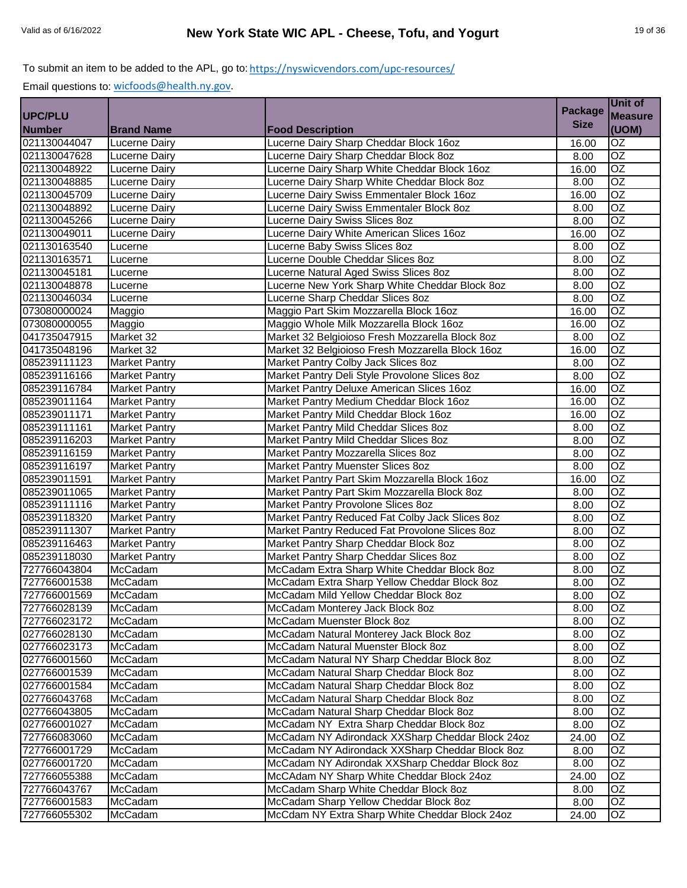|                              |                      |                                                                                         | <b>Package</b> | Unit of               |
|------------------------------|----------------------|-----------------------------------------------------------------------------------------|----------------|-----------------------|
| <b>UPC/PLU</b>               |                      |                                                                                         | <b>Size</b>    | <b>Measure</b>        |
| <b>Number</b>                | <b>Brand Name</b>    | <b>Food Description</b>                                                                 |                | (UOM)                 |
| 021130044047                 | Lucerne Dairy        | Lucerne Dairy Sharp Cheddar Block 16oz                                                  | 16.00          | $\overline{OZ}$       |
| 021130047628                 | <b>Lucerne Dairy</b> | Lucerne Dairy Sharp Cheddar Block 8oz                                                   | 8.00           | OZ                    |
| 021130048922                 | Lucerne Dairy        | Lucerne Dairy Sharp White Cheddar Block 16oz                                            | 16.00          | OZ<br>$\overline{OZ}$ |
| 021130048885                 | <b>Lucerne Dairy</b> | Lucerne Dairy Sharp White Cheddar Block 8oz                                             | 8.00           | $\overline{OZ}$       |
| 021130045709                 | <b>Lucerne Dairy</b> | Lucerne Dairy Swiss Emmentaler Block 16oz<br>Lucerne Dairy Swiss Emmentaler Block 8oz   | 16.00          | $\overline{OZ}$       |
| 021130048892                 | <b>Lucerne Dairy</b> |                                                                                         | 8.00           | $\overline{OZ}$       |
| 021130045266<br>021130049011 | <b>Lucerne Dairy</b> | Lucerne Dairy Swiss Slices 8oz<br>Lucerne Dairy White American Slices 16oz              | 8.00           | $\overline{OZ}$       |
| 021130163540                 | <b>Lucerne Dairy</b> |                                                                                         | 16.00          | $\overline{OZ}$       |
|                              | Lucerne              | Lucerne Baby Swiss Slices 8oz<br>Lucerne Double Cheddar Slices 8oz                      | 8.00           | <b>OZ</b>             |
| 021130163571<br>021130045181 | Lucerne              |                                                                                         | 8.00           | $\overline{OZ}$       |
| 021130048878                 | Lucerne              | Lucerne Natural Aged Swiss Slices 8oz<br>Lucerne New York Sharp White Cheddar Block 8oz | 8.00           | $\overline{OZ}$       |
|                              | Lucerne              |                                                                                         | 8.00           | OZ                    |
| 021130046034                 | Lucerne              | Lucerne Sharp Cheddar Slices 8oz                                                        | 8.00           |                       |
| 073080000024                 | Maggio               | Maggio Part Skim Mozzarella Block 16oz                                                  | 16.00<br>16.00 | OZ<br>$\overline{OZ}$ |
| 073080000055<br>041735047915 | Maggio               | Maggio Whole Milk Mozzarella Block 16oz                                                 |                | OZ                    |
| 041735048196                 | Market 32            | Market 32 Belgioioso Fresh Mozzarella Block 8oz                                         | 8.00           | $\overline{OZ}$       |
|                              | Market 32            | Market 32 Belgioioso Fresh Mozzarella Block 16oz                                        | 16.00          | $\overline{OZ}$       |
| 085239111123                 | <b>Market Pantry</b> | Market Pantry Colby Jack Slices 8oz                                                     | 8.00           |                       |
| 085239116166                 | <b>Market Pantry</b> | Market Pantry Deli Style Provolone Slices 8oz                                           | 8.00           | OZ                    |
| 085239116784                 | <b>Market Pantry</b> | Market Pantry Deluxe American Slices 16oz                                               | 16.00          | $\overline{OZ}$       |
| 085239011164                 | <b>Market Pantry</b> | Market Pantry Medium Cheddar Block 16oz                                                 | 16.00          | OZ                    |
| 085239011171                 | <b>Market Pantry</b> | Market Pantry Mild Cheddar Block 16oz                                                   | 16.00          | OZ<br>$\overline{OZ}$ |
| 085239111161                 | <b>Market Pantry</b> | Market Pantry Mild Cheddar Slices 8oz                                                   | 8.00           |                       |
| 085239116203                 | <b>Market Pantry</b> | Market Pantry Mild Cheddar Slices 80z                                                   | 8.00           | $\overline{OZ}$       |
| 085239116159                 | <b>Market Pantry</b> | Market Pantry Mozzarella Slices 8oz                                                     | 8.00           | OZ                    |
| 085239116197                 | <b>Market Pantry</b> | Market Pantry Muenster Slices 8oz                                                       | 8.00           | $\overline{OZ}$       |
| 085239011591                 | Market Pantry        | Market Pantry Part Skim Mozzarella Block 16oz                                           | 16.00          | OZ                    |
| 085239011065                 | <b>Market Pantry</b> | Market Pantry Part Skim Mozzarella Block 8oz                                            | 8.00           | $\overline{OZ}$       |
| 085239111116                 | <b>Market Pantry</b> | Market Pantry Provolone Slices 8oz                                                      | 8.00           | $\overline{OZ}$       |
| 085239118320                 | <b>Market Pantry</b> | Market Pantry Reduced Fat Colby Jack Slices 8oz                                         | 8.00           | $\overline{OZ}$       |
| 085239111307                 | <b>Market Pantry</b> | Market Pantry Reduced Fat Provolone Slices 8oz                                          | 8.00           | $\overline{OZ}$       |
| 085239116463                 | <b>Market Pantry</b> | Market Pantry Sharp Cheddar Block 8oz                                                   | 8.00           | OZ                    |
| 085239118030                 | <b>Market Pantry</b> | Market Pantry Sharp Cheddar Slices 8oz                                                  | 8.00           | $\overline{OZ}$       |
| 727766043804                 | McCadam              | McCadam Extra Sharp White Cheddar Block 8oz                                             | 8.00           | $\overline{OZ}$       |
| 727766001538                 | McCadam              | McCadam Extra Sharp Yellow Cheddar Block 8oz                                            | 8.00           | $\overline{OZ}$       |
| 727766001569                 | McCadam              | McCadam Mild Yellow Cheddar Block 8oz                                                   | 8.00           | <b>OZ</b>             |
| 727766028139                 | McCadam              | McCadam Monterey Jack Block 8oz                                                         | 8.00           | OZ                    |
| 727766023172                 | McCadam              | McCadam Muenster Block 8oz                                                              | 8.00           | OZ                    |
| 027766028130                 | McCadam              | McCadam Natural Monterey Jack Block 8oz                                                 | 8.00           | OZ                    |
| 027766023173                 | McCadam              | McCadam Natural Muenster Block 8oz                                                      | 8.00           | OZ                    |
| 027766001560                 | McCadam              | McCadam Natural NY Sharp Cheddar Block 8oz                                              | 8.00           | OZ                    |
| 027766001539                 | McCadam              | McCadam Natural Sharp Cheddar Block 8oz                                                 | 8.00           | $\overline{OZ}$       |
| 027766001584                 | McCadam              | McCadam Natural Sharp Cheddar Block 8oz                                                 | 8.00           | OZ                    |
| 027766043768                 | McCadam              | McCadam Natural Sharp Cheddar Block 8oz                                                 | 8.00           | OZ                    |
| 027766043805                 | McCadam              | McCadam Natural Sharp Cheddar Block 8oz                                                 | 8.00           | OZ                    |
| 027766001027                 | McCadam              | McCadam NY Extra Sharp Cheddar Block 8oz                                                | 8.00           | OZ                    |
| 727766083060                 | McCadam              | McCadam NY Adirondack XXSharp Cheddar Block 24oz                                        | 24.00          | OZ                    |
| 727766001729                 | McCadam              | McCadam NY Adirondack XXSharp Cheddar Block 8oz                                         | 8.00           | OZ.                   |
| 027766001720                 | McCadam              | McCadam NY Adirondak XXSharp Cheddar Block 8oz                                          | 8.00           | OZ                    |
| 727766055388                 | McCadam              | McCAdam NY Sharp White Cheddar Block 24oz                                               | 24.00          | OZ                    |
| 727766043767                 | McCadam              | McCadam Sharp White Cheddar Block 8oz                                                   | 8.00           | OZ                    |
| 727766001583                 | McCadam              | McCadam Sharp Yellow Cheddar Block 8oz                                                  | 8.00           | OZ                    |
| 727766055302                 | McCadam              | McCdam NY Extra Sharp White Cheddar Block 24oz                                          | 24.00          | OZ                    |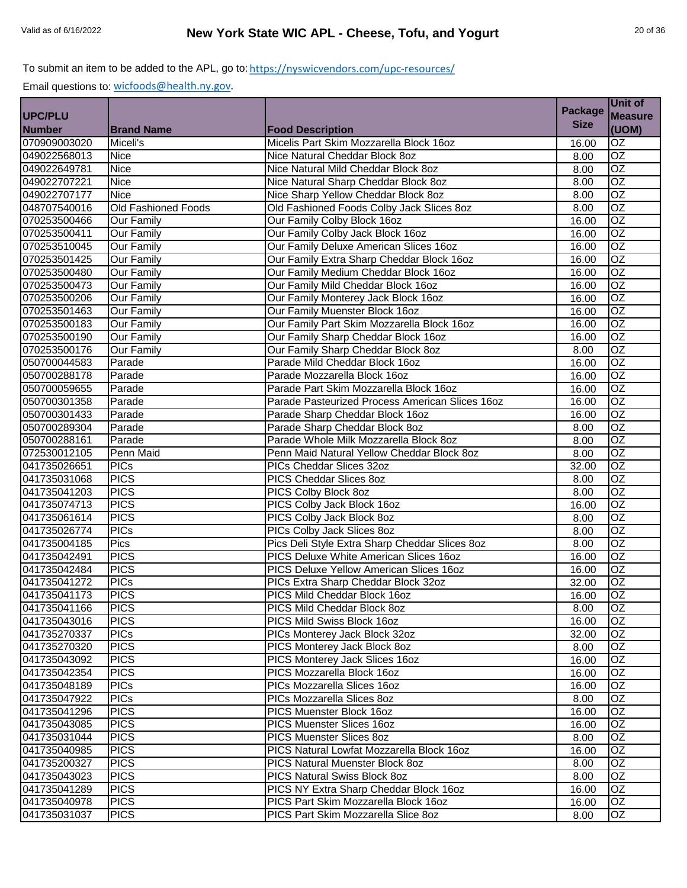|               |                            |                                                 | <b>Package</b> | Unit of         |
|---------------|----------------------------|-------------------------------------------------|----------------|-----------------|
| UPC/PLU       |                            |                                                 |                | <b>Measure</b>  |
| <b>Number</b> | <b>Brand Name</b>          | <b>Food Description</b>                         | <b>Size</b>    | (UOM)           |
| 070909003020  | Miceli's                   | Micelis Part Skim Mozzarella Block 16oz         | 16.00          | OZ              |
| 049022568013  | <b>Nice</b>                | Nice Natural Cheddar Block 8oz                  | 8.00           | $\overline{OZ}$ |
| 049022649781  | <b>Nice</b>                | Nice Natural Mild Cheddar Block 8oz             | 8.00           | $\overline{OZ}$ |
| 049022707221  | <b>Nice</b>                | Nice Natural Sharp Cheddar Block 8oz            | 8.00           | $\overline{OZ}$ |
| 049022707177  | <b>Nice</b>                | Nice Sharp Yellow Cheddar Block 8oz             | 8.00           | $\overline{OZ}$ |
| 048707540016  | <b>Old Fashioned Foods</b> | Old Fashioned Foods Colby Jack Slices 8oz       | 8.00           | $\overline{OZ}$ |
| 070253500466  | Our Family                 | Our Family Colby Block 16oz                     | 16.00          | $\overline{OZ}$ |
| 070253500411  | <b>Our Family</b>          | Our Family Colby Jack Block 16oz                | 16.00          | OZ              |
| 070253510045  | <b>Our Family</b>          | Our Family Deluxe American Slices 16oz          | 16.00          | $\overline{OZ}$ |
| 070253501425  | <b>Our Family</b>          | Our Family Extra Sharp Cheddar Block 16oz       | 16.00          | $\overline{OZ}$ |
| 070253500480  | <b>Our Family</b>          | Our Family Medium Cheddar Block 16oz            | 16.00          | <b>OZ</b>       |
| 070253500473  | <b>Our Family</b>          | Our Family Mild Cheddar Block 16oz              | 16.00          | OZ              |
| 070253500206  | <b>Our Family</b>          | Our Family Monterey Jack Block 16oz             | 16.00          | <b>OZ</b>       |
| 070253501463  | <b>Our Family</b>          | Our Family Muenster Block 16oz                  | 16.00          | OZ              |
| 070253500183  | <b>Our Family</b>          | Our Family Part Skim Mozzarella Block 16oz      | 16.00          | OZ              |
| 070253500190  | <b>Our Family</b>          | Our Family Sharp Cheddar Block 16oz             | 16.00          | OZ              |
| 070253500176  | <b>Our Family</b>          | Our Family Sharp Cheddar Block 8oz              | 8.00           | $\overline{OZ}$ |
| 050700044583  | Parade                     | Parade Mild Cheddar Block 16oz                  | 16.00          | OZ              |
| 050700288178  | Parade                     | Parade Mozzarella Block 16oz                    | 16.00          | $\overline{OZ}$ |
| 050700059655  | Parade                     | Parade Part Skim Mozzarella Block 16oz          | 16.00          | OZ              |
| 050700301358  | Parade                     | Parade Pasteurized Process American Slices 16oz | 16.00          | OZ              |
| 050700301433  | Parade                     | Parade Sharp Cheddar Block 16oz                 | 16.00          | <b>OZ</b>       |
| 050700289304  | Parade                     | Parade Sharp Cheddar Block 8oz                  | 8.00           | $\overline{OZ}$ |
| 050700288161  | Parade                     | Parade Whole Milk Mozzarella Block 8oz          | 8.00           | $\overline{OZ}$ |
| 072530012105  | Penn Maid                  | Penn Maid Natural Yellow Cheddar Block 8oz      | 8.00           | $\overline{OZ}$ |
| 041735026651  | <b>PICs</b>                | PICs Cheddar Slices 32oz                        | 32.00          | OZ              |
| 041735031068  | <b>PICS</b>                | <b>PICS Cheddar Slices 8oz</b>                  | 8.00           | $\overline{OZ}$ |
| 041735041203  | <b>PICS</b>                | PICS Colby Block 8oz                            | 8.00           | $\overline{OZ}$ |
| 041735074713  | <b>PICS</b>                | PICS Colby Jack Block 16oz                      | 16.00          | $\overline{OZ}$ |
| 041735061614  | <b>PICS</b>                | PICS Colby Jack Block 8oz                       | 8.00           | $\overline{OZ}$ |
| 041735026774  | <b>PICs</b>                | PICs Colby Jack Slices 8oz                      | 8.00           | $\overline{OZ}$ |
| 041735004185  | Pics                       | Pics Deli Style Extra Sharp Cheddar Slices 8oz  | 8.00           | <b>OZ</b>       |
| 041735042491  | <b>PICS</b>                | PICS Deluxe White American Slices 16oz          | 16.00          | OZ              |
| 041735042484  | <b>PICS</b>                | PICS Deluxe Yellow American Slices 16oz         | 16.00          | OZ              |
| 041735041272  | <b>PICs</b>                | PICs Extra Sharp Cheddar Block 32oz             | 32.00          | OZ              |
| 041735041173  | <b>PICS</b>                | PICS Mild Cheddar Block 16oz                    | 16.00          | <b>OZ</b>       |
| 041735041166  | <b>PICS</b>                | PICS Mild Cheddar Block 8oz                     | 8.00           | OZ.             |
| 041735043016  | <b>PICS</b>                | PICS Mild Swiss Block 16oz                      | 16.00          | OZ              |
| 041735270337  | <b>PICs</b>                | PICs Monterey Jack Block 32oz                   | 32.00          | <b>OZ</b>       |
| 041735270320  | <b>PICS</b>                | PICS Monterey Jack Block 8oz                    | 8.00           | OZ              |
| 041735043092  | <b>PICS</b>                | PICS Monterey Jack Slices 16oz                  | 16.00          | OZ              |
| 041735042354  | <b>PICS</b>                | PICS Mozzarella Block 16oz                      | 16.00          | OZ              |
| 041735048189  | <b>PICs</b>                | PICs Mozzarella Slices 16oz                     | 16.00          | OZ              |
| 041735047922  | <b>PICs</b>                | PICs Mozzarella Slices 8oz                      | 8.00           | OZ              |
| 041735041296  | <b>PICS</b>                | PICS Muenster Block 16oz                        | 16.00          | OZ              |
| 041735043085  | <b>PICS</b>                | PICS Muenster Slices 16oz                       | 16.00          | OZ              |
| 041735031044  | <b>PICS</b>                | <b>PICS Muenster Slices 8oz</b>                 | 8.00           | OZ              |
| 041735040985  | <b>PICS</b>                | PICS Natural Lowfat Mozzarella Block 16oz       | 16.00          | OZ              |
| 041735200327  | <b>PICS</b>                | PICS Natural Muenster Block 8oz                 | 8.00           | OZ              |
| 041735043023  | <b>PICS</b>                | PICS Natural Swiss Block 8oz                    | 8.00           | OZ              |
| 041735041289  | <b>PICS</b>                | PICS NY Extra Sharp Cheddar Block 16oz          | 16.00          | OZ.             |
| 041735040978  | <b>PICS</b>                | PICS Part Skim Mozzarella Block 16oz            | 16.00          | OZ              |
| 041735031037  | <b>PICS</b>                | PICS Part Skim Mozzarella Slice 8oz             | 8.00           | OZ              |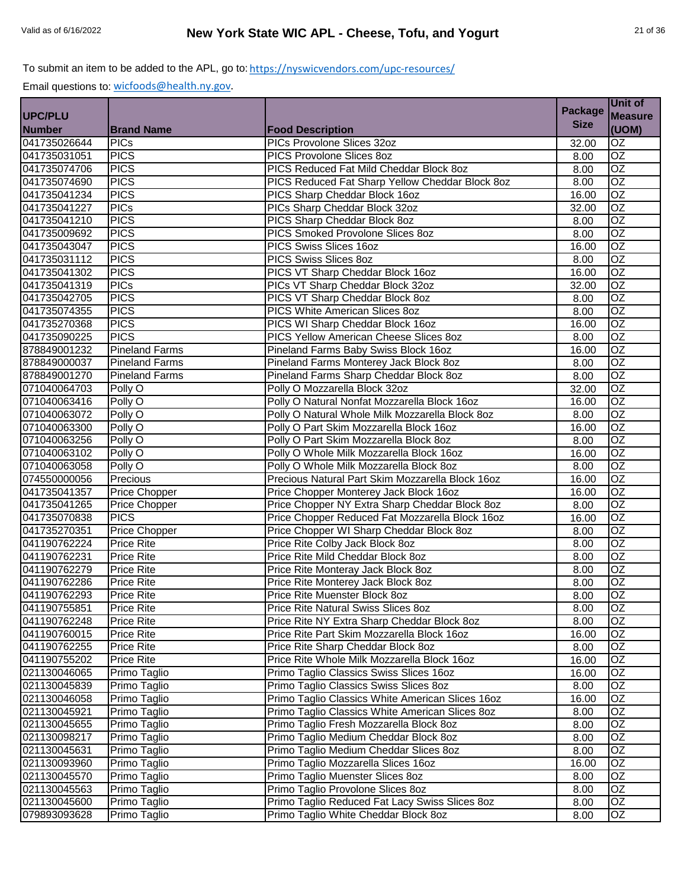| <b>Size</b><br>(UOM)<br><b>Brand Name</b><br><b>Food Description</b><br>PICs Provolone Slices 32oz<br>OZ<br><b>PICs</b><br>32.00<br><b>PICS</b><br>$\overline{OZ}$<br>PICS Provolone Slices 8oz<br>8.00<br><b>PICS</b><br>$\overline{OZ}$<br>PICS Reduced Fat Mild Cheddar Block 8oz<br>8.00<br>$\overline{OZ}$<br><b>PICS</b><br>PICS Reduced Fat Sharp Yellow Cheddar Block 8oz<br>8.00<br><b>PICS</b><br>PICS Sharp Cheddar Block 16oz<br>$\overline{OZ}$<br>16.00<br><b>PICs</b><br>$\overline{OZ}$<br>PICs Sharp Cheddar Block 32oz<br>32.00<br>$\overline{OZ}$<br><b>PICS</b><br>PICS Sharp Cheddar Block 8oz<br>8.00<br>OZ<br><b>PICS</b><br>PICS Smoked Provolone Slices 8oz<br>8.00<br><b>PICS</b><br>$\overline{OZ}$<br>PICS Swiss Slices 16oz<br>16.00<br>$\overline{OZ}$<br><b>PICS</b><br>PICS Swiss Slices 8oz<br>8.00<br>OZ<br><b>PICS</b><br>PICS VT Sharp Cheddar Block 16oz<br>16.00<br><b>PICs</b><br>OZ<br>PICs VT Sharp Cheddar Block 32oz<br>32.00<br><b>OZ</b><br><b>PICS</b><br>PICS VT Sharp Cheddar Block 8oz<br>8.00<br><b>PICS</b><br>$\overline{OZ}$<br>PICS White American Slices 8oz<br>8.00<br><b>PICS</b><br>$\overline{OZ}$<br>PICS WI Sharp Cheddar Block 16oz<br>16.00<br>$\overline{OZ}$<br><b>PICS</b><br>PICS Yellow American Cheese Slices 8oz<br>8.00<br><b>Pineland Farms</b><br>$\overline{OZ}$<br>Pineland Farms Baby Swiss Block 16oz<br>16.00<br>$\overline{OZ}$<br><b>Pineland Farms</b><br>Pineland Farms Monterey Jack Block 8oz<br>8.00<br>OZ<br><b>Pineland Farms</b><br>Pineland Farms Sharp Cheddar Block 8oz<br>8.00<br>OZ<br>Polly O<br>Polly O Mozzarella Block 32oz<br>32.00<br>$\overline{OZ}$<br>Polly O<br>Polly O Natural Nonfat Mozzarella Block 16oz<br>16.00<br>OZ<br>Polly O<br>Polly O Natural Whole Milk Mozzarella Block 8oz<br>8.00<br>$\overline{OZ}$<br>Polly O Part Skim Mozzarella Block 16oz<br>Polly O<br>16.00<br>OZ<br>Polly O Part Skim Mozzarella Block 8oz<br>Polly O<br>8.00<br>OZ<br>Polly O Whole Milk Mozzarella Block 16oz<br>Polly O<br>16.00<br>$\overline{OZ}$<br>Polly O<br>Polly O Whole Milk Mozzarella Block 8oz<br>8.00<br>$\overline{OZ}$<br>Precious Natural Part Skim Mozzarella Block 16oz<br>Precious<br>16.00<br>$\overline{OZ}$<br><b>Price Chopper</b><br>Price Chopper Monterey Jack Block 16oz<br>16.00<br>Price Chopper NY Extra Sharp Cheddar Block 8oz<br>$\overline{OZ}$<br>Price Chopper<br>8.00<br><b>PICS</b><br>Price Chopper Reduced Fat Mozzarella Block 16oz<br>$\overline{OZ}$<br>16.00<br>$\overline{OZ}$<br>Price Chopper WI Sharp Cheddar Block 8oz<br><b>Price Chopper</b><br>8.00<br>OZ<br><b>Price Rite</b><br>Price Rite Colby Jack Block 8oz<br>041190762224<br>8.00<br>OZ<br><b>Price Rite</b><br>Price Rite Mild Cheddar Block 8oz<br>8.00<br>$\overline{OZ}$<br><b>Price Rite</b><br>Price Rite Monteray Jack Block 8oz<br>8.00<br>$\overline{OZ}$<br>Price Rite Monterey Jack Block 8oz<br>8.00<br><b>Price Rite</b><br>$\overline{OZ}$<br><b>Price Rite</b><br>Price Rite Muenster Block 8oz<br>8.00<br>Price Rite Natural Swiss Slices 8oz<br>OZ<br><b>Price Rite</b><br>8.00<br>$\overline{OZ}$<br>Price Rite NY Extra Sharp Cheddar Block 8oz<br><b>Price Rite</b><br>8.00<br>Price Rite Part Skim Mozzarella Block 16oz<br>OZ<br><b>Price Rite</b><br>16.00<br>Price Rite Sharp Cheddar Block 8oz<br><b>Price Rite</b><br>OZ.<br>8.00<br>OZ<br>041190755202<br><b>Price Rite</b><br>Price Rite Whole Milk Mozzarella Block 16oz<br>16.00<br>Primo Taglio<br>Primo Taglio Classics Swiss Slices 16oz<br>OZ<br>16.00<br>021130045839<br>Primo Taglio<br>Primo Taglio Classics Swiss Slices 8oz<br>8.00<br>OZ<br>OZ<br>Primo Taglio Classics White American Slices 16oz<br>021130046058<br>Primo Taglio<br>16.00<br>OZ<br>021130045921<br>Primo Taglio<br>Primo Taglio Classics White American Slices 8oz<br>8.00<br>OZ<br>Primo Taglio<br>Primo Taglio Fresh Mozzarella Block 8oz<br>8.00<br>OZ<br>Primo Taglio Medium Cheddar Block 8oz<br>Primo Taglio<br>8.00<br>OZ<br>Primo Taglio Medium Cheddar Slices 8oz<br>Primo Taglio<br>8.00<br>$\overline{OZ}$<br>Primo Taglio<br>Primo Taglio Mozzarella Slices 16oz<br>16.00<br>OZ<br>Primo Taglio<br>Primo Taglio Muenster Slices 8oz<br>8.00<br>Primo Taglio<br>Primo Taglio Provolone Slices 8oz<br>OZ<br>8.00<br>Primo Taglio<br>Primo Taglio Reduced Fat Lacy Swiss Slices 8oz<br>OZ<br>8.00<br>Primo Taglio<br>Primo Taglio White Cheddar Block 8oz<br>OZ<br>8.00 |                |  | <b>Package</b> | <b>Unit of</b> |
|----------------------------------------------------------------------------------------------------------------------------------------------------------------------------------------------------------------------------------------------------------------------------------------------------------------------------------------------------------------------------------------------------------------------------------------------------------------------------------------------------------------------------------------------------------------------------------------------------------------------------------------------------------------------------------------------------------------------------------------------------------------------------------------------------------------------------------------------------------------------------------------------------------------------------------------------------------------------------------------------------------------------------------------------------------------------------------------------------------------------------------------------------------------------------------------------------------------------------------------------------------------------------------------------------------------------------------------------------------------------------------------------------------------------------------------------------------------------------------------------------------------------------------------------------------------------------------------------------------------------------------------------------------------------------------------------------------------------------------------------------------------------------------------------------------------------------------------------------------------------------------------------------------------------------------------------------------------------------------------------------------------------------------------------------------------------------------------------------------------------------------------------------------------------------------------------------------------------------------------------------------------------------------------------------------------------------------------------------------------------------------------------------------------------------------------------------------------------------------------------------------------------------------------------------------------------------------------------------------------------------------------------------------------------------------------------------------------------------------------------------------------------------------------------------------------------------------------------------------------------------------------------------------------------------------------------------------------------------------------------------------------------------------------------------------------------------------------------------------------------------------------------------------------------------------------------------------------------------------------------------------------------------------------------------------------------------------------------------------------------------------------------------------------------------------------------------------------------------------------------------------------------------------------------------------------------------------------------------------------------------------------------------------------------------------------------------------------------------------------------------------------------------------------------------------------------------------------------------------------------------------------------------------------------------------------------------------------------------------------------------------------------------------------------------------------------------------------------------------------------------------------------------------------------------------------------------------------------------------------------------------------------------------------------------------------------------------------------------------------------------------------------------------------------------------------------------------|----------------|--|----------------|----------------|
|                                                                                                                                                                                                                                                                                                                                                                                                                                                                                                                                                                                                                                                                                                                                                                                                                                                                                                                                                                                                                                                                                                                                                                                                                                                                                                                                                                                                                                                                                                                                                                                                                                                                                                                                                                                                                                                                                                                                                                                                                                                                                                                                                                                                                                                                                                                                                                                                                                                                                                                                                                                                                                                                                                                                                                                                                                                                                                                                                                                                                                                                                                                                                                                                                                                                                                                                                                                                                                                                                                                                                                                                                                                                                                                                                                                                                                                                                                                                                                                                                                                                                                                                                                                                                                                                                                                                                                                                                                                          | <b>UPC/PLU</b> |  |                | <b>Measure</b> |
|                                                                                                                                                                                                                                                                                                                                                                                                                                                                                                                                                                                                                                                                                                                                                                                                                                                                                                                                                                                                                                                                                                                                                                                                                                                                                                                                                                                                                                                                                                                                                                                                                                                                                                                                                                                                                                                                                                                                                                                                                                                                                                                                                                                                                                                                                                                                                                                                                                                                                                                                                                                                                                                                                                                                                                                                                                                                                                                                                                                                                                                                                                                                                                                                                                                                                                                                                                                                                                                                                                                                                                                                                                                                                                                                                                                                                                                                                                                                                                                                                                                                                                                                                                                                                                                                                                                                                                                                                                                          | <b>Number</b>  |  |                |                |
|                                                                                                                                                                                                                                                                                                                                                                                                                                                                                                                                                                                                                                                                                                                                                                                                                                                                                                                                                                                                                                                                                                                                                                                                                                                                                                                                                                                                                                                                                                                                                                                                                                                                                                                                                                                                                                                                                                                                                                                                                                                                                                                                                                                                                                                                                                                                                                                                                                                                                                                                                                                                                                                                                                                                                                                                                                                                                                                                                                                                                                                                                                                                                                                                                                                                                                                                                                                                                                                                                                                                                                                                                                                                                                                                                                                                                                                                                                                                                                                                                                                                                                                                                                                                                                                                                                                                                                                                                                                          | 041735026644   |  |                |                |
|                                                                                                                                                                                                                                                                                                                                                                                                                                                                                                                                                                                                                                                                                                                                                                                                                                                                                                                                                                                                                                                                                                                                                                                                                                                                                                                                                                                                                                                                                                                                                                                                                                                                                                                                                                                                                                                                                                                                                                                                                                                                                                                                                                                                                                                                                                                                                                                                                                                                                                                                                                                                                                                                                                                                                                                                                                                                                                                                                                                                                                                                                                                                                                                                                                                                                                                                                                                                                                                                                                                                                                                                                                                                                                                                                                                                                                                                                                                                                                                                                                                                                                                                                                                                                                                                                                                                                                                                                                                          | 041735031051   |  |                |                |
|                                                                                                                                                                                                                                                                                                                                                                                                                                                                                                                                                                                                                                                                                                                                                                                                                                                                                                                                                                                                                                                                                                                                                                                                                                                                                                                                                                                                                                                                                                                                                                                                                                                                                                                                                                                                                                                                                                                                                                                                                                                                                                                                                                                                                                                                                                                                                                                                                                                                                                                                                                                                                                                                                                                                                                                                                                                                                                                                                                                                                                                                                                                                                                                                                                                                                                                                                                                                                                                                                                                                                                                                                                                                                                                                                                                                                                                                                                                                                                                                                                                                                                                                                                                                                                                                                                                                                                                                                                                          | 041735074706   |  |                |                |
|                                                                                                                                                                                                                                                                                                                                                                                                                                                                                                                                                                                                                                                                                                                                                                                                                                                                                                                                                                                                                                                                                                                                                                                                                                                                                                                                                                                                                                                                                                                                                                                                                                                                                                                                                                                                                                                                                                                                                                                                                                                                                                                                                                                                                                                                                                                                                                                                                                                                                                                                                                                                                                                                                                                                                                                                                                                                                                                                                                                                                                                                                                                                                                                                                                                                                                                                                                                                                                                                                                                                                                                                                                                                                                                                                                                                                                                                                                                                                                                                                                                                                                                                                                                                                                                                                                                                                                                                                                                          | 041735074690   |  |                |                |
|                                                                                                                                                                                                                                                                                                                                                                                                                                                                                                                                                                                                                                                                                                                                                                                                                                                                                                                                                                                                                                                                                                                                                                                                                                                                                                                                                                                                                                                                                                                                                                                                                                                                                                                                                                                                                                                                                                                                                                                                                                                                                                                                                                                                                                                                                                                                                                                                                                                                                                                                                                                                                                                                                                                                                                                                                                                                                                                                                                                                                                                                                                                                                                                                                                                                                                                                                                                                                                                                                                                                                                                                                                                                                                                                                                                                                                                                                                                                                                                                                                                                                                                                                                                                                                                                                                                                                                                                                                                          | 041735041234   |  |                |                |
|                                                                                                                                                                                                                                                                                                                                                                                                                                                                                                                                                                                                                                                                                                                                                                                                                                                                                                                                                                                                                                                                                                                                                                                                                                                                                                                                                                                                                                                                                                                                                                                                                                                                                                                                                                                                                                                                                                                                                                                                                                                                                                                                                                                                                                                                                                                                                                                                                                                                                                                                                                                                                                                                                                                                                                                                                                                                                                                                                                                                                                                                                                                                                                                                                                                                                                                                                                                                                                                                                                                                                                                                                                                                                                                                                                                                                                                                                                                                                                                                                                                                                                                                                                                                                                                                                                                                                                                                                                                          | 041735041227   |  |                |                |
|                                                                                                                                                                                                                                                                                                                                                                                                                                                                                                                                                                                                                                                                                                                                                                                                                                                                                                                                                                                                                                                                                                                                                                                                                                                                                                                                                                                                                                                                                                                                                                                                                                                                                                                                                                                                                                                                                                                                                                                                                                                                                                                                                                                                                                                                                                                                                                                                                                                                                                                                                                                                                                                                                                                                                                                                                                                                                                                                                                                                                                                                                                                                                                                                                                                                                                                                                                                                                                                                                                                                                                                                                                                                                                                                                                                                                                                                                                                                                                                                                                                                                                                                                                                                                                                                                                                                                                                                                                                          | 041735041210   |  |                |                |
|                                                                                                                                                                                                                                                                                                                                                                                                                                                                                                                                                                                                                                                                                                                                                                                                                                                                                                                                                                                                                                                                                                                                                                                                                                                                                                                                                                                                                                                                                                                                                                                                                                                                                                                                                                                                                                                                                                                                                                                                                                                                                                                                                                                                                                                                                                                                                                                                                                                                                                                                                                                                                                                                                                                                                                                                                                                                                                                                                                                                                                                                                                                                                                                                                                                                                                                                                                                                                                                                                                                                                                                                                                                                                                                                                                                                                                                                                                                                                                                                                                                                                                                                                                                                                                                                                                                                                                                                                                                          | 041735009692   |  |                |                |
|                                                                                                                                                                                                                                                                                                                                                                                                                                                                                                                                                                                                                                                                                                                                                                                                                                                                                                                                                                                                                                                                                                                                                                                                                                                                                                                                                                                                                                                                                                                                                                                                                                                                                                                                                                                                                                                                                                                                                                                                                                                                                                                                                                                                                                                                                                                                                                                                                                                                                                                                                                                                                                                                                                                                                                                                                                                                                                                                                                                                                                                                                                                                                                                                                                                                                                                                                                                                                                                                                                                                                                                                                                                                                                                                                                                                                                                                                                                                                                                                                                                                                                                                                                                                                                                                                                                                                                                                                                                          | 041735043047   |  |                |                |
|                                                                                                                                                                                                                                                                                                                                                                                                                                                                                                                                                                                                                                                                                                                                                                                                                                                                                                                                                                                                                                                                                                                                                                                                                                                                                                                                                                                                                                                                                                                                                                                                                                                                                                                                                                                                                                                                                                                                                                                                                                                                                                                                                                                                                                                                                                                                                                                                                                                                                                                                                                                                                                                                                                                                                                                                                                                                                                                                                                                                                                                                                                                                                                                                                                                                                                                                                                                                                                                                                                                                                                                                                                                                                                                                                                                                                                                                                                                                                                                                                                                                                                                                                                                                                                                                                                                                                                                                                                                          | 041735031112   |  |                |                |
|                                                                                                                                                                                                                                                                                                                                                                                                                                                                                                                                                                                                                                                                                                                                                                                                                                                                                                                                                                                                                                                                                                                                                                                                                                                                                                                                                                                                                                                                                                                                                                                                                                                                                                                                                                                                                                                                                                                                                                                                                                                                                                                                                                                                                                                                                                                                                                                                                                                                                                                                                                                                                                                                                                                                                                                                                                                                                                                                                                                                                                                                                                                                                                                                                                                                                                                                                                                                                                                                                                                                                                                                                                                                                                                                                                                                                                                                                                                                                                                                                                                                                                                                                                                                                                                                                                                                                                                                                                                          | 041735041302   |  |                |                |
|                                                                                                                                                                                                                                                                                                                                                                                                                                                                                                                                                                                                                                                                                                                                                                                                                                                                                                                                                                                                                                                                                                                                                                                                                                                                                                                                                                                                                                                                                                                                                                                                                                                                                                                                                                                                                                                                                                                                                                                                                                                                                                                                                                                                                                                                                                                                                                                                                                                                                                                                                                                                                                                                                                                                                                                                                                                                                                                                                                                                                                                                                                                                                                                                                                                                                                                                                                                                                                                                                                                                                                                                                                                                                                                                                                                                                                                                                                                                                                                                                                                                                                                                                                                                                                                                                                                                                                                                                                                          | 041735041319   |  |                |                |
|                                                                                                                                                                                                                                                                                                                                                                                                                                                                                                                                                                                                                                                                                                                                                                                                                                                                                                                                                                                                                                                                                                                                                                                                                                                                                                                                                                                                                                                                                                                                                                                                                                                                                                                                                                                                                                                                                                                                                                                                                                                                                                                                                                                                                                                                                                                                                                                                                                                                                                                                                                                                                                                                                                                                                                                                                                                                                                                                                                                                                                                                                                                                                                                                                                                                                                                                                                                                                                                                                                                                                                                                                                                                                                                                                                                                                                                                                                                                                                                                                                                                                                                                                                                                                                                                                                                                                                                                                                                          | 041735042705   |  |                |                |
|                                                                                                                                                                                                                                                                                                                                                                                                                                                                                                                                                                                                                                                                                                                                                                                                                                                                                                                                                                                                                                                                                                                                                                                                                                                                                                                                                                                                                                                                                                                                                                                                                                                                                                                                                                                                                                                                                                                                                                                                                                                                                                                                                                                                                                                                                                                                                                                                                                                                                                                                                                                                                                                                                                                                                                                                                                                                                                                                                                                                                                                                                                                                                                                                                                                                                                                                                                                                                                                                                                                                                                                                                                                                                                                                                                                                                                                                                                                                                                                                                                                                                                                                                                                                                                                                                                                                                                                                                                                          | 041735074355   |  |                |                |
|                                                                                                                                                                                                                                                                                                                                                                                                                                                                                                                                                                                                                                                                                                                                                                                                                                                                                                                                                                                                                                                                                                                                                                                                                                                                                                                                                                                                                                                                                                                                                                                                                                                                                                                                                                                                                                                                                                                                                                                                                                                                                                                                                                                                                                                                                                                                                                                                                                                                                                                                                                                                                                                                                                                                                                                                                                                                                                                                                                                                                                                                                                                                                                                                                                                                                                                                                                                                                                                                                                                                                                                                                                                                                                                                                                                                                                                                                                                                                                                                                                                                                                                                                                                                                                                                                                                                                                                                                                                          | 041735270368   |  |                |                |
|                                                                                                                                                                                                                                                                                                                                                                                                                                                                                                                                                                                                                                                                                                                                                                                                                                                                                                                                                                                                                                                                                                                                                                                                                                                                                                                                                                                                                                                                                                                                                                                                                                                                                                                                                                                                                                                                                                                                                                                                                                                                                                                                                                                                                                                                                                                                                                                                                                                                                                                                                                                                                                                                                                                                                                                                                                                                                                                                                                                                                                                                                                                                                                                                                                                                                                                                                                                                                                                                                                                                                                                                                                                                                                                                                                                                                                                                                                                                                                                                                                                                                                                                                                                                                                                                                                                                                                                                                                                          | 041735090225   |  |                |                |
|                                                                                                                                                                                                                                                                                                                                                                                                                                                                                                                                                                                                                                                                                                                                                                                                                                                                                                                                                                                                                                                                                                                                                                                                                                                                                                                                                                                                                                                                                                                                                                                                                                                                                                                                                                                                                                                                                                                                                                                                                                                                                                                                                                                                                                                                                                                                                                                                                                                                                                                                                                                                                                                                                                                                                                                                                                                                                                                                                                                                                                                                                                                                                                                                                                                                                                                                                                                                                                                                                                                                                                                                                                                                                                                                                                                                                                                                                                                                                                                                                                                                                                                                                                                                                                                                                                                                                                                                                                                          | 878849001232   |  |                |                |
|                                                                                                                                                                                                                                                                                                                                                                                                                                                                                                                                                                                                                                                                                                                                                                                                                                                                                                                                                                                                                                                                                                                                                                                                                                                                                                                                                                                                                                                                                                                                                                                                                                                                                                                                                                                                                                                                                                                                                                                                                                                                                                                                                                                                                                                                                                                                                                                                                                                                                                                                                                                                                                                                                                                                                                                                                                                                                                                                                                                                                                                                                                                                                                                                                                                                                                                                                                                                                                                                                                                                                                                                                                                                                                                                                                                                                                                                                                                                                                                                                                                                                                                                                                                                                                                                                                                                                                                                                                                          | 878849000037   |  |                |                |
|                                                                                                                                                                                                                                                                                                                                                                                                                                                                                                                                                                                                                                                                                                                                                                                                                                                                                                                                                                                                                                                                                                                                                                                                                                                                                                                                                                                                                                                                                                                                                                                                                                                                                                                                                                                                                                                                                                                                                                                                                                                                                                                                                                                                                                                                                                                                                                                                                                                                                                                                                                                                                                                                                                                                                                                                                                                                                                                                                                                                                                                                                                                                                                                                                                                                                                                                                                                                                                                                                                                                                                                                                                                                                                                                                                                                                                                                                                                                                                                                                                                                                                                                                                                                                                                                                                                                                                                                                                                          | 878849001270   |  |                |                |
|                                                                                                                                                                                                                                                                                                                                                                                                                                                                                                                                                                                                                                                                                                                                                                                                                                                                                                                                                                                                                                                                                                                                                                                                                                                                                                                                                                                                                                                                                                                                                                                                                                                                                                                                                                                                                                                                                                                                                                                                                                                                                                                                                                                                                                                                                                                                                                                                                                                                                                                                                                                                                                                                                                                                                                                                                                                                                                                                                                                                                                                                                                                                                                                                                                                                                                                                                                                                                                                                                                                                                                                                                                                                                                                                                                                                                                                                                                                                                                                                                                                                                                                                                                                                                                                                                                                                                                                                                                                          | 071040064703   |  |                |                |
|                                                                                                                                                                                                                                                                                                                                                                                                                                                                                                                                                                                                                                                                                                                                                                                                                                                                                                                                                                                                                                                                                                                                                                                                                                                                                                                                                                                                                                                                                                                                                                                                                                                                                                                                                                                                                                                                                                                                                                                                                                                                                                                                                                                                                                                                                                                                                                                                                                                                                                                                                                                                                                                                                                                                                                                                                                                                                                                                                                                                                                                                                                                                                                                                                                                                                                                                                                                                                                                                                                                                                                                                                                                                                                                                                                                                                                                                                                                                                                                                                                                                                                                                                                                                                                                                                                                                                                                                                                                          | 071040063416   |  |                |                |
|                                                                                                                                                                                                                                                                                                                                                                                                                                                                                                                                                                                                                                                                                                                                                                                                                                                                                                                                                                                                                                                                                                                                                                                                                                                                                                                                                                                                                                                                                                                                                                                                                                                                                                                                                                                                                                                                                                                                                                                                                                                                                                                                                                                                                                                                                                                                                                                                                                                                                                                                                                                                                                                                                                                                                                                                                                                                                                                                                                                                                                                                                                                                                                                                                                                                                                                                                                                                                                                                                                                                                                                                                                                                                                                                                                                                                                                                                                                                                                                                                                                                                                                                                                                                                                                                                                                                                                                                                                                          | 071040063072   |  |                |                |
|                                                                                                                                                                                                                                                                                                                                                                                                                                                                                                                                                                                                                                                                                                                                                                                                                                                                                                                                                                                                                                                                                                                                                                                                                                                                                                                                                                                                                                                                                                                                                                                                                                                                                                                                                                                                                                                                                                                                                                                                                                                                                                                                                                                                                                                                                                                                                                                                                                                                                                                                                                                                                                                                                                                                                                                                                                                                                                                                                                                                                                                                                                                                                                                                                                                                                                                                                                                                                                                                                                                                                                                                                                                                                                                                                                                                                                                                                                                                                                                                                                                                                                                                                                                                                                                                                                                                                                                                                                                          | 071040063300   |  |                |                |
|                                                                                                                                                                                                                                                                                                                                                                                                                                                                                                                                                                                                                                                                                                                                                                                                                                                                                                                                                                                                                                                                                                                                                                                                                                                                                                                                                                                                                                                                                                                                                                                                                                                                                                                                                                                                                                                                                                                                                                                                                                                                                                                                                                                                                                                                                                                                                                                                                                                                                                                                                                                                                                                                                                                                                                                                                                                                                                                                                                                                                                                                                                                                                                                                                                                                                                                                                                                                                                                                                                                                                                                                                                                                                                                                                                                                                                                                                                                                                                                                                                                                                                                                                                                                                                                                                                                                                                                                                                                          | 071040063256   |  |                |                |
|                                                                                                                                                                                                                                                                                                                                                                                                                                                                                                                                                                                                                                                                                                                                                                                                                                                                                                                                                                                                                                                                                                                                                                                                                                                                                                                                                                                                                                                                                                                                                                                                                                                                                                                                                                                                                                                                                                                                                                                                                                                                                                                                                                                                                                                                                                                                                                                                                                                                                                                                                                                                                                                                                                                                                                                                                                                                                                                                                                                                                                                                                                                                                                                                                                                                                                                                                                                                                                                                                                                                                                                                                                                                                                                                                                                                                                                                                                                                                                                                                                                                                                                                                                                                                                                                                                                                                                                                                                                          | 071040063102   |  |                |                |
|                                                                                                                                                                                                                                                                                                                                                                                                                                                                                                                                                                                                                                                                                                                                                                                                                                                                                                                                                                                                                                                                                                                                                                                                                                                                                                                                                                                                                                                                                                                                                                                                                                                                                                                                                                                                                                                                                                                                                                                                                                                                                                                                                                                                                                                                                                                                                                                                                                                                                                                                                                                                                                                                                                                                                                                                                                                                                                                                                                                                                                                                                                                                                                                                                                                                                                                                                                                                                                                                                                                                                                                                                                                                                                                                                                                                                                                                                                                                                                                                                                                                                                                                                                                                                                                                                                                                                                                                                                                          | 071040063058   |  |                |                |
|                                                                                                                                                                                                                                                                                                                                                                                                                                                                                                                                                                                                                                                                                                                                                                                                                                                                                                                                                                                                                                                                                                                                                                                                                                                                                                                                                                                                                                                                                                                                                                                                                                                                                                                                                                                                                                                                                                                                                                                                                                                                                                                                                                                                                                                                                                                                                                                                                                                                                                                                                                                                                                                                                                                                                                                                                                                                                                                                                                                                                                                                                                                                                                                                                                                                                                                                                                                                                                                                                                                                                                                                                                                                                                                                                                                                                                                                                                                                                                                                                                                                                                                                                                                                                                                                                                                                                                                                                                                          | 074550000056   |  |                |                |
|                                                                                                                                                                                                                                                                                                                                                                                                                                                                                                                                                                                                                                                                                                                                                                                                                                                                                                                                                                                                                                                                                                                                                                                                                                                                                                                                                                                                                                                                                                                                                                                                                                                                                                                                                                                                                                                                                                                                                                                                                                                                                                                                                                                                                                                                                                                                                                                                                                                                                                                                                                                                                                                                                                                                                                                                                                                                                                                                                                                                                                                                                                                                                                                                                                                                                                                                                                                                                                                                                                                                                                                                                                                                                                                                                                                                                                                                                                                                                                                                                                                                                                                                                                                                                                                                                                                                                                                                                                                          | 041735041357   |  |                |                |
|                                                                                                                                                                                                                                                                                                                                                                                                                                                                                                                                                                                                                                                                                                                                                                                                                                                                                                                                                                                                                                                                                                                                                                                                                                                                                                                                                                                                                                                                                                                                                                                                                                                                                                                                                                                                                                                                                                                                                                                                                                                                                                                                                                                                                                                                                                                                                                                                                                                                                                                                                                                                                                                                                                                                                                                                                                                                                                                                                                                                                                                                                                                                                                                                                                                                                                                                                                                                                                                                                                                                                                                                                                                                                                                                                                                                                                                                                                                                                                                                                                                                                                                                                                                                                                                                                                                                                                                                                                                          | 041735041265   |  |                |                |
|                                                                                                                                                                                                                                                                                                                                                                                                                                                                                                                                                                                                                                                                                                                                                                                                                                                                                                                                                                                                                                                                                                                                                                                                                                                                                                                                                                                                                                                                                                                                                                                                                                                                                                                                                                                                                                                                                                                                                                                                                                                                                                                                                                                                                                                                                                                                                                                                                                                                                                                                                                                                                                                                                                                                                                                                                                                                                                                                                                                                                                                                                                                                                                                                                                                                                                                                                                                                                                                                                                                                                                                                                                                                                                                                                                                                                                                                                                                                                                                                                                                                                                                                                                                                                                                                                                                                                                                                                                                          | 041735070838   |  |                |                |
|                                                                                                                                                                                                                                                                                                                                                                                                                                                                                                                                                                                                                                                                                                                                                                                                                                                                                                                                                                                                                                                                                                                                                                                                                                                                                                                                                                                                                                                                                                                                                                                                                                                                                                                                                                                                                                                                                                                                                                                                                                                                                                                                                                                                                                                                                                                                                                                                                                                                                                                                                                                                                                                                                                                                                                                                                                                                                                                                                                                                                                                                                                                                                                                                                                                                                                                                                                                                                                                                                                                                                                                                                                                                                                                                                                                                                                                                                                                                                                                                                                                                                                                                                                                                                                                                                                                                                                                                                                                          | 041735270351   |  |                |                |
|                                                                                                                                                                                                                                                                                                                                                                                                                                                                                                                                                                                                                                                                                                                                                                                                                                                                                                                                                                                                                                                                                                                                                                                                                                                                                                                                                                                                                                                                                                                                                                                                                                                                                                                                                                                                                                                                                                                                                                                                                                                                                                                                                                                                                                                                                                                                                                                                                                                                                                                                                                                                                                                                                                                                                                                                                                                                                                                                                                                                                                                                                                                                                                                                                                                                                                                                                                                                                                                                                                                                                                                                                                                                                                                                                                                                                                                                                                                                                                                                                                                                                                                                                                                                                                                                                                                                                                                                                                                          |                |  |                |                |
|                                                                                                                                                                                                                                                                                                                                                                                                                                                                                                                                                                                                                                                                                                                                                                                                                                                                                                                                                                                                                                                                                                                                                                                                                                                                                                                                                                                                                                                                                                                                                                                                                                                                                                                                                                                                                                                                                                                                                                                                                                                                                                                                                                                                                                                                                                                                                                                                                                                                                                                                                                                                                                                                                                                                                                                                                                                                                                                                                                                                                                                                                                                                                                                                                                                                                                                                                                                                                                                                                                                                                                                                                                                                                                                                                                                                                                                                                                                                                                                                                                                                                                                                                                                                                                                                                                                                                                                                                                                          | 041190762231   |  |                |                |
|                                                                                                                                                                                                                                                                                                                                                                                                                                                                                                                                                                                                                                                                                                                                                                                                                                                                                                                                                                                                                                                                                                                                                                                                                                                                                                                                                                                                                                                                                                                                                                                                                                                                                                                                                                                                                                                                                                                                                                                                                                                                                                                                                                                                                                                                                                                                                                                                                                                                                                                                                                                                                                                                                                                                                                                                                                                                                                                                                                                                                                                                                                                                                                                                                                                                                                                                                                                                                                                                                                                                                                                                                                                                                                                                                                                                                                                                                                                                                                                                                                                                                                                                                                                                                                                                                                                                                                                                                                                          | 041190762279   |  |                |                |
|                                                                                                                                                                                                                                                                                                                                                                                                                                                                                                                                                                                                                                                                                                                                                                                                                                                                                                                                                                                                                                                                                                                                                                                                                                                                                                                                                                                                                                                                                                                                                                                                                                                                                                                                                                                                                                                                                                                                                                                                                                                                                                                                                                                                                                                                                                                                                                                                                                                                                                                                                                                                                                                                                                                                                                                                                                                                                                                                                                                                                                                                                                                                                                                                                                                                                                                                                                                                                                                                                                                                                                                                                                                                                                                                                                                                                                                                                                                                                                                                                                                                                                                                                                                                                                                                                                                                                                                                                                                          | 041190762286   |  |                |                |
|                                                                                                                                                                                                                                                                                                                                                                                                                                                                                                                                                                                                                                                                                                                                                                                                                                                                                                                                                                                                                                                                                                                                                                                                                                                                                                                                                                                                                                                                                                                                                                                                                                                                                                                                                                                                                                                                                                                                                                                                                                                                                                                                                                                                                                                                                                                                                                                                                                                                                                                                                                                                                                                                                                                                                                                                                                                                                                                                                                                                                                                                                                                                                                                                                                                                                                                                                                                                                                                                                                                                                                                                                                                                                                                                                                                                                                                                                                                                                                                                                                                                                                                                                                                                                                                                                                                                                                                                                                                          | 041190762293   |  |                |                |
|                                                                                                                                                                                                                                                                                                                                                                                                                                                                                                                                                                                                                                                                                                                                                                                                                                                                                                                                                                                                                                                                                                                                                                                                                                                                                                                                                                                                                                                                                                                                                                                                                                                                                                                                                                                                                                                                                                                                                                                                                                                                                                                                                                                                                                                                                                                                                                                                                                                                                                                                                                                                                                                                                                                                                                                                                                                                                                                                                                                                                                                                                                                                                                                                                                                                                                                                                                                                                                                                                                                                                                                                                                                                                                                                                                                                                                                                                                                                                                                                                                                                                                                                                                                                                                                                                                                                                                                                                                                          | 041190755851   |  |                |                |
|                                                                                                                                                                                                                                                                                                                                                                                                                                                                                                                                                                                                                                                                                                                                                                                                                                                                                                                                                                                                                                                                                                                                                                                                                                                                                                                                                                                                                                                                                                                                                                                                                                                                                                                                                                                                                                                                                                                                                                                                                                                                                                                                                                                                                                                                                                                                                                                                                                                                                                                                                                                                                                                                                                                                                                                                                                                                                                                                                                                                                                                                                                                                                                                                                                                                                                                                                                                                                                                                                                                                                                                                                                                                                                                                                                                                                                                                                                                                                                                                                                                                                                                                                                                                                                                                                                                                                                                                                                                          | 041190762248   |  |                |                |
|                                                                                                                                                                                                                                                                                                                                                                                                                                                                                                                                                                                                                                                                                                                                                                                                                                                                                                                                                                                                                                                                                                                                                                                                                                                                                                                                                                                                                                                                                                                                                                                                                                                                                                                                                                                                                                                                                                                                                                                                                                                                                                                                                                                                                                                                                                                                                                                                                                                                                                                                                                                                                                                                                                                                                                                                                                                                                                                                                                                                                                                                                                                                                                                                                                                                                                                                                                                                                                                                                                                                                                                                                                                                                                                                                                                                                                                                                                                                                                                                                                                                                                                                                                                                                                                                                                                                                                                                                                                          | 041190760015   |  |                |                |
|                                                                                                                                                                                                                                                                                                                                                                                                                                                                                                                                                                                                                                                                                                                                                                                                                                                                                                                                                                                                                                                                                                                                                                                                                                                                                                                                                                                                                                                                                                                                                                                                                                                                                                                                                                                                                                                                                                                                                                                                                                                                                                                                                                                                                                                                                                                                                                                                                                                                                                                                                                                                                                                                                                                                                                                                                                                                                                                                                                                                                                                                                                                                                                                                                                                                                                                                                                                                                                                                                                                                                                                                                                                                                                                                                                                                                                                                                                                                                                                                                                                                                                                                                                                                                                                                                                                                                                                                                                                          | 041190762255   |  |                |                |
|                                                                                                                                                                                                                                                                                                                                                                                                                                                                                                                                                                                                                                                                                                                                                                                                                                                                                                                                                                                                                                                                                                                                                                                                                                                                                                                                                                                                                                                                                                                                                                                                                                                                                                                                                                                                                                                                                                                                                                                                                                                                                                                                                                                                                                                                                                                                                                                                                                                                                                                                                                                                                                                                                                                                                                                                                                                                                                                                                                                                                                                                                                                                                                                                                                                                                                                                                                                                                                                                                                                                                                                                                                                                                                                                                                                                                                                                                                                                                                                                                                                                                                                                                                                                                                                                                                                                                                                                                                                          |                |  |                |                |
|                                                                                                                                                                                                                                                                                                                                                                                                                                                                                                                                                                                                                                                                                                                                                                                                                                                                                                                                                                                                                                                                                                                                                                                                                                                                                                                                                                                                                                                                                                                                                                                                                                                                                                                                                                                                                                                                                                                                                                                                                                                                                                                                                                                                                                                                                                                                                                                                                                                                                                                                                                                                                                                                                                                                                                                                                                                                                                                                                                                                                                                                                                                                                                                                                                                                                                                                                                                                                                                                                                                                                                                                                                                                                                                                                                                                                                                                                                                                                                                                                                                                                                                                                                                                                                                                                                                                                                                                                                                          | 021130046065   |  |                |                |
|                                                                                                                                                                                                                                                                                                                                                                                                                                                                                                                                                                                                                                                                                                                                                                                                                                                                                                                                                                                                                                                                                                                                                                                                                                                                                                                                                                                                                                                                                                                                                                                                                                                                                                                                                                                                                                                                                                                                                                                                                                                                                                                                                                                                                                                                                                                                                                                                                                                                                                                                                                                                                                                                                                                                                                                                                                                                                                                                                                                                                                                                                                                                                                                                                                                                                                                                                                                                                                                                                                                                                                                                                                                                                                                                                                                                                                                                                                                                                                                                                                                                                                                                                                                                                                                                                                                                                                                                                                                          |                |  |                |                |
|                                                                                                                                                                                                                                                                                                                                                                                                                                                                                                                                                                                                                                                                                                                                                                                                                                                                                                                                                                                                                                                                                                                                                                                                                                                                                                                                                                                                                                                                                                                                                                                                                                                                                                                                                                                                                                                                                                                                                                                                                                                                                                                                                                                                                                                                                                                                                                                                                                                                                                                                                                                                                                                                                                                                                                                                                                                                                                                                                                                                                                                                                                                                                                                                                                                                                                                                                                                                                                                                                                                                                                                                                                                                                                                                                                                                                                                                                                                                                                                                                                                                                                                                                                                                                                                                                                                                                                                                                                                          |                |  |                |                |
|                                                                                                                                                                                                                                                                                                                                                                                                                                                                                                                                                                                                                                                                                                                                                                                                                                                                                                                                                                                                                                                                                                                                                                                                                                                                                                                                                                                                                                                                                                                                                                                                                                                                                                                                                                                                                                                                                                                                                                                                                                                                                                                                                                                                                                                                                                                                                                                                                                                                                                                                                                                                                                                                                                                                                                                                                                                                                                                                                                                                                                                                                                                                                                                                                                                                                                                                                                                                                                                                                                                                                                                                                                                                                                                                                                                                                                                                                                                                                                                                                                                                                                                                                                                                                                                                                                                                                                                                                                                          |                |  |                |                |
|                                                                                                                                                                                                                                                                                                                                                                                                                                                                                                                                                                                                                                                                                                                                                                                                                                                                                                                                                                                                                                                                                                                                                                                                                                                                                                                                                                                                                                                                                                                                                                                                                                                                                                                                                                                                                                                                                                                                                                                                                                                                                                                                                                                                                                                                                                                                                                                                                                                                                                                                                                                                                                                                                                                                                                                                                                                                                                                                                                                                                                                                                                                                                                                                                                                                                                                                                                                                                                                                                                                                                                                                                                                                                                                                                                                                                                                                                                                                                                                                                                                                                                                                                                                                                                                                                                                                                                                                                                                          | 021130045655   |  |                |                |
|                                                                                                                                                                                                                                                                                                                                                                                                                                                                                                                                                                                                                                                                                                                                                                                                                                                                                                                                                                                                                                                                                                                                                                                                                                                                                                                                                                                                                                                                                                                                                                                                                                                                                                                                                                                                                                                                                                                                                                                                                                                                                                                                                                                                                                                                                                                                                                                                                                                                                                                                                                                                                                                                                                                                                                                                                                                                                                                                                                                                                                                                                                                                                                                                                                                                                                                                                                                                                                                                                                                                                                                                                                                                                                                                                                                                                                                                                                                                                                                                                                                                                                                                                                                                                                                                                                                                                                                                                                                          | 021130098217   |  |                |                |
|                                                                                                                                                                                                                                                                                                                                                                                                                                                                                                                                                                                                                                                                                                                                                                                                                                                                                                                                                                                                                                                                                                                                                                                                                                                                                                                                                                                                                                                                                                                                                                                                                                                                                                                                                                                                                                                                                                                                                                                                                                                                                                                                                                                                                                                                                                                                                                                                                                                                                                                                                                                                                                                                                                                                                                                                                                                                                                                                                                                                                                                                                                                                                                                                                                                                                                                                                                                                                                                                                                                                                                                                                                                                                                                                                                                                                                                                                                                                                                                                                                                                                                                                                                                                                                                                                                                                                                                                                                                          | 021130045631   |  |                |                |
|                                                                                                                                                                                                                                                                                                                                                                                                                                                                                                                                                                                                                                                                                                                                                                                                                                                                                                                                                                                                                                                                                                                                                                                                                                                                                                                                                                                                                                                                                                                                                                                                                                                                                                                                                                                                                                                                                                                                                                                                                                                                                                                                                                                                                                                                                                                                                                                                                                                                                                                                                                                                                                                                                                                                                                                                                                                                                                                                                                                                                                                                                                                                                                                                                                                                                                                                                                                                                                                                                                                                                                                                                                                                                                                                                                                                                                                                                                                                                                                                                                                                                                                                                                                                                                                                                                                                                                                                                                                          | 021130093960   |  |                |                |
|                                                                                                                                                                                                                                                                                                                                                                                                                                                                                                                                                                                                                                                                                                                                                                                                                                                                                                                                                                                                                                                                                                                                                                                                                                                                                                                                                                                                                                                                                                                                                                                                                                                                                                                                                                                                                                                                                                                                                                                                                                                                                                                                                                                                                                                                                                                                                                                                                                                                                                                                                                                                                                                                                                                                                                                                                                                                                                                                                                                                                                                                                                                                                                                                                                                                                                                                                                                                                                                                                                                                                                                                                                                                                                                                                                                                                                                                                                                                                                                                                                                                                                                                                                                                                                                                                                                                                                                                                                                          | 021130045570   |  |                |                |
|                                                                                                                                                                                                                                                                                                                                                                                                                                                                                                                                                                                                                                                                                                                                                                                                                                                                                                                                                                                                                                                                                                                                                                                                                                                                                                                                                                                                                                                                                                                                                                                                                                                                                                                                                                                                                                                                                                                                                                                                                                                                                                                                                                                                                                                                                                                                                                                                                                                                                                                                                                                                                                                                                                                                                                                                                                                                                                                                                                                                                                                                                                                                                                                                                                                                                                                                                                                                                                                                                                                                                                                                                                                                                                                                                                                                                                                                                                                                                                                                                                                                                                                                                                                                                                                                                                                                                                                                                                                          | 021130045563   |  |                |                |
|                                                                                                                                                                                                                                                                                                                                                                                                                                                                                                                                                                                                                                                                                                                                                                                                                                                                                                                                                                                                                                                                                                                                                                                                                                                                                                                                                                                                                                                                                                                                                                                                                                                                                                                                                                                                                                                                                                                                                                                                                                                                                                                                                                                                                                                                                                                                                                                                                                                                                                                                                                                                                                                                                                                                                                                                                                                                                                                                                                                                                                                                                                                                                                                                                                                                                                                                                                                                                                                                                                                                                                                                                                                                                                                                                                                                                                                                                                                                                                                                                                                                                                                                                                                                                                                                                                                                                                                                                                                          | 021130045600   |  |                |                |
|                                                                                                                                                                                                                                                                                                                                                                                                                                                                                                                                                                                                                                                                                                                                                                                                                                                                                                                                                                                                                                                                                                                                                                                                                                                                                                                                                                                                                                                                                                                                                                                                                                                                                                                                                                                                                                                                                                                                                                                                                                                                                                                                                                                                                                                                                                                                                                                                                                                                                                                                                                                                                                                                                                                                                                                                                                                                                                                                                                                                                                                                                                                                                                                                                                                                                                                                                                                                                                                                                                                                                                                                                                                                                                                                                                                                                                                                                                                                                                                                                                                                                                                                                                                                                                                                                                                                                                                                                                                          | 079893093628   |  |                |                |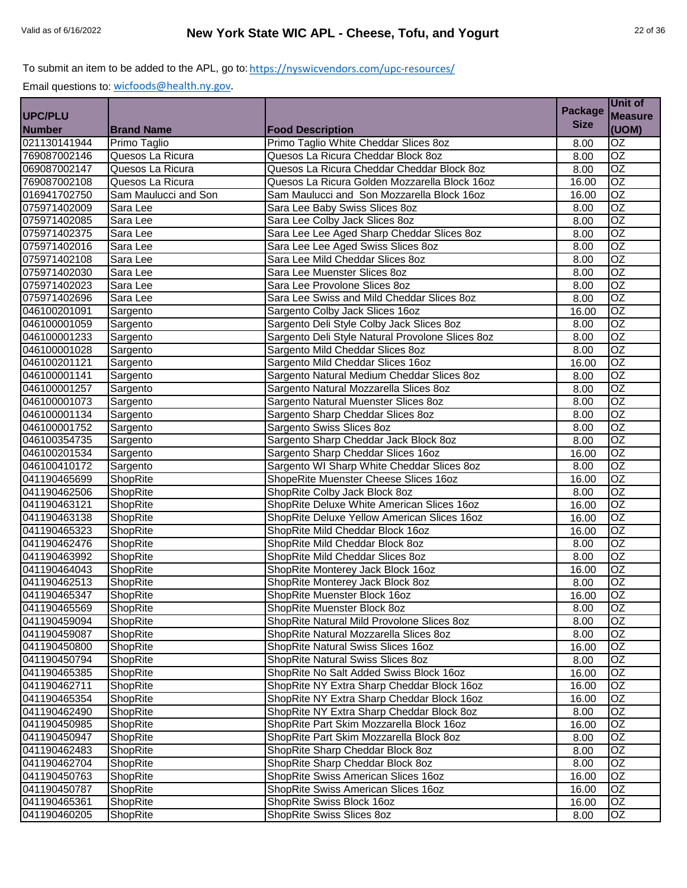|               |                      |                                                  | <b>Package</b> | Unit of         |
|---------------|----------------------|--------------------------------------------------|----------------|-----------------|
| UPC/PLU       |                      |                                                  |                | <b>Measure</b>  |
| <b>Number</b> | <b>Brand Name</b>    | <b>Food Description</b>                          | <b>Size</b>    | (UOM)           |
| 021130141944  | Primo Taglio         | Primo Taglio White Cheddar Slices 8oz            | 8.00           | OZ              |
| 769087002146  | Quesos La Ricura     | Quesos La Ricura Cheddar Block 8oz               | 8.00           | $\overline{OZ}$ |
| 069087002147  | Quesos La Ricura     | Quesos La Ricura Cheddar Cheddar Block 8oz       | 8.00           | OZ              |
| 769087002108  | Quesos La Ricura     | Quesos La Ricura Golden Mozzarella Block 16oz    | 16.00          | OZ              |
| 016941702750  | Sam Maulucci and Son | Sam Maulucci and Son Mozzarella Block 16oz       | 16.00          | OZ              |
| 075971402009  | Sara Lee             | Sara Lee Baby Swiss Slices 8oz                   | 8.00           | $\overline{OZ}$ |
| 075971402085  | Sara Lee             | Sara Lee Colby Jack Slices 8oz                   | 8.00           | $\overline{OZ}$ |
| 075971402375  | Sara Lee             | Sara Lee Lee Aged Sharp Cheddar Slices 8oz       | 8.00           | $\overline{OZ}$ |
| 075971402016  | Sara Lee             | Sara Lee Lee Aged Swiss Slices 8oz               | 8.00           | $\overline{OZ}$ |
| 075971402108  | Sara Lee             | Sara Lee Mild Cheddar Slices 8oz                 | 8.00           | $\overline{OZ}$ |
| 075971402030  | Sara Lee             | Sara Lee Muenster Slices 8oz                     | 8.00           | $\overline{OZ}$ |
| 075971402023  | Sara Lee             | Sara Lee Provolone Slices 8oz                    | 8.00           | $\overline{OZ}$ |
| 075971402696  | Sara Lee             | Sara Lee Swiss and Mild Cheddar Slices 8oz       | 8.00           | OZ              |
| 046100201091  | Sargento             | Sargento Colby Jack Slices 16oz                  | 16.00          | OZ              |
| 046100001059  | Sargento             | Sargento Deli Style Colby Jack Slices 8oz        | 8.00           | OZ              |
| 046100001233  | Sargento             | Sargento Deli Style Natural Provolone Slices 8oz | 8.00           | $\overline{OZ}$ |
| 046100001028  | Sargento             | Sargento Mild Cheddar Slices 8oz                 | 8.00           | OZ              |
| 046100201121  | Sargento             | Sargento Mild Cheddar Slices 16oz                | 16.00          | $\overline{OZ}$ |
| 046100001141  | Sargento             | Sargento Natural Medium Cheddar Slices 8oz       | 8.00           | $\overline{OZ}$ |
| 046100001257  | Sargento             | Sargento Natural Mozzarella Slices 8oz           | 8.00           | $\overline{OZ}$ |
| 046100001073  | Sargento             | Sargento Natural Muenster Slices 8oz             | 8.00           | OZ              |
| 046100001134  | Sargento             | Sargento Sharp Cheddar Slices 8oz                | 8.00           | $\overline{OZ}$ |
| 046100001752  | Sargento             | Sargento Swiss Slices 8oz                        | 8.00           | $\overline{OZ}$ |
| 046100354735  | Sargento             | Sargento Sharp Cheddar Jack Block 8oz            | 8.00           | $\overline{OZ}$ |
| 046100201534  | Sargento             | Sargento Sharp Cheddar Slices 16oz               | 16.00          | $\overline{OZ}$ |
| 046100410172  | Sargento             | Sargento WI Sharp White Cheddar Slices 8oz       | 8.00           | $\overline{OZ}$ |
| 041190465699  | <b>ShopRite</b>      | ShopeRite Muenster Cheese Slices 16oz            | 16.00          | $\overline{OZ}$ |
| 041190462506  | ShopRite             | ShopRite Colby Jack Block 8oz                    | 8.00           | $\overline{OZ}$ |
| 041190463121  | <b>ShopRite</b>      | ShopRite Deluxe White American Slices 160z       | 16.00          | OZ              |
| 041190463138  | <b>ShopRite</b>      | ShopRite Deluxe Yellow American Slices 16oz      | 16.00          | OZ              |
| 041190465323  | ShopRite             | ShopRite Mild Cheddar Block 16oz                 | 16.00          | OZ              |
| 041190462476  | ShopRite             | ShopRite Mild Cheddar Block 8oz                  | 8.00           | OZ              |
| 041190463992  | ShopRite             | ShopRite Mild Cheddar Slices 8oz                 | 8.00           | $\overline{OZ}$ |
| 041190464043  | ShopRite             | ShopRite Monterey Jack Block 16oz                | 16.00          | $\overline{OZ}$ |
| 041190462513  | ShopRite             | ShopRite Monterey Jack Block 8oz                 | 8.00           | $\overline{OZ}$ |
| 041190465347  | ShopRite             | ShopRite Muenster Block 16oz                     | 16.00          | OZ              |
| 041190465569  | ShopRite             | ShopRite Muenster Block 8oz                      | 8.00           | OZ              |
| 041190459094  | ShopRite             | ShopRite Natural Mild Provolone Slices 8oz       | 8.00           | $\overline{OZ}$ |
| 041190459087  | <b>ShopRite</b>      | ShopRite Natural Mozzarella Slices 8oz           | 8.00           | OZ              |
| 041190450800  | ShopRite             | ShopRite Natural Swiss Slices 16oz               | 16.00          | OZ.             |
| 041190450794  | ShopRite             | ShopRite Natural Swiss Slices 8oz                | 8.00           | OZ              |
| 041190465385  | ShopRite             | ShopRite No Salt Added Swiss Block 16oz          | 16.00          | OZ              |
| 041190462711  | <b>ShopRite</b>      | ShopRite NY Extra Sharp Cheddar Block 16oz       | 16.00          | OZ              |
| 041190465354  | ShopRite             | ShopRite NY Extra Sharp Cheddar Block 16oz       | 16.00          | OZ              |
| 041190462490  | ShopRite             | ShopRite NY Extra Sharp Cheddar Block 8oz        | 8.00           | OZ              |
| 041190450985  | ShopRite             | ShopRite Part Skim Mozzarella Block 16oz         | 16.00          | OZ              |
| 041190450947  | ShopRite             | ShopRite Part Skim Mozzarella Block 8oz          | 8.00           | OZ              |
| 041190462483  | ShopRite             | ShopRite Sharp Cheddar Block 8oz                 | 8.00           | OZ              |
| 041190462704  | <b>ShopRite</b>      | ShopRite Sharp Cheddar Block 8oz                 | 8.00           | OZ              |
| 041190450763  | <b>ShopRite</b>      | ShopRite Swiss American Slices 16oz              | 16.00          | OZ              |
| 041190450787  | ShopRite             | ShopRite Swiss American Slices 16oz              | 16.00          | OZ.             |
| 041190465361  | <b>ShopRite</b>      | ShopRite Swiss Block 16oz                        | 16.00          | OZ              |
|               |                      |                                                  |                |                 |
| 041190460205  | <b>ShopRite</b>      | ShopRite Swiss Slices 8oz                        | 8.00           | OZ              |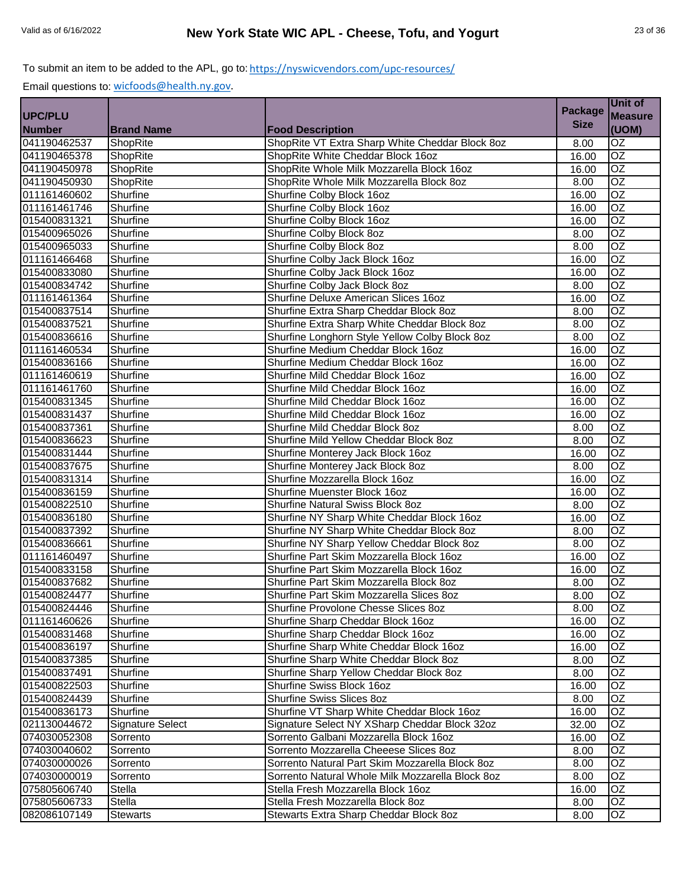|                |                   |                                                  | <b>Package</b> | <b>Unit of</b>  |
|----------------|-------------------|--------------------------------------------------|----------------|-----------------|
| <b>UPC/PLU</b> |                   |                                                  |                | <b>Measure</b>  |
| <b>Number</b>  | <b>Brand Name</b> | <b>Food Description</b>                          | <b>Size</b>    | (UOM)           |
| 041190462537   | ShopRite          | ShopRite VT Extra Sharp White Cheddar Block 8oz  | 8.00           | $\overline{OZ}$ |
| 041190465378   | ShopRite          | ShopRite White Cheddar Block 16oz                | 16.00          | $\overline{OZ}$ |
| 041190450978   | ShopRite          | ShopRite Whole Milk Mozzarella Block 16oz        | 16.00          | $\overline{OZ}$ |
| 041190450930   | ShopRite          | ShopRite Whole Milk Mozzarella Block 8oz         | 8.00           | $\overline{OZ}$ |
| 011161460602   | Shurfine          | Shurfine Colby Block 16oz                        | 16.00          | $\overline{OZ}$ |
| 011161461746   | Shurfine          | Shurfine Colby Block 16oz                        | 16.00          | $\overline{OZ}$ |
| 015400831321   | Shurfine          | Shurfine Colby Block 16oz                        | 16.00          | OZ              |
| 015400965026   | Shurfine          | Shurfine Colby Block 8oz                         | 8.00           | OZ              |
| 015400965033   | Shurfine          | Shurfine Colby Block 8oz                         | 8.00           | $\overline{OZ}$ |
| 011161466468   | Shurfine          | Shurfine Colby Jack Block 16oz                   | 16.00          | $\overline{OZ}$ |
| 015400833080   | Shurfine          | Shurfine Colby Jack Block 16oz                   | 16.00          | OZ              |
| 015400834742   | Shurfine          | Shurfine Colby Jack Block 8oz                    | 8.00           | $\overline{OZ}$ |
| 011161461364   | Shurfine          | Shurfine Deluxe American Slices 16oz             | 16.00          | <b>OZ</b>       |
| 015400837514   | Shurfine          | Shurfine Extra Sharp Cheddar Block 8oz           | 8.00           | $\overline{OZ}$ |
| 015400837521   | Shurfine          | Shurfine Extra Sharp White Cheddar Block 8oz     | 8.00           | $\overline{OZ}$ |
| 015400836616   | Shurfine          | Shurfine Longhorn Style Yellow Colby Block 8oz   | 8.00           | OZ              |
| 011161460534   | Shurfine          | Shurfine Medium Cheddar Block 16oz               | 16.00          | $\overline{OZ}$ |
| 015400836166   | Shurfine          | Shurfine Medium Cheddar Block 16oz               | 16.00          | $\overline{OZ}$ |
| 011161460619   | Shurfine          | Shurfine Mild Cheddar Block 16oz                 | 16.00          | OZ              |
| 011161461760   | Shurfine          | Shurfine Mild Cheddar Block 16oz                 | 16.00          | OZ              |
| 015400831345   | Shurfine          | Shurfine Mild Cheddar Block 16oz                 | 16.00          | $\overline{OZ}$ |
| 015400831437   | Shurfine          | Shurfine Mild Cheddar Block 16oz                 | 16.00          | OZ              |
| 015400837361   | Shurfine          | Shurfine Mild Cheddar Block 8oz                  | 8.00           | $\overline{OZ}$ |
| 015400836623   | Shurfine          | Shurfine Mild Yellow Cheddar Block 8oz           | 8.00           | OZ              |
| 015400831444   | Shurfine          | Shurfine Monterey Jack Block 16oz                | 16.00          | OZ              |
| 015400837675   | Shurfine          | Shurfine Monterey Jack Block 8oz                 | 8.00           | OZ              |
| 015400831314   | Shurfine          | Shurfine Mozzarella Block 16oz                   | 16.00          | $\overline{OZ}$ |
| 015400836159   | Shurfine          | Shurfine Muenster Block 16oz                     | 16.00          | $\overline{OZ}$ |
| 015400822510   | Shurfine          | Shurfine Natural Swiss Block 8oz                 | 8.00           | $\overline{OZ}$ |
| 015400836180   | Shurfine          | Shurfine NY Sharp White Cheddar Block 16oz       | 16.00          | $\overline{OZ}$ |
| 015400837392   | Shurfine          | Shurfine NY Sharp White Cheddar Block 8oz        | 8.00           | $\overline{OZ}$ |
| 015400836661   | Shurfine          | Shurfine NY Sharp Yellow Cheddar Block 8oz       | 8.00           | OZ              |
| 011161460497   | Shurfine          | Shurfine Part Skim Mozzarella Block 16oz         | 16.00          | OZ              |
| 015400833158   | Shurfine          | Shurfine Part Skim Mozzarella Block 16oz         | 16.00          | $\overline{OZ}$ |
| 015400837682   | Shurfine          | Shurfine Part Skim Mozzarella Block 8oz          | 8.00           | OZ              |
| 015400824477   | Shurfine          | Shurfine Part Skim Mozzarella Slices 8oz         | 8.00           | OZ              |
| 015400824446   | Shurfine          | Shurfine Provolone Chesse Slices 8oz             | 8.00           | OZ              |
| 011161460626   | Shurfine          | Shurfine Sharp Cheddar Block 16oz                | 16.00          | OZ              |
| 015400831468   | Shurfine          | Shurfine Sharp Cheddar Block 16oz                | 16.00          | OZ              |
| 015400836197   | Shurfine          | Shurfine Sharp White Cheddar Block 16oz          | 16.00          | OZ.             |
| 015400837385   | Shurfine          | Shurfine Sharp White Cheddar Block 8oz           | 8.00           | OZ              |
| 015400837491   | Shurfine          | Shurfine Sharp Yellow Cheddar Block 8oz          | 8.00           | OZ              |
| 015400822503   | Shurfine          | Shurfine Swiss Block 16oz                        | 16.00          | OZ              |
| 015400824439   | Shurfine          | Shurfine Swiss Slices 8oz                        | 8.00           | OZ              |
| 015400836173   | Shurfine          | Shurfine VT Sharp White Cheddar Block 16oz       | 16.00          | OZ              |
| 021130044672   | Signature Select  | Signature Select NY XSharp Cheddar Block 32oz    | 32.00          | OZ              |
| 074030052308   | Sorrento          | Sorrento Galbani Mozzarella Block 16oz           | 16.00          | OZ              |
| 074030040602   | Sorrento          | Sorrento Mozzarella Cheeese Slices 8oz           | 8.00           | OZ.             |
| 074030000026   | Sorrento          | Sorrento Natural Part Skim Mozzarella Block 8oz  | 8.00           | $\overline{OZ}$ |
| 074030000019   | Sorrento          | Sorrento Natural Whole Milk Mozzarella Block 8oz | 8.00           | OZ              |
| 075805606740   | Stella            | Stella Fresh Mozzarella Block 16oz               | 16.00          | OZ              |
| 075805606733   | Stella            | Stella Fresh Mozzarella Block 8oz                | 8.00           | OZ.             |
| 082086107149   | <b>Stewarts</b>   | Stewarts Extra Sharp Cheddar Block 8oz           | 8.00           | OZ              |
|                |                   |                                                  |                |                 |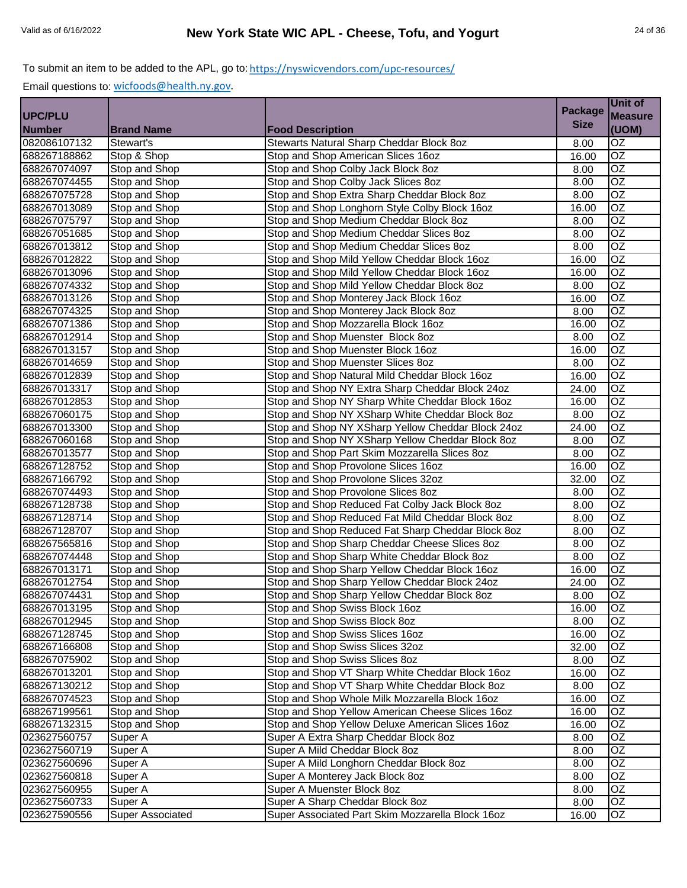|                |                         |                                                   |                | Unit of         |
|----------------|-------------------------|---------------------------------------------------|----------------|-----------------|
| <b>UPC/PLU</b> |                         |                                                   | <b>Package</b> | <b>Measure</b>  |
| <b>Number</b>  | <b>Brand Name</b>       | <b>Food Description</b>                           | <b>Size</b>    | (UOM)           |
| 082086107132   | Stewart's               | Stewarts Natural Sharp Cheddar Block 8oz          | 8.00           | OZ              |
| 688267188862   | Stop & Shop             | Stop and Shop American Slices 16oz                | 16.00          | OZ              |
| 688267074097   | Stop and Shop           | Stop and Shop Colby Jack Block 8oz                | 8.00           | OZ              |
| 688267074455   | Stop and Shop           | Stop and Shop Colby Jack Slices 8oz               | 8.00           | $\overline{OZ}$ |
| 688267075728   | Stop and Shop           | Stop and Shop Extra Sharp Cheddar Block 8oz       | 8.00           | $\overline{OZ}$ |
| 688267013089   | Stop and Shop           | Stop and Shop Longhorn Style Colby Block 16oz     | 16.00          | OZ              |
| 688267075797   | Stop and Shop           | Stop and Shop Medium Cheddar Block 8oz            | 8.00           | $\overline{OZ}$ |
| 688267051685   | Stop and Shop           | Stop and Shop Medium Cheddar Slices 8oz           | 8.00           | $\overline{OZ}$ |
| 688267013812   | Stop and Shop           | Stop and Shop Medium Cheddar Slices 8oz           | 8.00           | OZ              |
| 688267012822   | Stop and Shop           | Stop and Shop Mild Yellow Cheddar Block 16oz      | 16.00          | OZ              |
| 688267013096   | Stop and Shop           | Stop and Shop Mild Yellow Cheddar Block 16oz      | 16.00          | OZ              |
| 688267074332   | Stop and Shop           | Stop and Shop Mild Yellow Cheddar Block 8oz       | 8.00           | OZ              |
| 688267013126   | Stop and Shop           | Stop and Shop Monterey Jack Block 16oz            | 16.00          | OZ              |
| 688267074325   | Stop and Shop           | Stop and Shop Monterey Jack Block 8oz             | 8.00           | OZ              |
| 688267071386   | Stop and Shop           | Stop and Shop Mozzarella Block 16oz               | 16.00          | OZ              |
| 688267012914   | Stop and Shop           | Stop and Shop Muenster Block 8oz                  | 8.00           | OZ              |
| 688267013157   | Stop and Shop           | Stop and Shop Muenster Block 16oz                 | 16.00          | OZ              |
| 688267014659   | Stop and Shop           | Stop and Shop Muenster Slices 8oz                 | 8.00           | OZ              |
| 688267012839   | Stop and Shop           | Stop and Shop Natural Mild Cheddar Block 16oz     | 16.00          | OZ              |
| 688267013317   | Stop and Shop           | Stop and Shop NY Extra Sharp Cheddar Block 24oz   | 24.00          | OZ              |
| 688267012853   | Stop and Shop           | Stop and Shop NY Sharp White Cheddar Block 16oz   | 16.00          | OZ              |
| 688267060175   | Stop and Shop           | Stop and Shop NY XSharp White Cheddar Block 8oz   | 8.00           | OZ              |
| 688267013300   | Stop and Shop           | Stop and Shop NY XSharp Yellow Cheddar Block 24oz | 24.00          | OZ              |
| 688267060168   | Stop and Shop           | Stop and Shop NY XSharp Yellow Cheddar Block 8oz  | 8.00           | $\overline{OZ}$ |
| 688267013577   | Stop and Shop           | Stop and Shop Part Skim Mozzarella Slices 8oz     | 8.00           | $\overline{OZ}$ |
| 688267128752   | Stop and Shop           | Stop and Shop Provolone Slices 16oz               | 16.00          | OZ              |
| 688267166792   | Stop and Shop           | Stop and Shop Provolone Slices 32oz               | 32.00          | OZ              |
| 688267074493   | Stop and Shop           | Stop and Shop Provolone Slices 8oz                | 8.00           | $\overline{OZ}$ |
| 688267128738   | Stop and Shop           | Stop and Shop Reduced Fat Colby Jack Block 8oz    | 8.00           | $\overline{OZ}$ |
| 688267128714   | Stop and Shop           | Stop and Shop Reduced Fat Mild Cheddar Block 8oz  | 8.00           | $\overline{OZ}$ |
| 688267128707   | Stop and Shop           | Stop and Shop Reduced Fat Sharp Cheddar Block 8oz | 8.00           | OZ              |
| 688267565816   | Stop and Shop           | Stop and Shop Sharp Cheddar Cheese Slices 8oz     | 8.00           | OZ              |
| 688267074448   | Stop and Shop           | Stop and Shop Sharp White Cheddar Block 8oz       | 8.00           | $\overline{OZ}$ |
| 688267013171   | Stop and Shop           | Stop and Shop Sharp Yellow Cheddar Block 16oz     | 16.00          | OZ              |
| 688267012754   | Stop and Shop           | Stop and Shop Sharp Yellow Cheddar Block 24oz     | 24.00          | OZ              |
| 688267074431   | Stop and Shop           | Stop and Shop Sharp Yellow Cheddar Block 8oz      | 8.00           | OZ              |
| 688267013195   | Stop and Shop           | Stop and Shop Swiss Block 16oz                    | 16.00          | <b>OZ</b>       |
| 688267012945   | Stop and Shop           | Stop and Shop Swiss Block 8oz                     | 8.00           | OZ              |
| 688267128745   | Stop and Shop           | Stop and Shop Swiss Slices 16oz                   | 16.00          | OZ              |
| 688267166808   | Stop and Shop           | Stop and Shop Swiss Slices 32oz                   | 32.00          | OZ              |
| 688267075902   | Stop and Shop           | Stop and Shop Swiss Slices 8oz                    | 8.00           | OZ              |
| 688267013201   | Stop and Shop           | Stop and Shop VT Sharp White Cheddar Block 16oz   | 16.00          | OZ              |
| 688267130212   | Stop and Shop           | Stop and Shop VT Sharp White Cheddar Block 8oz    | 8.00           | OZ              |
| 688267074523   | Stop and Shop           | Stop and Shop Whole Milk Mozzarella Block 16oz    | 16.00          | OZ              |
| 688267199561   | Stop and Shop           | Stop and Shop Yellow American Cheese Slices 16oz  | 16.00          | OZ              |
| 688267132315   | Stop and Shop           | Stop and Shop Yellow Deluxe American Slices 16oz  | 16.00          | OZ              |
| 023627560757   | Super A                 | Super A Extra Sharp Cheddar Block 8oz             | 8.00           | OZ              |
| 023627560719   | Super A                 | Super A Mild Cheddar Block 8oz                    | 8.00           | $\overline{OZ}$ |
| 023627560696   | Super A                 | Super A Mild Longhorn Cheddar Block 8oz           | 8.00           | $\overline{OZ}$ |
| 023627560818   | Super A                 | Super A Monterey Jack Block 8oz                   | 8.00           | OZ              |
| 023627560955   | Super A                 | Super A Muenster Block 8oz                        | 8.00           | OZ              |
| 023627560733   | Super A                 | Super A Sharp Cheddar Block 8oz                   | 8.00           | OZ              |
| 023627590556   | <b>Super Associated</b> | Super Associated Part Skim Mozzarella Block 16oz  | 16.00          | OZ              |
|                |                         |                                                   |                |                 |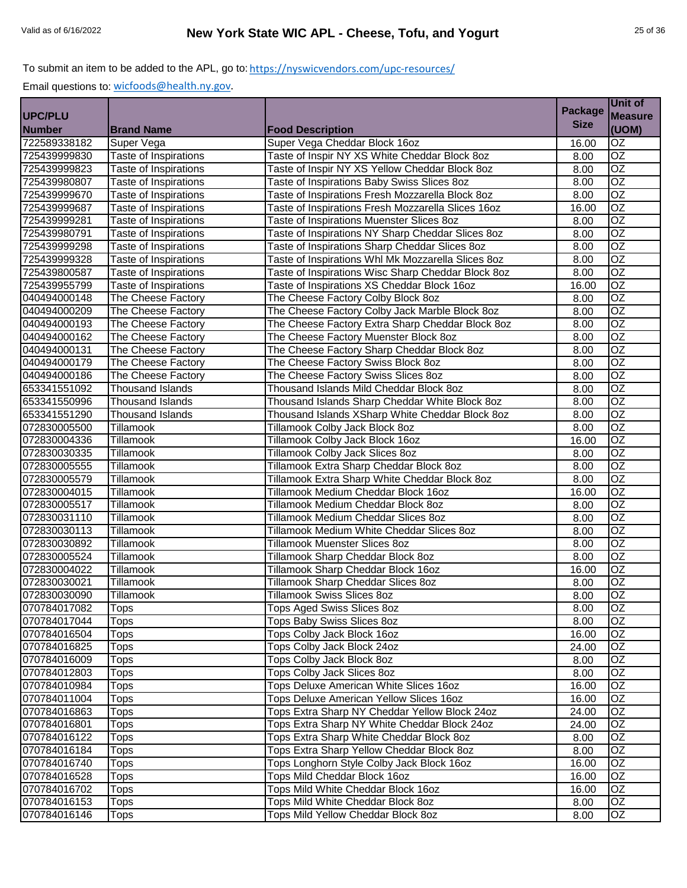|                |                         |                                                    | <b>Package</b> | Unit of         |
|----------------|-------------------------|----------------------------------------------------|----------------|-----------------|
| <b>UPC/PLU</b> |                         |                                                    |                | <b>Measure</b>  |
| <b>Number</b>  | <b>Brand Name</b>       | <b>Food Description</b>                            | <b>Size</b>    | (UOM)           |
| 722589338182   | Super Vega              | Super Vega Cheddar Block 16oz                      | 16.00          | $\overline{OZ}$ |
| 725439999830   | Taste of Inspirations   | Taste of Inspir NY XS White Cheddar Block 8oz      | 8.00           | $\overline{OZ}$ |
| 725439999823   | Taste of Inspirations   | Taste of Inspir NY XS Yellow Cheddar Block 8oz     | 8.00           | $\overline{OZ}$ |
| 725439980807   | Taste of Inspirations   | Taste of Inspirations Baby Swiss Slices 8oz        | 8.00           | $\overline{OZ}$ |
| 725439999670   | Taste of Inspirations   | Taste of Inspirations Fresh Mozzarella Block 8oz   | 8.00           | $\overline{OZ}$ |
| 725439999687   | Taste of Inspirations   | Taste of Inspirations Fresh Mozzarella Slices 16oz | 16.00          | $\overline{OZ}$ |
| 725439999281   | Taste of Inspirations   | Taste of Inspirations Muenster Slices 8oz          | 8.00           | $\overline{OZ}$ |
| 725439980791   | Taste of Inspirations   | Taste of Inspirations NY Sharp Cheddar Slices 8oz  | 8.00           | $\overline{OZ}$ |
| 725439999298   | Taste of Inspirations   | Taste of Inspirations Sharp Cheddar Slices 8oz     | 8.00           | $\overline{OZ}$ |
| 725439999328   | Taste of Inspirations   | Taste of Inspirations Whl Mk Mozzarella Slices 8oz | 8.00           | $\overline{OZ}$ |
| 725439800587   | Taste of Inspirations   | Taste of Inspirations Wisc Sharp Cheddar Block 8oz | 8.00           | OZ              |
| 725439955799   | Taste of Inspirations   | Taste of Inspirations XS Cheddar Block 16oz        | 16.00          | $\overline{OZ}$ |
| 040494000148   | The Cheese Factory      | The Cheese Factory Colby Block 8oz                 | 8.00           | OZ              |
| 040494000209   | The Cheese Factory      | The Cheese Factory Colby Jack Marble Block 8oz     | 8.00           | $\overline{OZ}$ |
| 040494000193   | The Cheese Factory      | The Cheese Factory Extra Sharp Cheddar Block 8oz   | 8.00           | $\overline{OZ}$ |
| 040494000162   | The Cheese Factory      | The Cheese Factory Muenster Block 8oz              | 8.00           | $\overline{OZ}$ |
| 040494000131   | The Cheese Factory      | The Cheese Factory Sharp Cheddar Block 8oz         | 8.00           | $\overline{OZ}$ |
| 040494000179   | The Cheese Factory      | The Cheese Factory Swiss Block 8oz                 | 8.00           | $\overline{OZ}$ |
| 040494000186   | The Cheese Factory      | The Cheese Factory Swiss Slices 80z                | 8.00           | $\overline{OZ}$ |
| 653341551092   | <b>Thousand Islands</b> | Thousand Islands Mild Cheddar Block 8oz            | 8.00           | $\overline{OZ}$ |
| 653341550996   | <b>Thousand Islands</b> | Thousand Islands Sharp Cheddar White Block 8oz     | 8.00           | $\overline{OZ}$ |
| 653341551290   | <b>Thousand Islands</b> | Thousand Islands XSharp White Cheddar Block 8oz    | 8.00           | OZ              |
| 072830005500   | <b>Tillamook</b>        | <b>Tillamook Colby Jack Block 8oz</b>              | 8.00           | $\overline{OZ}$ |
| 072830004336   | <b>Tillamook</b>        | Tillamook Colby Jack Block 16oz                    | 16.00          | $\overline{OZ}$ |
| 072830030335   | Tillamook               | Tillamook Colby Jack Slices 8oz                    | 8.00           | $\overline{OZ}$ |
| 072830005555   | Tillamook               | Tillamook Extra Sharp Cheddar Block 8oz            | 8.00           | $\overline{OZ}$ |
| 072830005579   | Tillamook               | Tillamook Extra Sharp White Cheddar Block 8oz      | 8.00           | $\overline{OZ}$ |
| 072830004015   | Tillamook               | Tillamook Medium Cheddar Block 16oz                | 16.00          | $\overline{OZ}$ |
| 072830005517   | <b>Tillamook</b>        | Tillamook Medium Cheddar Block 8oz                 | 8.00           | $\overline{OZ}$ |
| 072830031110   | <b>Tillamook</b>        | Tillamook Medium Cheddar Slices 8oz                | 8.00           | $\overline{OZ}$ |
| 072830030113   | <b>Tillamook</b>        | Tillamook Medium White Cheddar Slices 8oz          | 8.00           | $\overline{OZ}$ |
| 072830030892   | Tillamook               | <b>Tillamook Muenster Slices 8oz</b>               | 8.00           | OZ              |
| 072830005524   | Tillamook               | Tillamook Sharp Cheddar Block 8oz                  | 8.00           | OZ              |
| 072830004022   | Tillamook               | Tillamook Sharp Cheddar Block 16oz                 | 16.00          | $\overline{OZ}$ |
| 072830030021   | <b>Tillamook</b>        | <b>Tillamook Sharp Cheddar Slices 8oz</b>          | 8.00           | OZ              |
| 072830030090   | Tillamook               | <b>Tillamook Swiss Slices 8oz</b>                  | 8.00           | OZ              |
| 070784017082   | <b>Tops</b>             | <b>Tops Aged Swiss Slices 8oz</b>                  | 8.00           | OZ              |
| 070784017044   | Tops                    | Tops Baby Swiss Slices 8oz                         | 8.00           | $\overline{OZ}$ |
| 070784016504   | <b>Tops</b>             | Tops Colby Jack Block 16oz                         | 16.00          | <b>OZ</b>       |
| 070784016825   | Tops                    | Tops Colby Jack Block 24oz                         | 24.00          | OZ.             |
| 070784016009   | Tops                    | Tops Colby Jack Block 8oz                          | 8.00           | OZ              |
| 070784012803   | Tops                    | Tops Colby Jack Slices 8oz                         | 8.00           | OZ              |
| 070784010984   | Tops                    | Tops Deluxe American White Slices 16oz             | 16.00          | OZ              |
| 070784011004   | Tops                    | Tops Deluxe American Yellow Slices 16oz            | 16.00          | OZ              |
| 070784016863   | Tops                    | Tops Extra Sharp NY Cheddar Yellow Block 24oz      | 24.00          | OZ              |
| 070784016801   | Tops                    | Tops Extra Sharp NY White Cheddar Block 24oz       | 24.00          | OZ              |
| 070784016122   | <b>Tops</b>             | Tops Extra Sharp White Cheddar Block 8oz           | 8.00           | OZ              |
| 070784016184   | Tops                    | Tops Extra Sharp Yellow Cheddar Block 8oz          | 8.00           | OZ              |
| 070784016740   | Tops                    | Tops Longhorn Style Colby Jack Block 16oz          | 16.00          | $\overline{OZ}$ |
| 070784016528   | Tops                    | Tops Mild Cheddar Block 16oz                       | 16.00          | OZ              |
| 070784016702   | Tops                    | Tops Mild White Cheddar Block 16oz                 | 16.00          | OZ.             |
| 070784016153   | Tops                    | Tops Mild White Cheddar Block 8oz                  | 8.00           | OZ              |
| 070784016146   | Tops                    | Tops Mild Yellow Cheddar Block 8oz                 | 8.00           | OZ              |
|                |                         |                                                    |                |                 |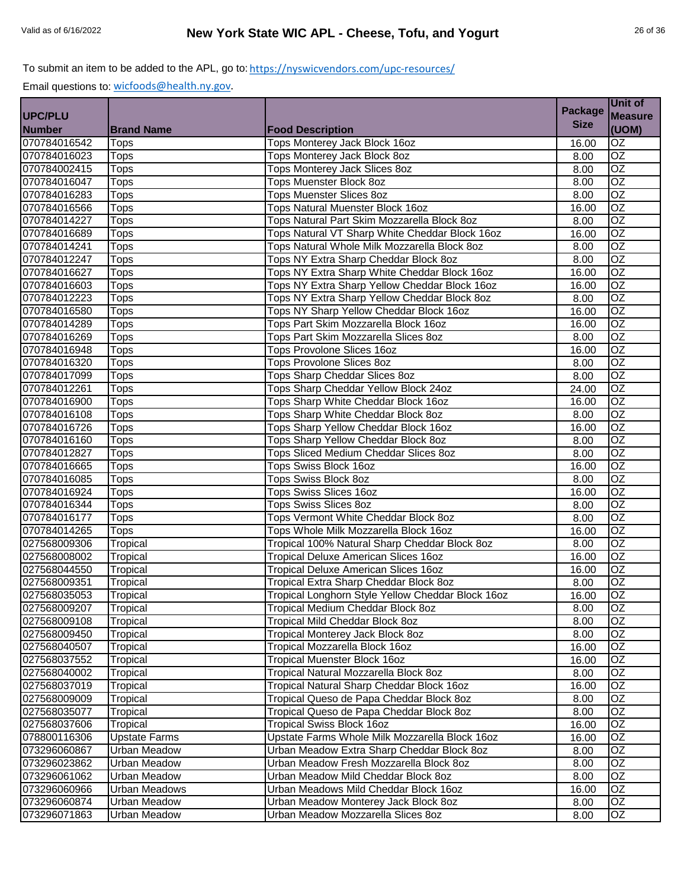|               |                      |                                                   | <b>Package</b> | Unit of         |
|---------------|----------------------|---------------------------------------------------|----------------|-----------------|
| UPC/PLU       |                      |                                                   |                | <b>Measure</b>  |
| <b>Number</b> | <b>Brand Name</b>    | <b>Food Description</b>                           | <b>Size</b>    | (UOM)           |
| 070784016542  | <b>Tops</b>          | Tops Monterey Jack Block 16oz                     | 16.00          | OZ              |
| 070784016023  | <b>Tops</b>          | Tops Monterey Jack Block 8oz                      | 8.00           | $\overline{OZ}$ |
| 070784002415  | <b>Tops</b>          | Tops Monterey Jack Slices 8oz                     | 8.00           | OZ              |
| 070784016047  | <b>Tops</b>          | Tops Muenster Block 8oz                           | 8.00           | OZ              |
| 070784016283  | <b>Tops</b>          | <b>Tops Muenster Slices 8oz</b>                   | 8.00           | OZ              |
| 070784016566  | <b>Tops</b>          | <b>Tops Natural Muenster Block 16oz</b>           | 16.00          | OZ              |
| 070784014227  | Tops                 | Tops Natural Part Skim Mozzarella Block 8oz       | 8.00           | OZ              |
| 070784016689  | <b>Tops</b>          | Tops Natural VT Sharp White Cheddar Block 16oz    | 16.00          | $\overline{OZ}$ |
| 070784014241  | <b>Tops</b>          | Tops Natural Whole Milk Mozzarella Block 8oz      | 8.00           | OZ              |
| 070784012247  | <b>Tops</b>          | Tops NY Extra Sharp Cheddar Block 8oz             | 8.00           | OZ              |
| 070784016627  | <b>Tops</b>          | Tops NY Extra Sharp White Cheddar Block 16oz      | 16.00          | $\overline{OZ}$ |
| 070784016603  | Tops                 | Tops NY Extra Sharp Yellow Cheddar Block 16oz     | 16.00          | $\overline{OZ}$ |
| 070784012223  | <b>Tops</b>          | Tops NY Extra Sharp Yellow Cheddar Block 8oz      | 8.00           | $\overline{OZ}$ |
| 070784016580  | <b>Tops</b>          | Tops NY Sharp Yellow Cheddar Block 16oz           | 16.00          | OZ              |
| 070784014289  | <b>Tops</b>          | Tops Part Skim Mozzarella Block 16oz              | 16.00          | OZ              |
| 070784016269  | Tops                 | Tops Part Skim Mozzarella Slices 8oz              | 8.00           | $\overline{OZ}$ |
| 070784016948  | <b>Tops</b>          | <b>Tops Provolone Slices 16oz</b>                 | 16.00          | OZ              |
| 070784016320  | Tops                 | <b>Tops Provolone Slices 8oz</b>                  | 8.00           | OZ              |
| 070784017099  | Tops                 | Tops Sharp Cheddar Slices 8oz                     | 8.00           | $\overline{OZ}$ |
| 070784012261  | <b>Tops</b>          | Tops Sharp Cheddar Yellow Block 24oz              | 24.00          | $\overline{OZ}$ |
| 070784016900  | <b>Tops</b>          | Tops Sharp White Cheddar Block 16oz               | 16.00          | OZ              |
| 070784016108  | <b>Tops</b>          | Tops Sharp White Cheddar Block 8oz                | 8.00           | $\overline{OZ}$ |
| 070784016726  | <b>Tops</b>          | Tops Sharp Yellow Cheddar Block 16oz              | 16.00          | $\overline{OZ}$ |
| 070784016160  | <b>Tops</b>          | Tops Sharp Yellow Cheddar Block 8oz               | 8.00           | $\overline{OZ}$ |
| 070784012827  | <b>Tops</b>          | Tops Sliced Medium Cheddar Slices 8oz             | 8.00           | OZ              |
| 070784016665  | <b>Tops</b>          | Tops Swiss Block 16oz                             | 16.00          | OZ              |
| 070784016085  | <b>Tops</b>          | Tops Swiss Block 8oz                              | 8.00           | $\overline{OZ}$ |
| 070784016924  | <b>Tops</b>          | <b>Tops Swiss Slices 16oz</b>                     | 16.00          | OZ              |
| 070784016344  | Tops                 | <b>Tops Swiss Slices 8oz</b>                      | 8.00           | OZ              |
| 070784016177  | <b>Tops</b>          | Tops Vermont White Cheddar Block 8oz              | 8.00           | OZ              |
| 070784014265  | Tops                 | Tops Whole Milk Mozzarella Block 16oz             | 16.00          | OZ              |
| 027568009306  | Tropical             | Tropical 100% Natural Sharp Cheddar Block 8oz     | 8.00           | OZ              |
| 027568008002  | Tropical             | <b>Tropical Deluxe American Slices 16oz</b>       | 16.00          | $\overline{OZ}$ |
| 027568044550  | Tropical             | Tropical Deluxe American Slices 16oz              | 16.00          | OZ              |
| 027568009351  | Tropical             | Tropical Extra Sharp Cheddar Block 8oz            | 8.00           | $\overline{OZ}$ |
| 027568035053  | Tropical             | Tropical Longhorn Style Yellow Cheddar Block 16oz | 16.00          | OZ              |
| 027568009207  | Tropical             | Tropical Medium Cheddar Block 8oz                 | 8.00           | OZ              |
| 027568009108  | Tropical             | <b>Tropical Mild Cheddar Block 8oz</b>            | 8.00           | $\overline{OZ}$ |
| 027568009450  | Tropical             | Tropical Monterey Jack Block 8oz                  | 8.00           | OZ              |
| 027568040507  | Tropical             | Tropical Mozzarella Block 16oz                    | 16.00          | OZ.             |
| 027568037552  | Tropical             | Tropical Muenster Block 16oz                      | 16.00          | OZ.             |
| 027568040002  | Tropical             | Tropical Natural Mozzarella Block 8oz             | 8.00           | OZ              |
| 027568037019  | Tropical             | Tropical Natural Sharp Cheddar Block 16oz         | 16.00          | OZ              |
| 027568009009  | Tropical             | Tropical Queso de Papa Cheddar Block 8oz          | 8.00           | OZ              |
| 027568035077  | Tropical             | Tropical Queso de Papa Cheddar Block 8oz          | 8.00           | OZ              |
| 027568037606  | Tropical             | <b>Tropical Swiss Block 16oz</b>                  | 16.00          | OZ              |
| 078800116306  | <b>Upstate Farms</b> | Upstate Farms Whole Milk Mozzarella Block 16oz    | 16.00          | OZ              |
| 073296060867  | <b>Urban Meadow</b>  | Urban Meadow Extra Sharp Cheddar Block 8oz        | 8.00           | OZ              |
| 073296023862  | <b>Urban Meadow</b>  | Urban Meadow Fresh Mozzarella Block 8oz           | 8.00           | OZ              |
| 073296061062  | Urban Meadow         | Urban Meadow Mild Cheddar Block 8oz               | 8.00           | OZ              |
| 073296060966  | Urban Meadows        | Urban Meadows Mild Cheddar Block 16oz             | 16.00          | OZ              |
| 073296060874  | <b>Urban Meadow</b>  | Urban Meadow Monterey Jack Block 8oz              | 8.00           | OZ              |
| 073296071863  | <b>Urban Meadow</b>  | Urban Meadow Mozzarella Slices 8oz                | 8.00           | OZ              |
|               |                      |                                                   |                |                 |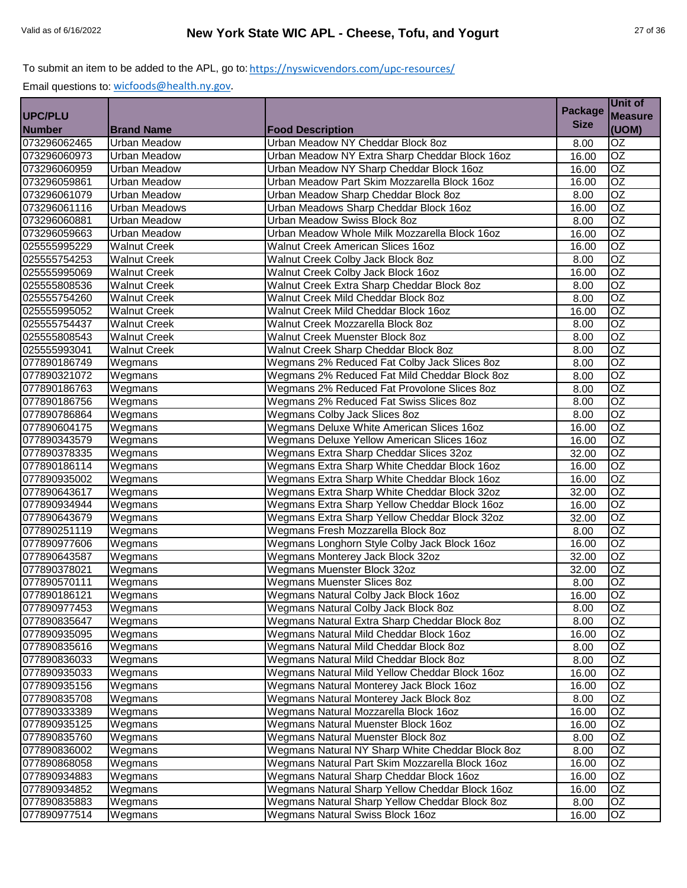|                |                       |                                                  | <b>Package</b> | Unit of         |
|----------------|-----------------------|--------------------------------------------------|----------------|-----------------|
| <b>UPC/PLU</b> |                       |                                                  |                | <b>Measure</b>  |
| <b>Number</b>  | <b>Brand Name</b>     | <b>Food Description</b>                          | <b>Size</b>    | (UOM)           |
| 073296062465   | Urban Meadow          | Urban Meadow NY Cheddar Block 8oz                | 8.00           | OZ              |
| 073296060973   | <b>Urban Meadow</b>   | Urban Meadow NY Extra Sharp Cheddar Block 16oz   | 16.00          | $\overline{OZ}$ |
| 073296060959   | <b>Urban Meadow</b>   | Urban Meadow NY Sharp Cheddar Block 16oz         | 16.00          | OZ              |
| 073296059861   | Urban Meadow          | Urban Meadow Part Skim Mozzarella Block 16oz     | 16.00          | OZ              |
| 073296061079   | Urban Meadow          | Urban Meadow Sharp Cheddar Block 8oz             | 8.00           | $\overline{OZ}$ |
| 073296061116   | <b>Urban Meadows</b>  | Urban Meadows Sharp Cheddar Block 16oz           | 16.00          | $\overline{OZ}$ |
| 073296060881   | Urban Meadow          | Urban Meadow Swiss Block 8oz                     | 8.00           | $\overline{OZ}$ |
| 073296059663   | Urban Meadow          | Urban Meadow Whole Milk Mozzarella Block 16oz    | 16.00          | $\overline{OZ}$ |
| 025555995229   | <b>Walnut Creek</b>   | <b>Walnut Creek American Slices 16oz</b>         | 16.00          | $\overline{OZ}$ |
| 025555754253   | <b>Walnut Creek</b>   | Walnut Creek Colby Jack Block 8oz                | 8.00           | $\overline{OZ}$ |
| 025555995069   | <b>Walnut Creek</b>   | Walnut Creek Colby Jack Block 16oz               | 16.00          | OZ              |
| 025555808536   | <b>Walnut Creek</b>   | Walnut Creek Extra Sharp Cheddar Block 8oz       | 8.00           | $\overline{OZ}$ |
| 025555754260   | <b>Walnut Creek</b>   | Walnut Creek Mild Cheddar Block 8oz              | 8.00           | OZ              |
| 025555995052   | <b>Walnut Creek</b>   | Walnut Creek Mild Cheddar Block 16oz             | 16.00          | $\overline{OZ}$ |
| 025555754437   | <b>Walnut Creek</b>   | Walnut Creek Mozzarella Block 8oz                | 8.00           | $\overline{OZ}$ |
| 025555808543   | <b>Walnut Creek</b>   | Walnut Creek Muenster Block 8oz                  | 8.00           | $\overline{OZ}$ |
| 025555993041   | <b>Walnut Creek</b>   | Walnut Creek Sharp Cheddar Block 8oz             | 8.00           | $\overline{OZ}$ |
| 077890186749   | Wegmans               | Wegmans 2% Reduced Fat Colby Jack Slices 8oz     | 8.00           | $\overline{OZ}$ |
| 077890321072   | Wegmans               | Wegmans 2% Reduced Fat Mild Cheddar Block 8oz    | 8.00           | $\overline{OZ}$ |
| 077890186763   | Wegmans               | Wegmans 2% Reduced Fat Provolone Slices 8oz      | 8.00           | $\overline{OZ}$ |
| 077890186756   | Wegmans               | Wegmans 2% Reduced Fat Swiss Slices 8oz          | 8.00           | OZ              |
| 077890786864   | Wegmans               | Wegmans Colby Jack Slices 8oz                    | 8.00           | OZ              |
| 077890604175   | Wegmans               | Wegmans Deluxe White American Slices 16oz        | 16.00          | $\overline{OZ}$ |
| 077890343579   | Wegmans               | Wegmans Deluxe Yellow American Slices 16oz       | 16.00          | OZ              |
| 077890378335   | Wegmans               | Wegmans Extra Sharp Cheddar Slices 32oz          | 32.00          | $\overline{OZ}$ |
| 077890186114   | Wegmans               | Wegmans Extra Sharp White Cheddar Block 16oz     | 16.00          | $\overline{OZ}$ |
| 077890935002   | Wegmans               | Wegmans Extra Sharp White Cheddar Block 16oz     | 16.00          | $\overline{OZ}$ |
| 077890643617   | $\overline{W}$ egmans | Wegmans Extra Sharp White Cheddar Block 32oz     | 32.00          | $\overline{OZ}$ |
| 077890934944   | Wegmans               | Wegmans Extra Sharp Yellow Cheddar Block 16oz    | 16.00          | OZ              |
| 077890643679   | Wegmans               | Wegmans Extra Sharp Yellow Cheddar Block 32oz    | 32.00          | OZ              |
| 077890251119   | Wegmans               | Wegmans Fresh Mozzarella Block 8oz               | 8.00           | OZ              |
| 077890977606   | Wegmans               | Wegmans Longhorn Style Colby Jack Block 16oz     | 16.00          | OZ              |
| 077890643587   | Wegmans               | Wegmans Monterey Jack Block 32oz                 | 32.00          | $\overline{OZ}$ |
| 077890378021   | Wegmans               | Wegmans Muenster Block 32oz                      | 32.00          | $\overline{OZ}$ |
| 077890570111   | Wegmans               | <b>Wegmans Muenster Slices 8oz</b>               | 8.00           | OZ              |
| 077890186121   | Wegmans               | Wegmans Natural Colby Jack Block 16oz            | 16.00          | OZ              |
| 077890977453   | Wegmans               | Wegmans Natural Colby Jack Block 8oz             | 8.00           | OZ              |
| 077890835647   | Wegmans               | Wegmans Natural Extra Sharp Cheddar Block 8oz    | 8.00           | $\overline{OZ}$ |
| 077890935095   | Wegmans               | Wegmans Natural Mild Cheddar Block 16oz          | 16.00          | OZ              |
| 077890835616   | Wegmans               | Wegmans Natural Mild Cheddar Block 8oz           | 8.00           | OZ.             |
| 077890836033   | Wegmans               | Wegmans Natural Mild Cheddar Block 8oz           | 8.00           | OZ              |
| 077890935033   | Wegmans               | Wegmans Natural Mild Yellow Cheddar Block 16oz   | 16.00          | OZ              |
| 077890935156   | Wegmans               | Wegmans Natural Monterey Jack Block 16oz         | 16.00          | OZ              |
| 077890835708   | Wegmans               | Wegmans Natural Monterey Jack Block 8oz          | 8.00           | OZ              |
| 077890333389   | Wegmans               | Wegmans Natural Mozzarella Block 16oz            | 16.00          | OZ              |
| 077890935125   | Wegmans               | Wegmans Natural Muenster Block 16oz              | 16.00          | OZ              |
| 077890835760   | Wegmans               | Wegmans Natural Muenster Block 8oz               | 8.00           | OZ              |
| 077890836002   | Wegmans               | Wegmans Natural NY Sharp White Cheddar Block 8oz | 8.00           | OZ              |
| 077890868058   | Wegmans               | Wegmans Natural Part Skim Mozzarella Block 16oz  | 16.00          | OZ              |
| 077890934883   | Wegmans               | Wegmans Natural Sharp Cheddar Block 16oz         | 16.00          | OZ              |
| 077890934852   | Wegmans               | Wegmans Natural Sharp Yellow Cheddar Block 16oz  | 16.00          | OZ              |
| 077890835883   | Wegmans               | Wegmans Natural Sharp Yellow Cheddar Block 8oz   | 8.00           | OZ              |
| 077890977514   | Wegmans               | <b>Wegmans Natural Swiss Block 16oz</b>          | 16.00          | OZ              |
|                |                       |                                                  |                |                 |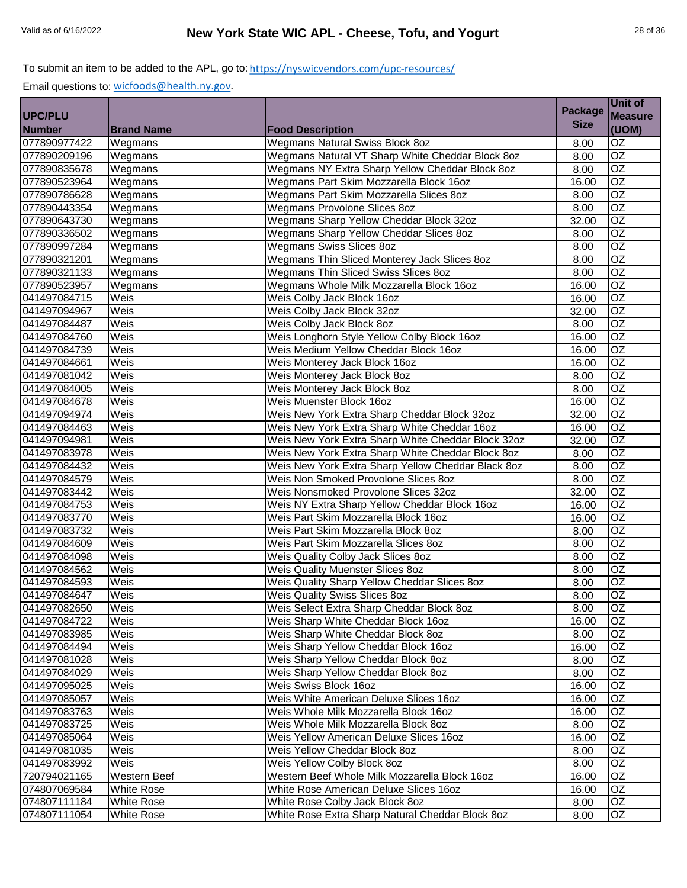|                |                     |                                                    | <b>Package</b> | Unit of         |
|----------------|---------------------|----------------------------------------------------|----------------|-----------------|
| <b>UPC/PLU</b> |                     |                                                    |                | <b>Measure</b>  |
| <b>Number</b>  | <b>Brand Name</b>   | <b>Food Description</b>                            | <b>Size</b>    | (UOM)           |
| 077890977422   | Wegmans             | <b>Wegmans Natural Swiss Block 8oz</b>             | 8.00           | $\overline{OZ}$ |
| 077890209196   | Wegmans             | Wegmans Natural VT Sharp White Cheddar Block 8oz   | 8.00           | $\overline{OZ}$ |
| 077890835678   | Wegmans             | Wegmans NY Extra Sharp Yellow Cheddar Block 8oz    | 8.00           | $\overline{OZ}$ |
| 077890523964   | Wegmans             | Wegmans Part Skim Mozzarella Block 16oz            | 16.00          | $\overline{OZ}$ |
| 077890786628   | Wegmans             | Wegmans Part Skim Mozzarella Slices 8oz            | 8.00           | $\overline{OZ}$ |
| 077890443354   | Wegmans             | <b>Wegmans Provolone Slices 8oz</b>                | 8.00           | $\overline{OZ}$ |
| 077890643730   | Wegmans             | Wegmans Sharp Yellow Cheddar Block 32oz            | 32.00          | $\overline{OZ}$ |
| 077890336502   | Wegmans             | Wegmans Sharp Yellow Cheddar Slices 8oz            | 8.00           | $\overline{OZ}$ |
| 077890997284   | Wegmans             | <b>Wegmans Swiss Slices 8oz</b>                    | 8.00           | $\overline{OZ}$ |
| 077890321201   | Wegmans             | Wegmans Thin Sliced Monterey Jack Slices 8oz       | 8.00           | $\overline{OZ}$ |
| 077890321133   | Wegmans             | Wegmans Thin Sliced Swiss Slices 8oz               | 8.00           | OZ              |
| 077890523957   | Wegmans             | Wegmans Whole Milk Mozzarella Block 16oz           | 16.00          | $\overline{OZ}$ |
| 041497084715   | Weis                | Weis Colby Jack Block 16oz                         | 16.00          | OZ              |
| 041497094967   | Weis                | Weis Colby Jack Block 32oz                         | 32.00          | $\overline{OZ}$ |
| 041497084487   | Weis                | Weis Colby Jack Block 8oz                          | 8.00           | $\overline{OZ}$ |
| 041497084760   | Weis                | Weis Longhorn Style Yellow Colby Block 16oz        | 16.00          | $\overline{OZ}$ |
| 041497084739   | Weis                | Weis Medium Yellow Cheddar Block 16oz              | 16.00          | OZ              |
| 041497084661   | Weis                | Weis Monterey Jack Block 16oz                      | 16.00          | $\overline{OZ}$ |
| 041497081042   | Weis                | Weis Monterey Jack Block 8oz                       | 8.00           | $\overline{OZ}$ |
| 041497084005   | Weis                | Weis Monterey Jack Block 8oz                       | 8.00           | $\overline{OZ}$ |
| 041497084678   | Weis                | Weis Muenster Block 16oz                           | 16.00          | $\overline{OZ}$ |
| 041497094974   | Weis                | Weis New York Extra Sharp Cheddar Block 32oz       | 32.00          | OZ              |
| 041497084463   | Weis                | Weis New York Extra Sharp White Cheddar 16oz       | 16.00          | OZ              |
| 041497094981   | Weis                | Weis New York Extra Sharp White Cheddar Block 32oz | 32.00          | OZ              |
| 041497083978   | Weis                | Weis New York Extra Sharp White Cheddar Block 8oz  | 8.00           | $\overline{OZ}$ |
| 041497084432   | Weis                | Weis New York Extra Sharp Yellow Cheddar Black 8oz | 8.00           | OZ              |
| 041497084579   | Weis                | Weis Non Smoked Provolone Slices 8oz               | 8.00           | $\overline{OZ}$ |
| 041497083442   | Weis                | Weis Nonsmoked Provolone Slices 32oz               | 32.00          | $\overline{OZ}$ |
| 041497084753   | Weis                | Weis NY Extra Sharp Yellow Cheddar Block 16oz      | 16.00          | $\overline{OZ}$ |
| 041497083770   | Weis                | Weis Part Skim Mozzarella Block 16oz               | 16.00          | OZ              |
| 041497083732   | Weis                | Weis Part Skim Mozzarella Block 8oz                | 8.00           | $\overline{OZ}$ |
| 041497084609   | Weis                | Weis Part Skim Mozzarella Slices 8oz               | 8.00           | OZ              |
| 041497084098   | Weis                | Weis Quality Colby Jack Slices 80z                 | 8.00           | $\overline{OZ}$ |
| 041497084562   | Weis                | <b>Weis Quality Muenster Slices 8oz</b>            | 8.00           | $\overline{OZ}$ |
| 041497084593   | Weis                | Weis Quality Sharp Yellow Cheddar Slices 8oz       | 8.00           | OZ              |
| 041497084647   | Weis                | <b>Weis Quality Swiss Slices 8oz</b>               | 8.00           | OZ              |
| 041497082650   | Weis                | Weis Select Extra Sharp Cheddar Block 8oz          | 8.00           | <b>OZ</b>       |
| 041497084722   | Weis                | Weis Sharp White Cheddar Block 16oz                | 16.00          | <b>OZ</b>       |
| 041497083985   | Weis                | Weis Sharp White Cheddar Block 8oz                 | 8.00           | OZ              |
| 041497084494   | Weis                | Weis Sharp Yellow Cheddar Block 16oz               | 16.00          | OZ.             |
| 041497081028   | Weis                | Weis Sharp Yellow Cheddar Block 8oz                | 8.00           | OZ              |
| 041497084029   | Weis                | Weis Sharp Yellow Cheddar Block 8oz                | 8.00           | OZ              |
| 041497095025   | Weis                | Weis Swiss Block 16oz                              | 16.00          | OZ              |
| 041497085057   | Weis                | Weis White American Deluxe Slices 16oz             | 16.00          | OZ              |
| 041497083763   | Weis                | Weis Whole Milk Mozzarella Block 16oz              | 16.00          | OZ              |
| 041497083725   | Weis                | Weis Whole Milk Mozzarella Block 8oz               | 8.00           | OZ              |
| 041497085064   | Weis                | Weis Yellow American Deluxe Slices 16oz            | 16.00          | OZ              |
| 041497081035   | Weis                | Weis Yellow Cheddar Block 8oz                      | 8.00           | OZ              |
| 041497083992   | Weis                | Weis Yellow Colby Block 8oz                        | 8.00           | OZ              |
| 720794021165   | <b>Western Beef</b> | Western Beef Whole Milk Mozzarella Block 16oz      | 16.00          | OZ              |
| 074807069584   | <b>White Rose</b>   | White Rose American Deluxe Slices 16oz             | 16.00          | OZ.             |
| 074807111184   | <b>White Rose</b>   | White Rose Colby Jack Block 8oz                    | 8.00           | OZ              |
| 074807111054   | White Rose          | White Rose Extra Sharp Natural Cheddar Block 8oz   | 8.00           | OZ              |
|                |                     |                                                    |                |                 |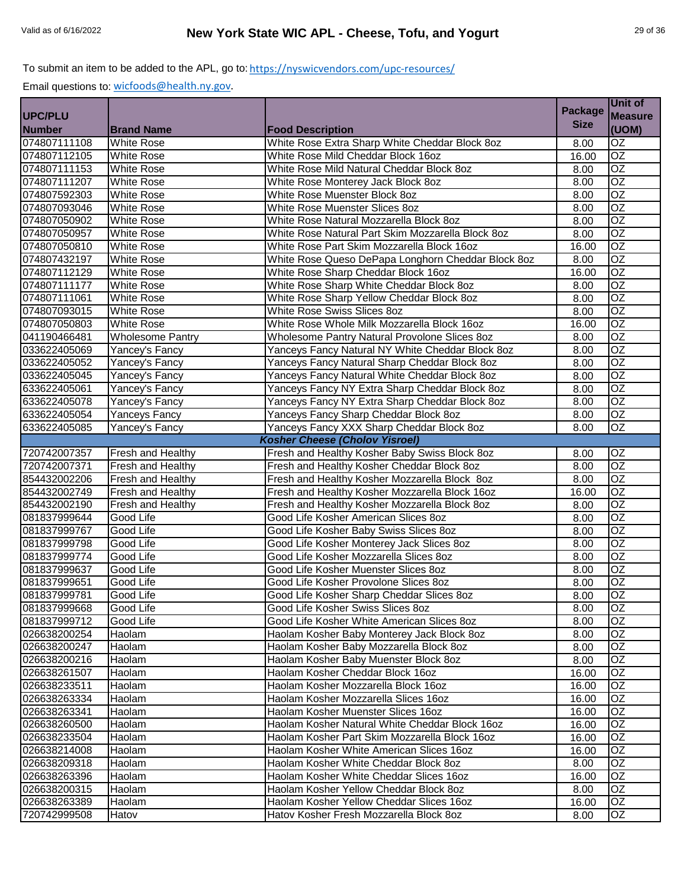|                              |                         |                                                    | <b>Package</b> | Unit of               |
|------------------------------|-------------------------|----------------------------------------------------|----------------|-----------------------|
| <b>UPC/PLU</b>               |                         |                                                    | <b>Size</b>    | <b>Measure</b>        |
| <b>Number</b>                | <b>Brand Name</b>       | <b>Food Description</b>                            |                | (UOM)                 |
| 074807111108                 | <b>White Rose</b>       | White Rose Extra Sharp White Cheddar Block 8oz     | 8.00           | $\overline{OZ}$       |
| 074807112105                 | <b>White Rose</b>       | White Rose Mild Cheddar Block 16oz                 | 16.00          | $\overline{OZ}$       |
| 074807111153                 | <b>White Rose</b>       | White Rose Mild Natural Cheddar Block 8oz          | 8.00           | OZ                    |
| 074807111207                 | <b>White Rose</b>       | White Rose Monterey Jack Block 8oz                 | 8.00           | $\overline{OZ}$       |
| 074807592303                 | <b>White Rose</b>       | White Rose Muenster Block 8oz                      | 8.00           | $\overline{OZ}$       |
| 074807093046                 | <b>White Rose</b>       | White Rose Muenster Slices 8oz                     | 8.00           | <b>OZ</b>             |
| 074807050902                 | <b>White Rose</b>       | White Rose Natural Mozzarella Block 8oz            | 8.00           | OZ                    |
| 074807050957                 | White Rose              | White Rose Natural Part Skim Mozzarella Block 8oz  | 8.00           | $\overline{OZ}$       |
| 074807050810                 | <b>White Rose</b>       | White Rose Part Skim Mozzarella Block 16oz         | 16.00          | OZ                    |
| 074807432197                 | White Rose              | White Rose Queso DePapa Longhorn Cheddar Block 8oz | 8.00           | OZ                    |
| 074807112129                 | <b>White Rose</b>       | White Rose Sharp Cheddar Block 16oz                | 16.00          | OZ                    |
| 074807111177                 | <b>White Rose</b>       | White Rose Sharp White Cheddar Block 8oz           | 8.00           | OZ                    |
| 074807111061                 | <b>White Rose</b>       | White Rose Sharp Yellow Cheddar Block 8oz          | 8.00           | $\overline{OZ}$       |
| 074807093015                 | White Rose              | White Rose Swiss Slices 8oz                        | 8.00           | <b>OZ</b>             |
| 074807050803                 | <b>White Rose</b>       | White Rose Whole Milk Mozzarella Block 16oz        | 16.00          | $\overline{OZ}$       |
| 041190466481                 | <b>Wholesome Pantry</b> | Wholesome Pantry Natural Provolone Slices 8oz      | 8.00           | $\overline{OZ}$       |
| 033622405069                 | Yancey's Fancy          | Yanceys Fancy Natural NY White Cheddar Block 8oz   | 8.00           | $\overline{OZ}$       |
| 033622405052                 | Yancey's Fancy          | Yanceys Fancy Natural Sharp Cheddar Block 8oz      | 8.00           | $\overline{OZ}$       |
| 033622405045                 | Yancey's Fancy          | Yanceys Fancy Natural White Cheddar Block 8oz      | 8.00           | $\overline{OZ}$       |
| 633622405061                 | Yancey's Fancy          | Yanceys Fancy NY Extra Sharp Cheddar Block 8oz     | 8.00           | OZ                    |
| 633622405078                 | Yancey's Fancy          | Yanceys Fancy NY Extra Sharp Cheddar Block 8oz     | 8.00           | $\overline{OZ}$       |
| 633622405054                 | Yanceys Fancy           | Yanceys Fancy Sharp Cheddar Block 8oz              | 8.00           | OZ                    |
| 633622405085                 | Yancey's Fancy          | Yanceys Fancy XXX Sharp Cheddar Block 8oz          | 8.00           | $\overline{OZ}$       |
|                              |                         | <b>Kosher Cheese (Cholov Yisroel)</b>              |                |                       |
| 720742007357                 | Fresh and Healthy       | Fresh and Healthy Kosher Baby Swiss Block 8oz      | 8.00           | OZ                    |
| 720742007371                 | Fresh and Healthy       | Fresh and Healthy Kosher Cheddar Block 8oz         | 8.00           | OZ                    |
| 854432002206                 | Fresh and Healthy       | Fresh and Healthy Kosher Mozzarella Block 8oz      | 8.00           | OZ                    |
| 854432002749                 | Fresh and Healthy       | Fresh and Healthy Kosher Mozzarella Block 16oz     | 16.00          | OZ                    |
| 854432002190                 | Fresh and Healthy       | Fresh and Healthy Kosher Mozzarella Block 8oz      | 8.00           | $\overline{OZ}$       |
| 081837999644                 | Good Life               | Good Life Kosher American Slices 8oz               | 8.00           | $\overline{OZ}$       |
| 081837999767                 | Good Life               | Good Life Kosher Baby Swiss Slices 8oz             | 8.00           | <b>OZ</b>             |
| 081837999798                 | Good Life               | Good Life Kosher Monterey Jack Slices 80z          | 8.00           | <b>OZ</b>             |
| 081837999774<br>081837999637 | Good Life<br>Good Life  | Good Life Kosher Mozzarella Slices 8oz             | 8.00           | $\overline{OZ}$<br>OZ |
|                              |                         | Good Life Kosher Muenster Slices 8oz               | 8.00           |                       |
| 081837999651                 | Good Life               | Good Life Kosher Provolone Slices 8oz              | 8.00           | OZ                    |
| 081837999781                 | Good Life               | Good Life Kosher Sharp Cheddar Slices 8oz          | 8.00           | <b>OZ</b><br>OZ       |
| 081837999668                 | Good Life               | Good Life Kosher Swiss Slices 80z                  | 8.00           |                       |
| 081837999712                 | Good Life               | Good Life Kosher White American Slices 8oz         | 8.00           | OZ.                   |
| 026638200254                 | Haolam                  | Haolam Kosher Baby Monterey Jack Block 8oz         | 8.00           | OZ<br>OZ              |
| 026638200247                 | Haolam                  | Haolam Kosher Baby Mozzarella Block 8oz            | 8.00           |                       |
| 026638200216                 | Haolam                  | Haolam Kosher Baby Muenster Block 8oz              | 8.00           | OZ                    |
| 026638261507                 | Haolam                  | Haolam Kosher Cheddar Block 16oz                   | 16.00          | OZ                    |
| 026638233511                 | Haolam                  | Haolam Kosher Mozzarella Block 16oz                | 16.00          | OZ                    |
| 026638263334                 | Haolam                  | Haolam Kosher Mozzarella Slices 16oz               | 16.00          | OZ                    |
| 026638263341                 | Haolam                  | Haolam Kosher Muenster Slices 16oz                 | 16.00          | OZ                    |
| 026638260500                 | Haolam                  | Haolam Kosher Natural White Cheddar Block 16oz     | 16.00          | OZ.                   |
| 026638233504                 | Haolam                  | Haolam Kosher Part Skim Mozzarella Block 16oz      | 16.00          | OZ                    |
| 026638214008                 | Haolam                  | Haolam Kosher White American Slices 16oz           | 16.00          | OZ                    |
| 026638209318                 | Haolam                  | Haolam Kosher White Cheddar Block 8oz              | 8.00           | OZ                    |
| 026638263396                 | Haolam                  | Haolam Kosher White Cheddar Slices 16oz            | 16.00          | OZ                    |
| 026638200315                 | Haolam                  | Haolam Kosher Yellow Cheddar Block 8oz             | 8.00           | OZ.                   |
| 026638263389                 | Haolam                  | Haolam Kosher Yellow Cheddar Slices 160z           | 16.00          | OZ                    |
| 720742999508                 | Hatov                   | Hatov Kosher Fresh Mozzarella Block 8oz            | 8.00           | OZ                    |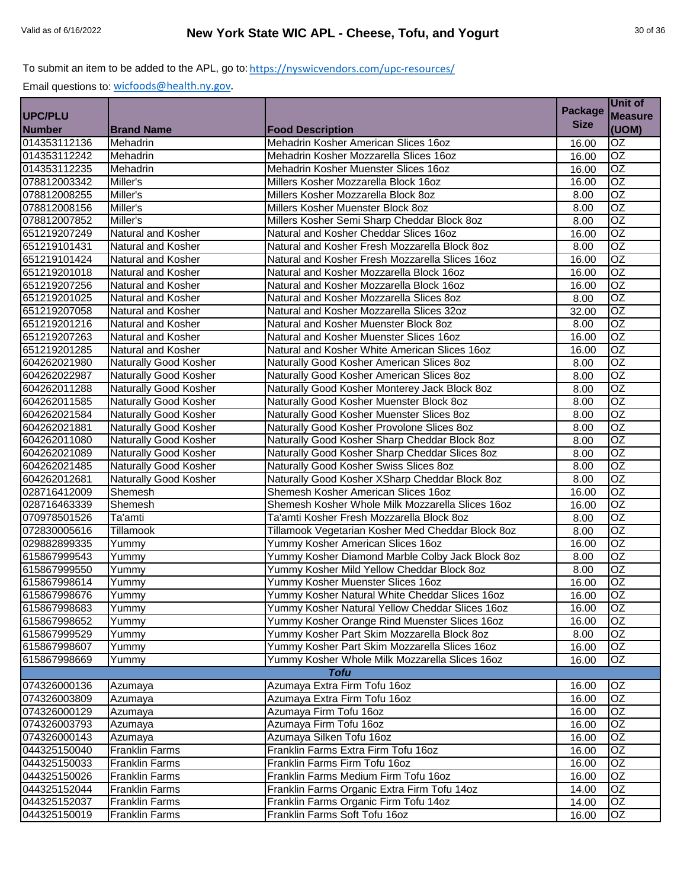|                |                              |                                                   |                | Unit of         |
|----------------|------------------------------|---------------------------------------------------|----------------|-----------------|
| <b>UPC/PLU</b> |                              |                                                   | <b>Package</b> | <b>Measure</b>  |
| <b>Number</b>  | <b>Brand Name</b>            | <b>Food Description</b>                           | <b>Size</b>    | (UOM)           |
| 014353112136   | Mehadrin                     | Mehadrin Kosher American Slices 16oz              | 16.00          | <b>OZ</b>       |
| 014353112242   | Mehadrin                     | Mehadrin Kosher Mozzarella Slices 16oz            | 16.00          | $\overline{OZ}$ |
| 014353112235   | Mehadrin                     | Mehadrin Kosher Muenster Slices 16oz              | 16.00          | $\overline{OZ}$ |
| 078812003342   | Miller's                     | Millers Kosher Mozzarella Block 16oz              | 16.00          | $\overline{OZ}$ |
| 078812008255   | Miller's                     | Millers Kosher Mozzarella Block 8oz               | 8.00           | $\overline{OZ}$ |
| 078812008156   | Miller's                     | Millers Kosher Muenster Block 8oz                 | 8.00           | $\overline{OZ}$ |
| 078812007852   | Miller's                     | Millers Kosher Semi Sharp Cheddar Block 8oz       | 8.00           | $\overline{OZ}$ |
| 651219207249   | <b>Natural and Kosher</b>    | Natural and Kosher Cheddar Slices 16oz            | 16.00          | OZ              |
| 651219101431   | Natural and Kosher           | Natural and Kosher Fresh Mozzarella Block 8oz     | 8.00           | $\overline{OZ}$ |
| 651219101424   | <b>Natural and Kosher</b>    | Natural and Kosher Fresh Mozzarella Slices 16oz   | 16.00          | $\overline{OZ}$ |
| 651219201018   | Natural and Kosher           | Natural and Kosher Mozzarella Block 16oz          | 16.00          | OZ              |
| 651219207256   | Natural and Kosher           | Natural and Kosher Mozzarella Block 16oz          | 16.00          | <b>OZ</b>       |
| 651219201025   | Natural and Kosher           | Natural and Kosher Mozzarella Slices 8oz          | 8.00           | OZ              |
| 651219207058   | Natural and Kosher           | Natural and Kosher Mozzarella Slices 32oz         | 32.00          | $\overline{OZ}$ |
| 651219201216   | Natural and Kosher           | Natural and Kosher Muenster Block 8oz             | 8.00           | $\overline{OZ}$ |
| 651219207263   | Natural and Kosher           | Natural and Kosher Muenster Slices 16oz           | 16.00          | OZ              |
| 651219201285   | <b>Natural and Kosher</b>    | Natural and Kosher White American Slices 16oz     | 16.00          | $\overline{OZ}$ |
| 604262021980   | Naturally Good Kosher        | Naturally Good Kosher American Slices 8oz         | 8.00           | $\overline{OZ}$ |
| 604262022987   | Naturally Good Kosher        | Naturally Good Kosher American Slices 8oz         | 8.00           | OZ              |
| 604262011288   | <b>Naturally Good Kosher</b> | Naturally Good Kosher Monterey Jack Block 8oz     | 8.00           | $\overline{OZ}$ |
| 604262011585   | Naturally Good Kosher        | Naturally Good Kosher Muenster Block 8oz          | 8.00           | $\overline{OZ}$ |
| 604262021584   | <b>Naturally Good Kosher</b> | Naturally Good Kosher Muenster Slices 8oz         | 8.00           | OZ              |
| 604262021881   | Naturally Good Kosher        | Naturally Good Kosher Provolone Slices 8oz        | 8.00           | $\overline{OZ}$ |
| 604262011080   | Naturally Good Kosher        | Naturally Good Kosher Sharp Cheddar Block 8oz     | 8.00           | OZ              |
| 604262021089   | <b>Naturally Good Kosher</b> | Naturally Good Kosher Sharp Cheddar Slices 8oz    | 8.00           | $\overline{OZ}$ |
| 604262021485   | Naturally Good Kosher        | Naturally Good Kosher Swiss Slices 8oz            | 8.00           | $\overline{OZ}$ |
| 604262012681   | Naturally Good Kosher        | Naturally Good Kosher XSharp Cheddar Block 8oz    | 8.00           | $\overline{OZ}$ |
| 028716412009   | Shemesh                      | Shemesh Kosher American Slices 16oz               | 16.00          | $\overline{OZ}$ |
| 028716463339   | Shemesh                      | Shemesh Kosher Whole Milk Mozzarella Slices 16oz  | 16.00          | $\overline{OZ}$ |
| 070978501526   | Ta'amti                      | Ta'amti Kosher Fresh Mozzarella Block 8oz         | 8.00           | $\overline{OZ}$ |
| 072830005616   | <b>Tillamook</b>             | Tillamook Vegetarian Kosher Med Cheddar Block 8oz | 8.00           | $\overline{OZ}$ |
| 029882899335   | Yummy                        | Yummy Kosher American Slices 16oz                 | 16.00          | OZ              |
| 615867999543   | Yummy                        | Yummy Kosher Diamond Marble Colby Jack Block 8oz  | 8.00           | OZ              |
| 615867999550   | Yummy                        | Yummy Kosher Mild Yellow Cheddar Block 8oz        | 8.00           | $\overline{OZ}$ |
| 615867998614   | Yummy                        | Yummy Kosher Muenster Slices 16oz                 | 16.00          | OZ              |
| 615867998676   | Yummy                        | Yummy Kosher Natural White Cheddar Slices 16oz    | 16.00          | <b>OZ</b>       |
| 615867998683   | Yummy                        | Yummy Kosher Natural Yellow Cheddar Slices 16oz   | 16.00          | OZ              |
| 615867998652   | Yummy                        | Yummy Kosher Orange Rind Muenster Slices 16oz     | 16.00          | <b>OZ</b>       |
| 615867999529   | Yummy                        | Yummy Kosher Part Skim Mozzarella Block 8oz       | 8.00           | <b>OZ</b>       |
| 615867998607   | Yummy                        | Yummy Kosher Part Skim Mozzarella Slices 16oz     | 16.00          | OZ.             |
| 615867998669   | Yummy                        | Yummy Kosher Whole Milk Mozzarella Slices 16oz    | 16.00          | OZ              |
|                |                              | <b>Tofu</b>                                       |                |                 |
| 074326000136   | Azumaya                      | Azumaya Extra Firm Tofu 16oz                      | 16.00          | OZ              |
| 074326003809   | Azumaya                      | Azumaya Extra Firm Tofu 16oz                      | 16.00          | $\overline{OZ}$ |
| 074326000129   | Azumaya                      | Azumaya Firm Tofu 16oz                            | 16.00          | OZ              |
| 074326003793   | Azumaya                      | Azumaya Firm Tofu 16oz                            | 16.00          | $\overline{OZ}$ |
| 074326000143   | Azumaya                      | Azumaya Silken Tofu 16oz                          | 16.00          | OZ              |
| 044325150040   | <b>Franklin Farms</b>        | Franklin Farms Extra Firm Tofu 16oz               | 16.00          | $\overline{OZ}$ |
| 044325150033   | <b>Franklin Farms</b>        | Franklin Farms Firm Tofu 16oz                     | 16.00          | $\overline{OZ}$ |
| 044325150026   | <b>Franklin Farms</b>        | Franklin Farms Medium Firm Tofu 16oz              | 16.00          | <b>OZ</b>       |
| 044325152044   | <b>Franklin Farms</b>        | Franklin Farms Organic Extra Firm Tofu 14oz       | 14.00          | OZ              |
| 044325152037   | <b>Franklin Farms</b>        | Franklin Farms Organic Firm Tofu 14oz             | 14.00          | OZ              |
| 044325150019   | <b>Franklin Farms</b>        | Franklin Farms Soft Tofu 16oz                     | 16.00          | OZ              |
|                |                              |                                                   |                |                 |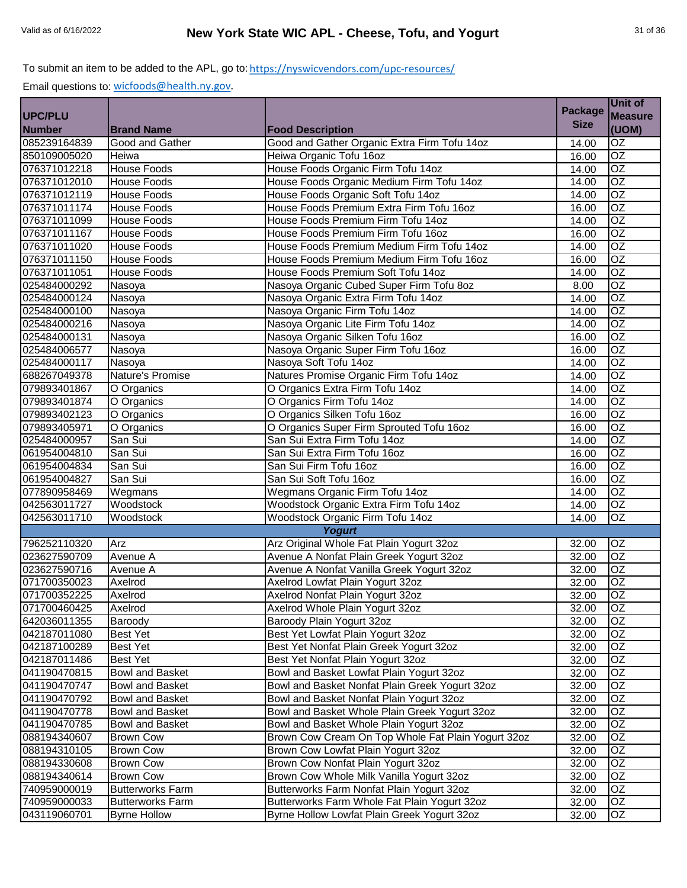|                |                         |                                                    | <b>Package</b> | Unit of         |
|----------------|-------------------------|----------------------------------------------------|----------------|-----------------|
| <b>UPC/PLU</b> |                         |                                                    |                | <b>Measure</b>  |
| <b>Number</b>  | <b>Brand Name</b>       | <b>Food Description</b>                            | <b>Size</b>    | (UOM)           |
| 085239164839   | Good and Gather         | Good and Gather Organic Extra Firm Tofu 14oz       | 14.00          | OZ              |
| 850109005020   | Heiwa                   | Heiwa Organic Tofu 16oz                            | 16.00          | $\overline{OZ}$ |
| 076371012218   | <b>House Foods</b>      | House Foods Organic Firm Tofu 14oz                 | 14.00          | $\overline{OZ}$ |
| 076371012010   | <b>House Foods</b>      | House Foods Organic Medium Firm Tofu 14oz          | 14.00          | $\overline{OZ}$ |
| 076371012119   | <b>House Foods</b>      | House Foods Organic Soft Tofu 14oz                 | 14.00          | $\overline{OZ}$ |
| 076371011174   | <b>House Foods</b>      | House Foods Premium Extra Firm Tofu 16oz           | 16.00          | $\overline{OZ}$ |
| 076371011099   | <b>House Foods</b>      | House Foods Premium Firm Tofu 14oz                 | 14.00          | $\overline{OZ}$ |
| 076371011167   | <b>House Foods</b>      | House Foods Premium Firm Tofu 16oz                 | 16.00          | OZ              |
| 076371011020   | <b>House Foods</b>      | House Foods Premium Medium Firm Tofu 14oz          | 14.00          | $\overline{OZ}$ |
| 076371011150   | <b>House Foods</b>      | House Foods Premium Medium Firm Tofu 16oz          | 16.00          | $\overline{OZ}$ |
| 076371011051   | <b>House Foods</b>      | House Foods Premium Soft Tofu 14oz                 | 14.00          | <b>OZ</b>       |
| 025484000292   | Nasoya                  | Nasoya Organic Cubed Super Firm Tofu 8oz           | 8.00           | OZ              |
| 025484000124   | Nasoya                  | Nasoya Organic Extra Firm Tofu 14oz                | 14.00          | <b>OZ</b>       |
| 025484000100   | Nasoya                  | Nasoya Organic Firm Tofu 14oz                      | 14.00          | $\overline{OZ}$ |
| 025484000216   | Nasoya                  | Nasoya Organic Lite Firm Tofu 14oz                 | 14.00          | OZ              |
| 025484000131   | Nasoya                  | Nasoya Organic Silken Tofu 16oz                    | 16.00          | $\overline{OZ}$ |
| 025484006577   | Nasoya                  | Nasoya Organic Super Firm Tofu 16oz                | 16.00          | $\overline{OZ}$ |
| 025484000117   | Nasoya                  | Nasoya Soft Tofu 14oz                              | 14.00          | $\overline{OZ}$ |
| 688267049378   | Nature's Promise        | Natures Promise Organic Firm Tofu 14oz             | 14.00          | $\overline{OZ}$ |
| 079893401867   | O Organics              | O Organics Extra Firm Tofu 14oz                    | 14.00          | $\overline{OZ}$ |
| 079893401874   | O Organics              | O Organics Firm Tofu 14oz                          | 14.00          | OZ              |
| 079893402123   | O Organics              | O Organics Silken Tofu 16oz                        | 16.00          | $\overline{OZ}$ |
| 079893405971   | O Organics              | O Organics Super Firm Sprouted Tofu 16oz           | 16.00          | OZ              |
| 025484000957   | San Sui                 | San Sui Extra Firm Tofu 14oz                       | 14.00          | <b>OZ</b>       |
| 061954004810   | San Sui                 | San Sui Extra Firm Tofu 16oz                       | 16.00          | OZ              |
| 061954004834   | San Sui                 | San Sui Firm Tofu 16oz                             | 16.00          | OZ              |
| 061954004827   | San Sui                 | San Sui Soft Tofu 16oz                             | 16.00          | $\overline{OZ}$ |
| 077890958469   | Wegmans                 | Wegmans Organic Firm Tofu 14oz                     | 14.00          | OZ              |
| 042563011727   | Woodstock               | Woodstock Organic Extra Firm Tofu 14oz             | 14.00          | OZ              |
| 042563011710   | Woodstock               | Woodstock Organic Firm Tofu 14oz                   | 14.00          | OZ              |
|                |                         | <b>Yogurt</b>                                      |                |                 |
| 796252110320   | Arz                     | Arz Original Whole Fat Plain Yogurt 32oz           | 32.00          | <b>OZ</b>       |
| 023627590709   | Avenue A                | Avenue A Nonfat Plain Greek Yogurt 32oz            | 32.00          | OZ              |
| 023627590716   | Avenue A                | Avenue A Nonfat Vanilla Greek Yogurt 32oz          | 32.00          | OZ              |
| 071700350023   | Axelrod                 | Axelrod Lowfat Plain Yogurt 32oz                   | 32.00          | OZ              |
| 071700352225   | Axelrod                 | Axelrod Nonfat Plain Yogurt 32oz                   | 32.00          | <b>OZ</b>       |
| 071700460425   | Axelrod                 | Axelrod Whole Plain Yogurt 32oz                    | 32.00          | OZ              |
| 642036011355   | Baroody                 | Baroody Plain Yogurt 32oz                          | 32.00          | OZ              |
| 042187011080   | Best Yet                | Best Yet Lowfat Plain Yogurt 32oz                  | 32.00          | OZ              |
| 042187100289   | <b>Best Yet</b>         | Best Yet Nonfat Plain Greek Yogurt 32oz            | 32.00          | OZ              |
| 042187011486   | <b>Best Yet</b>         | Best Yet Nonfat Plain Yogurt 32oz                  | 32.00          | OZ              |
| 041190470815   | <b>Bowl and Basket</b>  | Bowl and Basket Lowfat Plain Yogurt 32oz           | 32.00          | OZ              |
| 041190470747   | <b>Bowl and Basket</b>  | Bowl and Basket Nonfat Plain Greek Yogurt 32oz     | 32.00          | OZ              |
| 041190470792   | Bowl and Basket         | Bowl and Basket Nonfat Plain Yogurt 32oz           | 32.00          | OZ              |
| 041190470778   | Bowl and Basket         | Bowl and Basket Whole Plain Greek Yogurt 32oz      | 32.00          | OZ              |
| 041190470785   | Bowl and Basket         | Bowl and Basket Whole Plain Yogurt 32oz            | 32.00          | OZ              |
| 088194340607   | <b>Brown Cow</b>        | Brown Cow Cream On Top Whole Fat Plain Yogurt 32oz | 32.00          | OZ              |
| 088194310105   | <b>Brown Cow</b>        | Brown Cow Lowfat Plain Yogurt 32oz                 | 32.00          | OZ              |
| 088194330608   | <b>Brown Cow</b>        | Brown Cow Nonfat Plain Yogurt 32oz                 | 32.00          | OZ              |
| 088194340614   | <b>Brown Cow</b>        | Brown Cow Whole Milk Vanilla Yogurt 32oz           | 32.00          | OZ              |
| 740959000019   | <b>Butterworks Farm</b> | Butterworks Farm Nonfat Plain Yogurt 32oz          | 32.00          | OZ              |
| 740959000033   | <b>Butterworks Farm</b> | Butterworks Farm Whole Fat Plain Yogurt 32oz       | 32.00          | OZ              |
| 043119060701   | <b>Byrne Hollow</b>     | Byrne Hollow Lowfat Plain Greek Yogurt 32oz        | 32.00          | OZ              |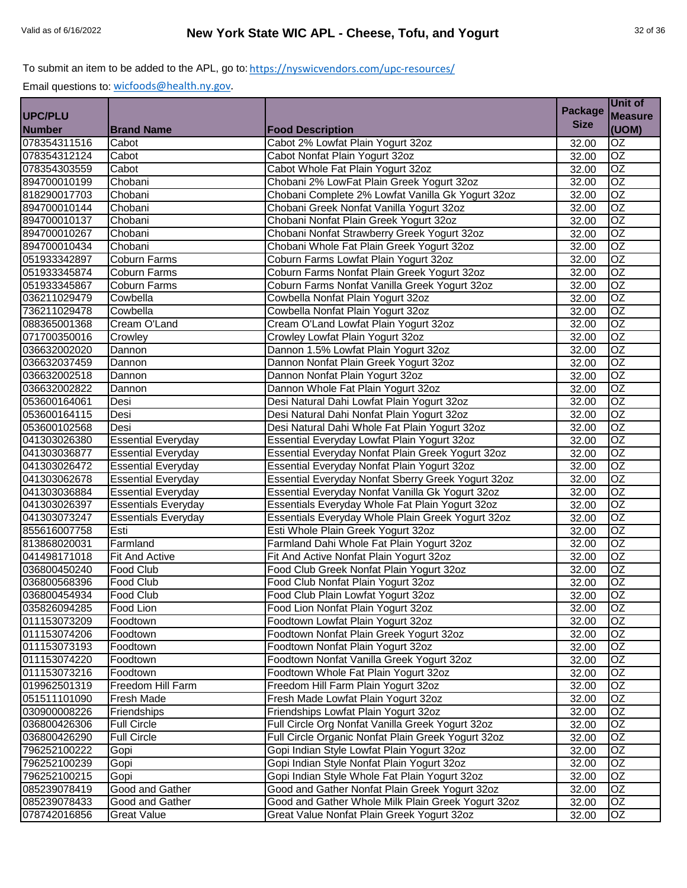|                |                            |                                                    | <b>Package</b> | Unit of         |
|----------------|----------------------------|----------------------------------------------------|----------------|-----------------|
| <b>UPC/PLU</b> |                            |                                                    |                | <b>Measure</b>  |
| <b>Number</b>  | <b>Brand Name</b>          | <b>Food Description</b>                            | <b>Size</b>    | (UOM)           |
| 078354311516   | Cabot                      | Cabot 2% Lowfat Plain Yogurt 32oz                  | 32.00          | $\overline{OZ}$ |
| 078354312124   | Cabot                      | Cabot Nonfat Plain Yogurt 32oz                     | 32.00          | $\overline{OZ}$ |
| 078354303559   | Cabot                      | Cabot Whole Fat Plain Yogurt 32oz                  | 32.00          | $\overline{OZ}$ |
| 894700010199   | Chobani                    | Chobani 2% LowFat Plain Greek Yogurt 32oz          | 32.00          | $\overline{OZ}$ |
| 818290017703   | Chobani                    | Chobani Complete 2% Lowfat Vanilla Gk Yogurt 32oz  | 32.00          | $\overline{OZ}$ |
| 894700010144   | Chobani                    | Chobani Greek Nonfat Vanilla Yogurt 32oz           | 32.00          | $\overline{OZ}$ |
| 894700010137   | Chobani                    | Chobani Nonfat Plain Greek Yogurt 32oz             | 32.00          | $\overline{OZ}$ |
| 894700010267   | Chobani                    | Chobani Nonfat Strawberry Greek Yogurt 32oz        | 32.00          | OZ              |
| 894700010434   | Chobani                    | Chobani Whole Fat Plain Greek Yogurt 32oz          | 32.00          | $\overline{OZ}$ |
| 051933342897   | Coburn Farms               | Coburn Farms Lowfat Plain Yogurt 32oz              | 32.00          | $\overline{OZ}$ |
| 051933345874   | Coburn Farms               | Coburn Farms Nonfat Plain Greek Yogurt 32oz        | 32.00          | OZ              |
| 051933345867   | Coburn Farms               | Coburn Farms Nonfat Vanilla Greek Yogurt 32oz      | 32.00          | $\overline{OZ}$ |
| 036211029479   | Cowbella                   | Cowbella Nonfat Plain Yogurt 32oz                  | 32.00          | OZ              |
| 736211029478   | Cowbella                   | Cowbella Nonfat Plain Yogurt 32oz                  | 32.00          | $\overline{OZ}$ |
| 088365001368   | Cream O'Land               | Cream O'Land Lowfat Plain Yogurt 32oz              | 32.00          | $\overline{OZ}$ |
| 071700350016   | Crowley                    | Crowley Lowfat Plain Yogurt 32oz                   | 32.00          | OZ              |
| 036632002020   | Dannon                     | Dannon 1.5% Lowfat Plain Yogurt 32oz               | 32.00          | $\overline{OZ}$ |
| 036632037459   | Dannon                     | Dannon Nonfat Plain Greek Yogurt 32oz              | 32.00          | $\overline{OZ}$ |
| 036632002518   | Dannon                     | Dannon Nonfat Plain Yogurt 32oz                    | 32.00          | OZ              |
| 036632002822   | Dannon                     | Dannon Whole Fat Plain Yogurt 32oz                 | 32.00          | $\overline{OZ}$ |
| 053600164061   | Desi                       | Desi Natural Dahi Lowfat Plain Yogurt 32oz         | 32.00          | $\overline{OZ}$ |
| 053600164115   | Desi                       | Desi Natural Dahi Nonfat Plain Yogurt 32oz         | 32.00          | OZ              |
| 053600102568   | Desi                       | Desi Natural Dahi Whole Fat Plain Yogurt 32oz      | 32.00          | OZ              |
| 041303026380   | <b>Essential Everyday</b>  | Essential Everyday Lowfat Plain Yogurt 32oz        | 32.00          | OZ              |
| 041303036877   | <b>Essential Everyday</b>  | Essential Everyday Nonfat Plain Greek Yogurt 32oz  | 32.00          | $\overline{OZ}$ |
| 041303026472   | <b>Essential Everyday</b>  | Essential Everyday Nonfat Plain Yogurt 32oz        | 32.00          | $\overline{OZ}$ |
| 041303062678   | <b>Essential Everyday</b>  | Essential Everyday Nonfat Sberry Greek Yogurt 32oz | 32.00          | OZ              |
| 041303036884   | <b>Essential Everyday</b>  | Essential Everyday Nonfat Vanilla Gk Yogurt 32oz   | 32.00          | $\overline{OZ}$ |
| 041303026397   | <b>Essentials Everyday</b> | Essentials Everyday Whole Fat Plain Yogurt 32oz    | 32.00          | $\overline{OZ}$ |
| 041303073247   | <b>Essentials Everyday</b> | Essentials Everyday Whole Plain Greek Yogurt 32oz  | 32.00          | $\overline{OZ}$ |
| 855616007758   | Esti                       | Esti Whole Plain Greek Yogurt 32oz                 | 32.00          | $\overline{OZ}$ |
| 813868020031   | Farmland                   | Farmland Dahi Whole Fat Plain Yogurt 32oz          | 32.00          | OZ              |
| 041498171018   | <b>Fit And Active</b>      | Fit And Active Nonfat Plain Yogurt 32oz            | 32.00          | OZ              |
| 036800450240   | Food Club                  | Food Club Greek Nonfat Plain Yogurt 32oz           | 32.00          | $\overline{OZ}$ |
| 036800568396   | <b>Food Club</b>           | Food Club Nonfat Plain Yogurt 32oz                 | 32.00          | OZ              |
| 036800454934   | Food Club                  | Food Club Plain Lowfat Yogurt 32oz                 | 32.00          | <b>OZ</b>       |
| 035826094285   | Food Lion                  | Food Lion Nonfat Plain Yogurt 32oz                 | 32.00          | OZ              |
| 011153073209   | Foodtown                   | Foodtown Lowfat Plain Yogurt 32oz                  | 32.00          | OZ              |
| 011153074206   | Foodtown                   | Foodtown Nonfat Plain Greek Yogurt 32oz            | 32.00          | <b>OZ</b>       |
| 011153073193   | Foodtown                   | Foodtown Nonfat Plain Yogurt 32oz                  | 32.00          | OZ              |
| 011153074220   | Foodtown                   | Foodtown Nonfat Vanilla Greek Yogurt 32oz          | 32.00          | OZ              |
| 011153073216   | Foodtown                   | Foodtown Whole Fat Plain Yogurt 32oz               | 32.00          | OZ              |
| 019962501319   | Freedom Hill Farm          | Freedom Hill Farm Plain Yogurt 32oz                | 32.00          | OZ              |
| 051511101090   | Fresh Made                 | Fresh Made Lowfat Plain Yogurt 32oz                | 32.00          | OZ              |
| 030900008226   | Friendships                | Friendships Lowfat Plain Yogurt 32oz               | 32.00          | OZ              |
| 036800426306   | <b>Full Circle</b>         | Full Circle Org Nonfat Vanilla Greek Yogurt 32oz   | 32.00          | $\overline{OZ}$ |
| 036800426290   | <b>Full Circle</b>         | Full Circle Organic Nonfat Plain Greek Yogurt 32oz | 32.00          | OZ              |
| 796252100222   | Gopi                       | Gopi Indian Style Lowfat Plain Yogurt 32oz         | 32.00          | $\overline{OZ}$ |
| 796252100239   | Gopi                       | Gopi Indian Style Nonfat Plain Yogurt 32oz         | 32.00          | $\overline{OZ}$ |
| 796252100215   | Gopi                       | Gopi Indian Style Whole Fat Plain Yogurt 32oz      | 32.00          | OZ              |
| 085239078419   | Good and Gather            | Good and Gather Nonfat Plain Greek Yogurt 32oz     | 32.00          | OZ              |
| 085239078433   | Good and Gather            | Good and Gather Whole Milk Plain Greek Yogurt 32oz | 32.00          | OZ              |
| 078742016856   | <b>Great Value</b>         | Great Value Nonfat Plain Greek Yogurt 32oz         | 32.00          | OZ              |
|                |                            |                                                    |                |                 |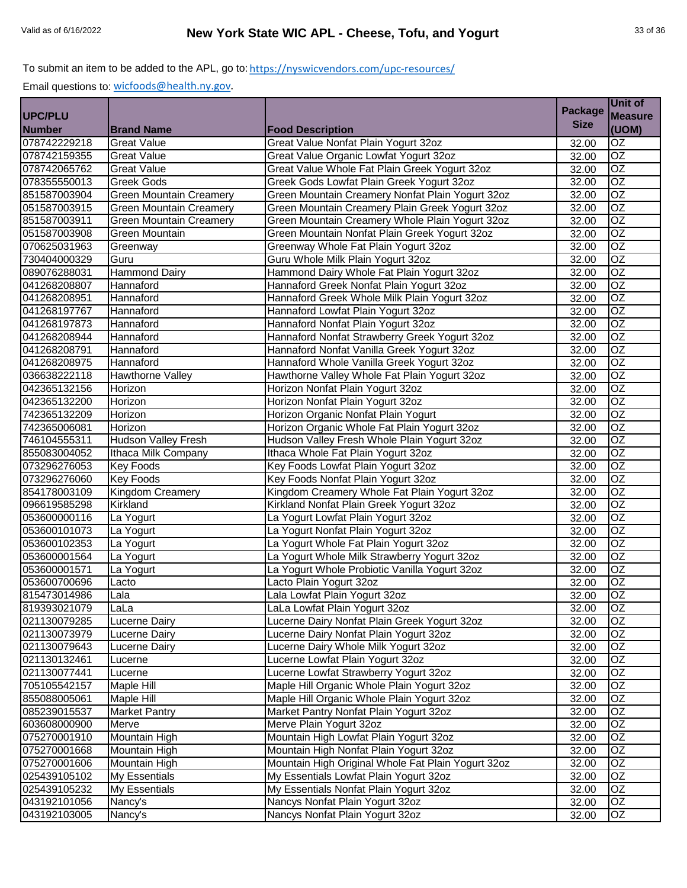|                |                                |                                                    | <b>Package</b> | Unit of         |
|----------------|--------------------------------|----------------------------------------------------|----------------|-----------------|
| <b>UPC/PLU</b> |                                |                                                    | <b>Size</b>    | <b>Measure</b>  |
| <b>Number</b>  | <b>Brand Name</b>              | <b>Food Description</b>                            |                | (UOM)           |
| 078742229218   | <b>Great Value</b>             | Great Value Nonfat Plain Yogurt 32oz               | 32.00          | OZ              |
| 078742159355   | <b>Great Value</b>             | Great Value Organic Lowfat Yogurt 32oz             | 32.00          | $\overline{OZ}$ |
| 078742065762   | <b>Great Value</b>             | Great Value Whole Fat Plain Greek Yogurt 32oz      | 32.00          | $\overline{OZ}$ |
| 078355550013   | <b>Greek Gods</b>              | Greek Gods Lowfat Plain Greek Yogurt 32oz          | 32.00          | $\overline{OZ}$ |
| 851587003904   | <b>Green Mountain Creamery</b> | Green Mountain Creamery Nonfat Plain Yogurt 32oz   | 32.00          | $\overline{OZ}$ |
| 051587003915   | <b>Green Mountain Creamery</b> | Green Mountain Creamery Plain Greek Yogurt 32oz    | 32.00          | $\overline{OZ}$ |
| 851587003911   | <b>Green Mountain Creamery</b> | Green Mountain Creamery Whole Plain Yogurt 32oz    | 32.00          | $\overline{OZ}$ |
| 051587003908   | <b>Green Mountain</b>          | Green Mountain Nonfat Plain Greek Yogurt 32oz      | 32.00          | OZ              |
| 070625031963   | Greenway                       | Greenway Whole Fat Plain Yogurt 32oz               | 32.00          | $\overline{OZ}$ |
| 730404000329   | Guru                           | Guru Whole Milk Plain Yogurt 32oz                  | 32.00          | <b>OZ</b>       |
| 089076288031   | <b>Hammond Dairy</b>           | Hammond Dairy Whole Fat Plain Yogurt 32oz          | 32.00          | OZ              |
| 041268208807   | Hannaford                      | Hannaford Greek Nonfat Plain Yogurt 32oz           | 32.00          | OZ              |
| 041268208951   | Hannaford                      | Hannaford Greek Whole Milk Plain Yogurt 32oz       | 32.00          | OZ              |
| 041268197767   | Hannaford                      | Hannaford Lowfat Plain Yogurt 32oz                 | 32.00          | $\overline{OZ}$ |
| 041268197873   | Hannaford                      | Hannaford Nonfat Plain Yogurt 32oz                 | 32.00          | $\overline{OZ}$ |
| 041268208944   | Hannaford                      | Hannaford Nonfat Strawberry Greek Yogurt 32oz      | 32.00          | $\overline{OZ}$ |
| 041268208791   | Hannaford                      | Hannaford Nonfat Vanilla Greek Yogurt 32oz         | 32.00          | $\overline{OZ}$ |
| 041268208975   | Hannaford                      | Hannaford Whole Vanilla Greek Yogurt 32oz          | 32.00          | $\overline{OZ}$ |
| 036638222118   | Hawthorne Valley               | Hawthorne Valley Whole Fat Plain Yogurt 32oz       | 32.00          | $\overline{OZ}$ |
| 042365132156   | Horizon                        | Horizon Nonfat Plain Yogurt 32oz                   | 32.00          | $\overline{OZ}$ |
| 042365132200   | Horizon                        | Horizon Nonfat Plain Yogurt 32oz                   | 32.00          | $\overline{OZ}$ |
| 742365132209   | Horizon                        | Horizon Organic Nonfat Plain Yogurt                | 32.00          | $\overline{OZ}$ |
| 742365006081   | Horizon                        | Horizon Organic Whole Fat Plain Yogurt 32oz        | 32.00          | $\overline{OZ}$ |
| 746104555311   | <b>Hudson Valley Fresh</b>     | Hudson Valley Fresh Whole Plain Yogurt 32oz        | 32.00          | OZ              |
| 855083004052   | Ithaca Milk Company            | Ithaca Whole Fat Plain Yogurt 32oz                 | 32.00          | $\overline{OZ}$ |
| 073296276053   | <b>Key Foods</b>               | Key Foods Lowfat Plain Yogurt 32oz                 | 32.00          | OZ              |
| 073296276060   | <b>Key Foods</b>               | Key Foods Nonfat Plain Yogurt 32oz                 | 32.00          | $\overline{OZ}$ |
| 854178003109   | Kingdom Creamery               | Kingdom Creamery Whole Fat Plain Yogurt 32oz       | 32.00          | $\overline{OZ}$ |
| 096619585298   | Kirkland                       | Kirkland Nonfat Plain Greek Yogurt 32oz            | 32.00          | $\overline{OZ}$ |
| 053600000116   | La Yogurt                      | La Yogurt Lowfat Plain Yogurt 32oz                 | 32.00          | $\overline{OZ}$ |
| 053600101073   | La Yogurt                      | La Yogurt Nonfat Plain Yogurt 32oz                 | 32.00          | $\overline{OZ}$ |
| 053600102353   | La Yogurt                      | La Yogurt Whole Fat Plain Yogurt 32oz              | 32.00          | <b>OZ</b>       |
| 053600001564   | La Yogurt                      | La Yogurt Whole Milk Strawberry Yogurt 32oz        | 32.00          | OZ              |
| 053600001571   | La Yogurt                      | La Yogurt Whole Probiotic Vanilla Yogurt 32oz      | 32.00          | $\overline{OZ}$ |
| 053600700696   | Lacto                          | Lacto Plain Yogurt 32oz                            | 32.00          | OZ              |
| 815473014986   | Lala                           | Lala Lowfat Plain Yogurt 32oz                      | 32.00          | <b>OZ</b>       |
| 819393021079   | LaLa                           | LaLa Lowfat Plain Yogurt 32oz                      | 32.00          | OZ              |
| 021130079285   | Lucerne Dairy                  | Lucerne Dairy Nonfat Plain Greek Yogurt 32oz       | 32.00          | OZ              |
| 021130073979   | Lucerne Dairy                  | Lucerne Dairy Nonfat Plain Yogurt 32oz             | 32.00          | OZ              |
| 021130079643   | Lucerne Dairy                  | Lucerne Dairy Whole Milk Yogurt 32oz               | 32.00          | OZ              |
| 021130132461   | Lucerne                        | Lucerne Lowfat Plain Yogurt 32oz                   | 32.00          | OZ              |
| 021130077441   | Lucerne                        | Lucerne Lowfat Strawberry Yogurt 32oz              | 32.00          | OZ              |
| 705105542157   | Maple Hill                     | Maple Hill Organic Whole Plain Yogurt 32oz         | 32.00          | OZ              |
| 855088005061   | Maple Hill                     | Maple Hill Organic Whole Plain Yogurt 32oz         | 32.00          | OZ              |
| 085239015537   | Market Pantry                  | Market Pantry Nonfat Plain Yogurt 32oz             | 32.00          | OZ              |
| 603608000900   | Merve                          | Merve Plain Yogurt 32oz                            | 32.00          | $\overline{OZ}$ |
| 075270001910   | Mountain High                  | Mountain High Lowfat Plain Yogurt 32oz             | 32.00          | OZ              |
| 075270001668   | Mountain High                  | Mountain High Nonfat Plain Yogurt 32oz             | 32.00          | OZ              |
| 075270001606   | <b>Mountain High</b>           | Mountain High Original Whole Fat Plain Yogurt 32oz | 32.00          | OZ              |
| 025439105102   | <b>My Essentials</b>           | My Essentials Lowfat Plain Yogurt 32oz             | 32.00          | OZ              |
| 025439105232   | My Essentials                  | My Essentials Nonfat Plain Yogurt 32oz             | 32.00          | OZ              |
| 043192101056   | Nancy's                        | Nancys Nonfat Plain Yogurt 32oz                    | 32.00          | OZ.             |
| 043192103005   | Nancy's                        | Nancys Nonfat Plain Yogurt 32oz                    | 32.00          | OZ              |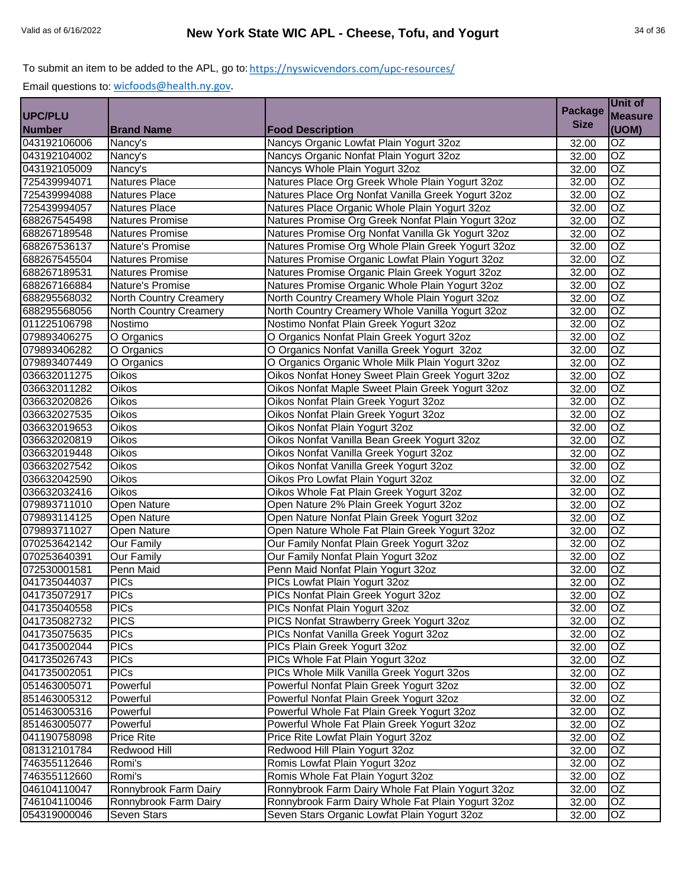|                |                               |                                                    |                | Unit of         |
|----------------|-------------------------------|----------------------------------------------------|----------------|-----------------|
| <b>UPC/PLU</b> |                               |                                                    | <b>Package</b> | <b>Measure</b>  |
| <b>Number</b>  | <b>Brand Name</b>             | <b>Food Description</b>                            | <b>Size</b>    | (UOM)           |
| 043192106006   | Nancy's                       | Nancys Organic Lowfat Plain Yogurt 32oz            | 32.00          | <b>OZ</b>       |
| 043192104002   | Nancy's                       | Nancys Organic Nonfat Plain Yogurt 32oz            | 32.00          | OZ              |
| 043192105009   | Nancy's                       | Nancys Whole Plain Yogurt 32oz                     | 32.00          | $\overline{OZ}$ |
| 725439994071   | <b>Natures Place</b>          | Natures Place Org Greek Whole Plain Yogurt 32oz    | 32.00          | $\overline{OZ}$ |
| 725439994088   | <b>Natures Place</b>          | Natures Place Org Nonfat Vanilla Greek Yogurt 32oz | 32.00          | $\overline{OZ}$ |
| 725439994057   | <b>Natures Place</b>          | Natures Place Organic Whole Plain Yogurt 32oz      | 32.00          | $\overline{OZ}$ |
| 688267545498   | <b>Natures Promise</b>        | Natures Promise Org Greek Nonfat Plain Yogurt 32oz | 32.00          | $\overline{OZ}$ |
| 688267189548   | <b>Natures Promise</b>        | Natures Promise Org Nonfat Vanilla Gk Yogurt 32oz  | 32.00          | $\overline{OZ}$ |
| 688267536137   | Nature's Promise              | Natures Promise Org Whole Plain Greek Yogurt 32oz  | 32.00          | $\overline{OZ}$ |
| 688267545504   | <b>Natures Promise</b>        | Natures Promise Organic Lowfat Plain Yogurt 32oz   | 32.00          | $\overline{OZ}$ |
| 688267189531   | <b>Natures Promise</b>        | Natures Promise Organic Plain Greek Yogurt 32oz    | 32.00          | OZ              |
| 688267166884   | Nature's Promise              | Natures Promise Organic Whole Plain Yogurt 32oz    | 32.00          | $\overline{OZ}$ |
| 688295568032   | <b>North Country Creamery</b> | North Country Creamery Whole Plain Yogurt 32oz     | 32.00          | <b>OZ</b>       |
| 688295568056   | North Country Creamery        | North Country Creamery Whole Vanilla Yogurt 32oz   | 32.00          | $\overline{OZ}$ |
| 011225106798   | Nostimo                       | Nostimo Nonfat Plain Greek Yogurt 32oz             | 32.00          | $\overline{OZ}$ |
| 079893406275   | O Organics                    | O Organics Nonfat Plain Greek Yogurt 32oz          | 32.00          | OZ              |
| 079893406282   | O Organics                    | O Organics Nonfat Vanilla Greek Yogurt 32oz        | 32.00          | $\overline{OZ}$ |
| 079893407449   | O Organics                    | O Organics Organic Whole Milk Plain Yogurt 32oz    | 32.00          | $\overline{OZ}$ |
| 036632011275   | Oikos                         | Oikos Nonfat Honey Sweet Plain Greek Yogurt 32oz   | 32.00          | OZ              |
| 036632011282   | Oikos                         | Oikos Nonfat Maple Sweet Plain Greek Yogurt 32oz   | 32.00          | $\overline{OZ}$ |
| 036632020826   | <b>Oikos</b>                  | Oikos Nonfat Plain Greek Yogurt 32oz               | 32.00          | $\overline{OZ}$ |
| 036632027535   | <b>Oikos</b>                  | Oikos Nonfat Plain Greek Yogurt 32oz               | 32.00          | OZ              |
| 036632019653   | Oikos                         | Oikos Nonfat Plain Yogurt 32oz                     | 32.00          | OZ              |
| 036632020819   | Oikos                         | Oikos Nonfat Vanilla Bean Greek Yogurt 32oz        | 32.00          | $\overline{OZ}$ |
| 036632019448   | Oikos                         | Oikos Nonfat Vanilla Greek Yogurt 32oz             | 32.00          | $\overline{OZ}$ |
| 036632027542   | Oikos                         | Oikos Nonfat Vanilla Greek Yogurt 32oz             | 32.00          | $\overline{OZ}$ |
| 036632042590   | Oikos                         | Oikos Pro Lowfat Plain Yogurt 32oz                 | 32.00          | OZ              |
| 036632032416   | Oikos                         | Oikos Whole Fat Plain Greek Yogurt 32oz            | 32.00          | $\overline{OZ}$ |
| 079893711010   | Open Nature                   | Open Nature 2% Plain Greek Yogurt 32oz             | 32.00          | $\overline{OZ}$ |
| 079893114125   | <b>Open Nature</b>            | Open Nature Nonfat Plain Greek Yogurt 32oz         | 32.00          | $\overline{OZ}$ |
| 079893711027   | <b>Open Nature</b>            | Open Nature Whole Fat Plain Greek Yogurt 32oz      | 32.00          | $\overline{OZ}$ |
| 070253642142   | Our Family                    | Our Family Nonfat Plain Greek Yogurt 32oz          | 32.00          | OZ              |
| 070253640391   | Our Family                    | Our Family Nonfat Plain Yogurt 32oz                | 32.00          | OZ              |
| 072530001581   | Penn Maid                     | Penn Maid Nonfat Plain Yogurt 32oz                 | 32.00          | $\overline{OZ}$ |
| 041735044037   | <b>PICs</b>                   | PICs Lowfat Plain Yogurt 32oz                      | 32.00          | OZ              |
| 041735072917   | <b>PICs</b>                   | PICs Nonfat Plain Greek Yogurt 32oz                | 32.00          | <b>OZ</b>       |
| 041735040558   | <b>PICs</b>                   | PICs Nonfat Plain Yogurt 32oz                      | 32.00          | OZ              |
| 041735082732   | <b>PICS</b>                   | PICS Nonfat Strawberry Greek Yogurt 32oz           | 32.00          | OZ              |
| 041735075635   | <b>PICs</b>                   | PICs Nonfat Vanilla Greek Yogurt 32oz              | 32.00          | <b>OZ</b>       |
| 041735002044   | $\overline{PICs}$             | PICs Plain Greek Yogurt 32oz                       | 32.00          | OZ              |
| 041735026743   | <b>PICs</b>                   | PICs Whole Fat Plain Yogurt 32oz                   | 32.00          | OZ              |
| 041735002051   | <b>PICs</b>                   | PICs Whole Milk Vanilla Greek Yogurt 32os          | 32.00          | OZ              |
| 051463005071   | Powerful                      | Powerful Nonfat Plain Greek Yogurt 32oz            | 32.00          | OZ              |
| 851463005312   | Powerful                      | Powerful Nonfat Plain Greek Yogurt 32oz            | 32.00          | OZ              |
| 051463005316   | Powerful                      | Powerful Whole Fat Plain Greek Yogurt 32oz         | 32.00          | OZ              |
| 851463005077   | Powerful                      | Powerful Whole Fat Plain Greek Yogurt 32oz         | 32.00          | $\overline{OZ}$ |
| 041190758098   | <b>Price Rite</b>             | Price Rite Lowfat Plain Yogurt 32oz                | 32.00          | OZ              |
| 081312101784   | Redwood Hill                  | Redwood Hill Plain Yogurt 32oz                     | 32.00          | $\overline{OZ}$ |
| 746355112646   | Romi's                        | Romis Lowfat Plain Yogurt 32oz                     | 32.00          | $\overline{OZ}$ |
| 746355112660   | Romi's                        | Romis Whole Fat Plain Yogurt 32oz                  | 32.00          | OZ              |
| 046104110047   | Ronnybrook Farm Dairy         | Ronnybrook Farm Dairy Whole Fat Plain Yogurt 32oz  | 32.00          | OZ              |
| 746104110046   | Ronnybrook Farm Dairy         | Ronnybrook Farm Dairy Whole Fat Plain Yogurt 32oz  | 32.00          | OZ              |
| 054319000046   | Seven Stars                   | Seven Stars Organic Lowfat Plain Yogurt 32oz       | 32.00          | OZ              |
|                |                               |                                                    |                |                 |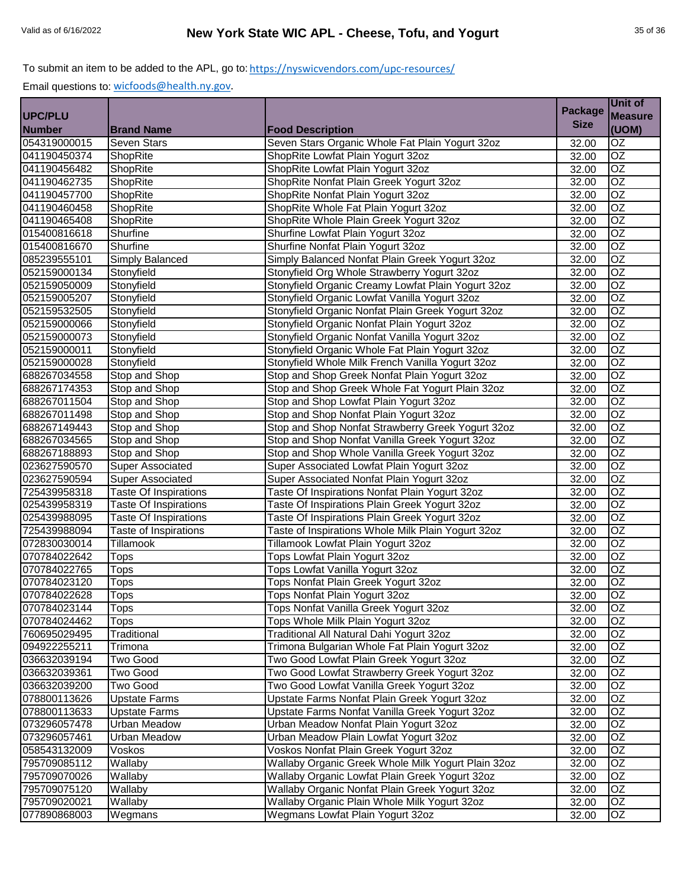|                |                              |                                                    | <b>Package</b> | <b>Unit of</b>  |
|----------------|------------------------------|----------------------------------------------------|----------------|-----------------|
| <b>UPC/PLU</b> |                              |                                                    |                | <b>Measure</b>  |
| <b>Number</b>  | <b>Brand Name</b>            | <b>Food Description</b>                            | <b>Size</b>    | (UOM)           |
| 054319000015   | <b>Seven Stars</b>           | Seven Stars Organic Whole Fat Plain Yogurt 32oz    | 32.00          | $\overline{OZ}$ |
| 041190450374   | ShopRite                     | ShopRite Lowfat Plain Yogurt 32oz                  | 32.00          | $\overline{OZ}$ |
| 041190456482   | ShopRite                     | ShopRite Lowfat Plain Yogurt 32oz                  | 32.00          | OZ              |
| 041190462735   | <b>ShopRite</b>              | ShopRite Nonfat Plain Greek Yogurt 32oz            | 32.00          | OZ              |
| 041190457700   | <b>ShopRite</b>              | ShopRite Nonfat Plain Yogurt 32oz                  | 32.00          | OZ              |
| 041190460458   | ShopRite                     | ShopRite Whole Fat Plain Yogurt 32oz               | 32.00          | OZ              |
| 041190465408   | ShopRite                     | ShopRite Whole Plain Greek Yogurt 32oz             | 32.00          | $\overline{OZ}$ |
| 015400816618   | Shurfine                     | Shurfine Lowfat Plain Yogurt 32oz                  | 32.00          | $\overline{OZ}$ |
| 015400816670   | Shurfine                     | Shurfine Nonfat Plain Yogurt 32oz                  | 32.00          | $\overline{OZ}$ |
| 085239555101   | Simply Balanced              | Simply Balanced Nonfat Plain Greek Yogurt 32oz     | 32.00          | OZ              |
| 052159000134   | Stonyfield                   | Stonyfield Org Whole Strawberry Yogurt 32oz        | 32.00          | OZ              |
| 052159050009   | Stonyfield                   | Stonyfield Organic Creamy Lowfat Plain Yogurt 32oz | 32.00          | $\overline{OZ}$ |
| 052159005207   | Stonyfield                   | Stonyfield Organic Lowfat Vanilla Yogurt 32oz      | 32.00          | OZ              |
| 052159532505   | Stonyfield                   | Stonyfield Organic Nonfat Plain Greek Yogurt 32oz  | 32.00          | <b>OZ</b>       |
| 052159000066   | Stonyfield                   | Stonyfield Organic Nonfat Plain Yogurt 32oz        | 32.00          | OZ              |
| 052159000073   | Stonyfield                   | Stonyfield Organic Nonfat Vanilla Yogurt 32oz      | 32.00          | $\overline{OZ}$ |
| 052159000011   | Stonyfield                   | Stonyfield Organic Whole Fat Plain Yogurt 32oz     | 32.00          | OZ              |
| 052159000028   | Stonyfield                   | Stonyfield Whole Milk French Vanilla Yogurt 32oz   | 32.00          | OZ              |
| 688267034558   | Stop and Shop                | Stop and Shop Greek Nonfat Plain Yogurt 32oz       | 32.00          | $\overline{OZ}$ |
| 688267174353   | Stop and Shop                | Stop and Shop Greek Whole Fat Yogurt Plain 32oz    | 32.00          | $\overline{OZ}$ |
| 688267011504   | Stop and Shop                | Stop and Shop Lowfat Plain Yogurt 32oz             | 32.00          | OZ              |
| 688267011498   | Stop and Shop                | Stop and Shop Nonfat Plain Yogurt 32oz             | 32.00          | OZ              |
| 688267149443   | Stop and Shop                | Stop and Shop Nonfat Strawberry Greek Yogurt 32oz  | 32.00          | $\overline{OZ}$ |
| 688267034565   | Stop and Shop                | Stop and Shop Nonfat Vanilla Greek Yogurt 32oz     | 32.00          | $\overline{OZ}$ |
| 688267188893   | Stop and Shop                | Stop and Shop Whole Vanilla Greek Yogurt 32oz      | 32.00          | $\overline{OZ}$ |
| 023627590570   | <b>Super Associated</b>      | Super Associated Lowfat Plain Yogurt 32oz          | 32.00          | $\overline{OZ}$ |
| 023627590594   | <b>Super Associated</b>      | Super Associated Nonfat Plain Yogurt 32oz          | 32.00          | $\overline{OZ}$ |
| 725439958318   | <b>Taste Of Inspirations</b> | Taste Of Inspirations Nonfat Plain Yogurt 32oz     | 32.00          | OZ              |
| 025439958319   | Taste Of Inspirations        | Taste Of Inspirations Plain Greek Yogurt 32oz      | 32.00          | OZ              |
| 025439988095   | <b>Taste Of Inspirations</b> | Taste Of Inspirations Plain Greek Yogurt 32oz      | 32.00          | OZ              |
| 725439988094   | Taste of Inspirations        | Taste of Inspirations Whole Milk Plain Yogurt 32oz | 32.00          | OZ              |
| 072830030014   | Tillamook                    | Tillamook Lowfat Plain Yogurt 32oz                 | 32.00          | OZ              |
| 070784022642   | <b>Tops</b>                  | Tops Lowfat Plain Yogurt 32oz                      | 32.00          | $\overline{OZ}$ |
| 070784022765   | <b>Tops</b>                  | Tops Lowfat Vanilla Yogurt 32oz                    | 32.00          | $\overline{OZ}$ |
| 070784023120   | <b>Tops</b>                  | Tops Nonfat Plain Greek Yogurt 32oz                | 32.00          | $\overline{OZ}$ |
| 070784022628   | <b>Tops</b>                  | Tops Nonfat Plain Yogurt 32oz                      | 32.00          | OZ              |
| 070784023144   | <b>Tops</b>                  | Tops Nonfat Vanilla Greek Yogurt 32oz              | 32.00          | OZ              |
| 070784024462   | <b>Tops</b>                  | Tops Whole Milk Plain Yogurt 32oz                  | 32.00          | OZ              |
| 760695029495   | Traditional                  | Traditional All Natural Dahi Yogurt 32oz           | 32.00          | OZ              |
| 094922255211   | Trimona                      | Trimona Bulgarian Whole Fat Plain Yogurt 32oz      | 32.00          | OZ.             |
| 036632039194   | Two Good                     | Two Good Lowfat Plain Greek Yogurt 32oz            | 32.00          | OZ              |
| 036632039361   | Two Good                     | Two Good Lowfat Strawberry Greek Yogurt 32oz       | 32.00          | OZ              |
| 036632039200   | Two Good                     | Two Good Lowfat Vanilla Greek Yogurt 32oz          | 32.00          | OZ              |
| 078800113626   | <b>Upstate Farms</b>         | Upstate Farms Nonfat Plain Greek Yogurt 32oz       | 32.00          | OZ              |
| 078800113633   | <b>Upstate Farms</b>         | Upstate Farms Nonfat Vanilla Greek Yogurt 32oz     | 32.00          | OZ              |
| 073296057478   | <b>Urban Meadow</b>          | Urban Meadow Nonfat Plain Yogurt 32oz              | 32.00          | $\overline{OZ}$ |
| 073296057461   | <b>Urban Meadow</b>          | Urban Meadow Plain Lowfat Yogurt 32oz              | 32.00          | OZ              |
| 058543132009   | Voskos                       | Voskos Nonfat Plain Greek Yogurt 32oz              | 32.00          | OZ              |
| 795709085112   | Wallaby                      | Wallaby Organic Greek Whole Milk Yogurt Plain 32oz | 32.00          | $\overline{OZ}$ |
| 795709070026   | Wallaby                      | Wallaby Organic Lowfat Plain Greek Yogurt 32oz     | 32.00          | OZ              |
| 795709075120   | Wallaby                      | Wallaby Organic Nonfat Plain Greek Yogurt 32oz     | 32.00          | OZ              |
| 795709020021   | Wallaby                      | Wallaby Organic Plain Whole Milk Yogurt 32oz       | 32.00          | OZ              |
| 077890868003   | Wegmans                      | Wegmans Lowfat Plain Yogurt 32oz                   | 32.00          | OZ              |
|                |                              |                                                    |                |                 |